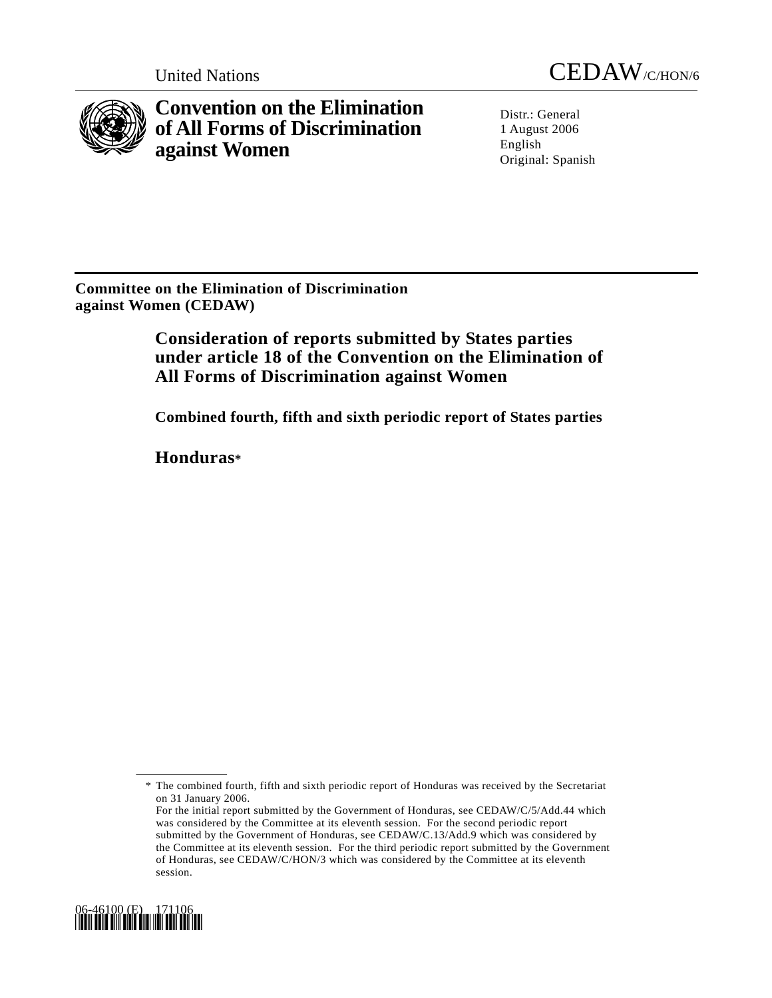

**Convention on the Elimination of All Forms of Discrimination against Women** 

United Nations CEDAW/C/HON/6

Distr.: General 1 August 2006 English Original: Spanish

**Committee on the Elimination of Discrimination against Women (CEDAW)** 

> **Consideration of reports submitted by States parties under article 18 of the Convention on the Elimination of All Forms of Discrimination against Women**

> **Combined fourth, fifth and sixth periodic report of States parties**

**Honduras\***

For the initial report submitted by the Government of Honduras, see CEDAW/C/5/Add.44 which was considered by the Committee at its eleventh session. For the second periodic report submitted by the Government of Honduras, see CEDAW/C.13/Add.9 which was considered by the Committee at its eleventh session. For the third periodic report submitted by the Government of Honduras, see CEDAW/C/HON/3 which was considered by the Committee at its eleventh session.



 <sup>\*</sup> The combined fourth, fifth and sixth periodic report of Honduras was received by the Secretariat on 31 January 2006.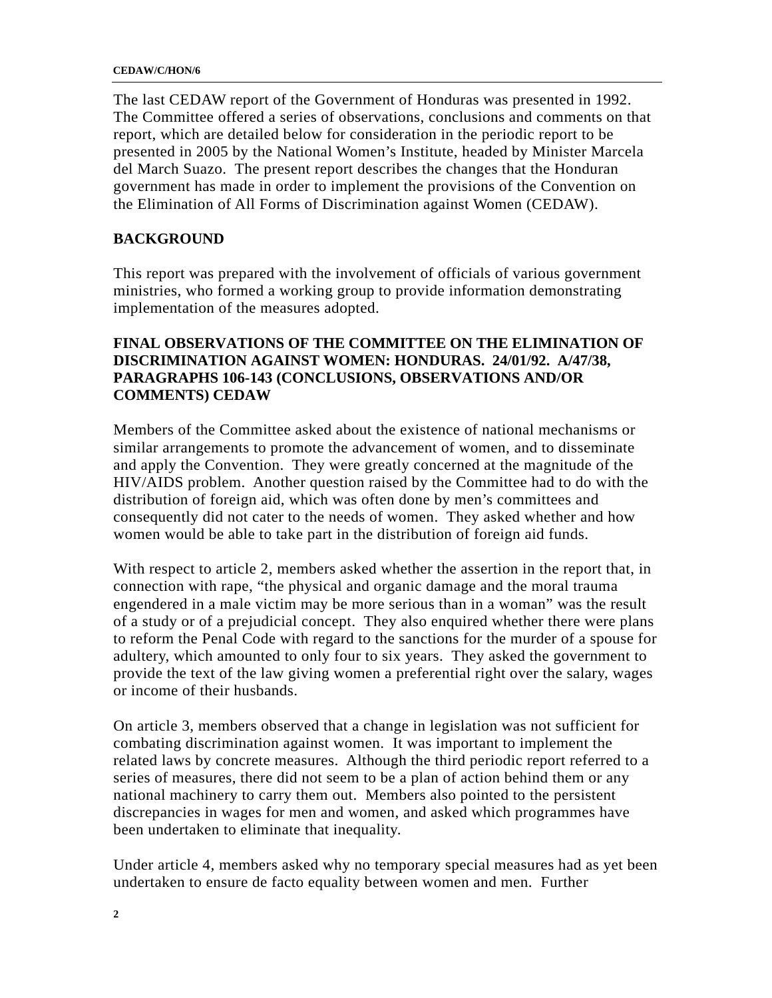The last CEDAW report of the Government of Honduras was presented in 1992. The Committee offered a series of observations, conclusions and comments on that report, which are detailed below for consideration in the periodic report to be presented in 2005 by the National Women's Institute, headed by Minister Marcela del March Suazo. The present report describes the changes that the Honduran government has made in order to implement the provisions of the Convention on the Elimination of All Forms of Discrimination against Women (CEDAW).

## **BACKGROUND**

This report was prepared with the involvement of officials of various government ministries, who formed a working group to provide information demonstrating implementation of the measures adopted.

## **FINAL OBSERVATIONS OF THE COMMITTEE ON THE ELIMINATION OF DISCRIMINATION AGAINST WOMEN: HONDURAS. 24/01/92. A/47/38, PARAGRAPHS 106-143 (CONCLUSIONS, OBSERVATIONS AND/OR COMMENTS) CEDAW**

Members of the Committee asked about the existence of national mechanisms or similar arrangements to promote the advancement of women, and to disseminate and apply the Convention. They were greatly concerned at the magnitude of the HIV/AIDS problem. Another question raised by the Committee had to do with the distribution of foreign aid, which was often done by men's committees and consequently did not cater to the needs of women. They asked whether and how women would be able to take part in the distribution of foreign aid funds.

With respect to article 2, members asked whether the assertion in the report that, in connection with rape, "the physical and organic damage and the moral trauma engendered in a male victim may be more serious than in a woman" was the result of a study or of a prejudicial concept. They also enquired whether there were plans to reform the Penal Code with regard to the sanctions for the murder of a spouse for adultery, which amounted to only four to six years. They asked the government to provide the text of the law giving women a preferential right over the salary, wages or income of their husbands.

On article 3, members observed that a change in legislation was not sufficient for combating discrimination against women. It was important to implement the related laws by concrete measures. Although the third periodic report referred to a series of measures, there did not seem to be a plan of action behind them or any national machinery to carry them out. Members also pointed to the persistent discrepancies in wages for men and women, and asked which programmes have been undertaken to eliminate that inequality.

Under article 4, members asked why no temporary special measures had as yet been undertaken to ensure de facto equality between women and men. Further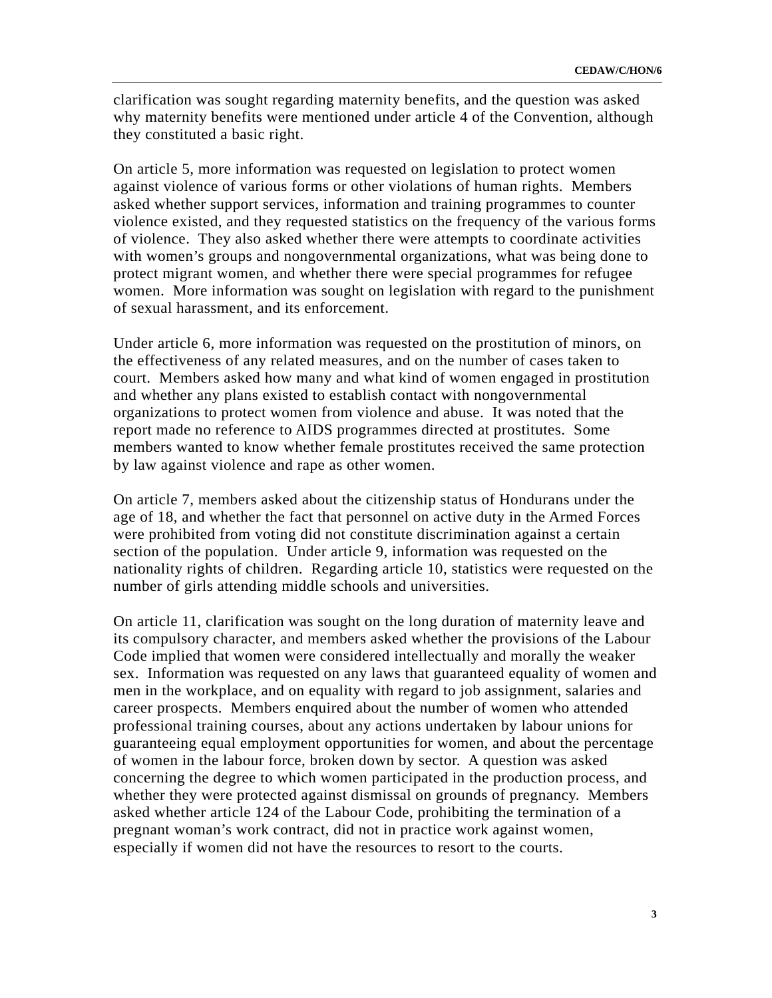clarification was sought regarding maternity benefits, and the question was asked why maternity benefits were mentioned under article 4 of the Convention, although they constituted a basic right.

On article 5, more information was requested on legislation to protect women against violence of various forms or other violations of human rights. Members asked whether support services, information and training programmes to counter violence existed, and they requested statistics on the frequency of the various forms of violence. They also asked whether there were attempts to coordinate activities with women's groups and nongovernmental organizations, what was being done to protect migrant women, and whether there were special programmes for refugee women. More information was sought on legislation with regard to the punishment of sexual harassment, and its enforcement.

Under article 6, more information was requested on the prostitution of minors, on the effectiveness of any related measures, and on the number of cases taken to court. Members asked how many and what kind of women engaged in prostitution and whether any plans existed to establish contact with nongovernmental organizations to protect women from violence and abuse. It was noted that the report made no reference to AIDS programmes directed at prostitutes. Some members wanted to know whether female prostitutes received the same protection by law against violence and rape as other women.

On article 7, members asked about the citizenship status of Hondurans under the age of 18, and whether the fact that personnel on active duty in the Armed Forces were prohibited from voting did not constitute discrimination against a certain section of the population. Under article 9, information was requested on the nationality rights of children. Regarding article 10, statistics were requested on the number of girls attending middle schools and universities.

On article 11, clarification was sought on the long duration of maternity leave and its compulsory character, and members asked whether the provisions of the Labour Code implied that women were considered intellectually and morally the weaker sex. Information was requested on any laws that guaranteed equality of women and men in the workplace, and on equality with regard to job assignment, salaries and career prospects. Members enquired about the number of women who attended professional training courses, about any actions undertaken by labour unions for guaranteeing equal employment opportunities for women, and about the percentage of women in the labour force, broken down by sector. A question was asked concerning the degree to which women participated in the production process, and whether they were protected against dismissal on grounds of pregnancy. Members asked whether article 124 of the Labour Code, prohibiting the termination of a pregnant woman's work contract, did not in practice work against women, especially if women did not have the resources to resort to the courts.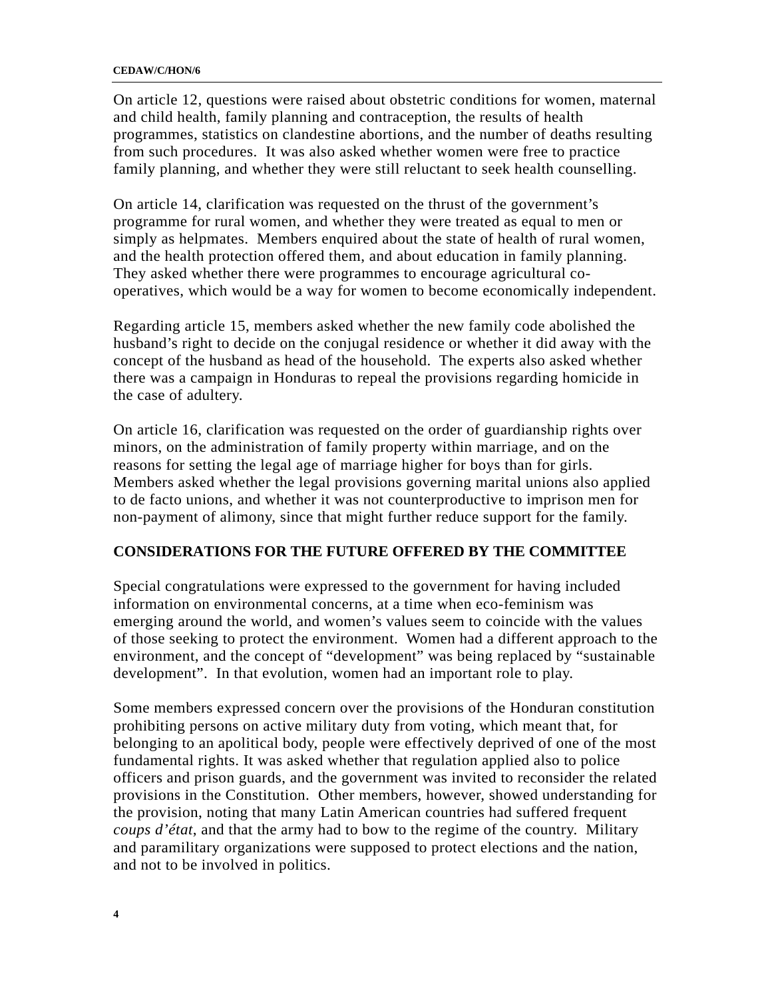On article 12, questions were raised about obstetric conditions for women, maternal and child health, family planning and contraception, the results of health programmes, statistics on clandestine abortions, and the number of deaths resulting from such procedures. It was also asked whether women were free to practice family planning, and whether they were still reluctant to seek health counselling.

On article 14, clarification was requested on the thrust of the government's programme for rural women, and whether they were treated as equal to men or simply as helpmates. Members enquired about the state of health of rural women, and the health protection offered them, and about education in family planning. They asked whether there were programmes to encourage agricultural cooperatives, which would be a way for women to become economically independent.

Regarding article 15, members asked whether the new family code abolished the husband's right to decide on the conjugal residence or whether it did away with the concept of the husband as head of the household. The experts also asked whether there was a campaign in Honduras to repeal the provisions regarding homicide in the case of adultery.

On article 16, clarification was requested on the order of guardianship rights over minors, on the administration of family property within marriage, and on the reasons for setting the legal age of marriage higher for boys than for girls. Members asked whether the legal provisions governing marital unions also applied to de facto unions, and whether it was not counterproductive to imprison men for non-payment of alimony, since that might further reduce support for the family.

### **CONSIDERATIONS FOR THE FUTURE OFFERED BY THE COMMITTEE**

Special congratulations were expressed to the government for having included information on environmental concerns, at a time when eco-feminism was emerging around the world, and women's values seem to coincide with the values of those seeking to protect the environment. Women had a different approach to the environment, and the concept of "development" was being replaced by "sustainable development". In that evolution, women had an important role to play.

Some members expressed concern over the provisions of the Honduran constitution prohibiting persons on active military duty from voting, which meant that, for belonging to an apolitical body, people were effectively deprived of one of the most fundamental rights. It was asked whether that regulation applied also to police officers and prison guards, and the government was invited to reconsider the related provisions in the Constitution. Other members, however, showed understanding for the provision, noting that many Latin American countries had suffered frequent *coups d'état*, and that the army had to bow to the regime of the country. Military and paramilitary organizations were supposed to protect elections and the nation, and not to be involved in politics.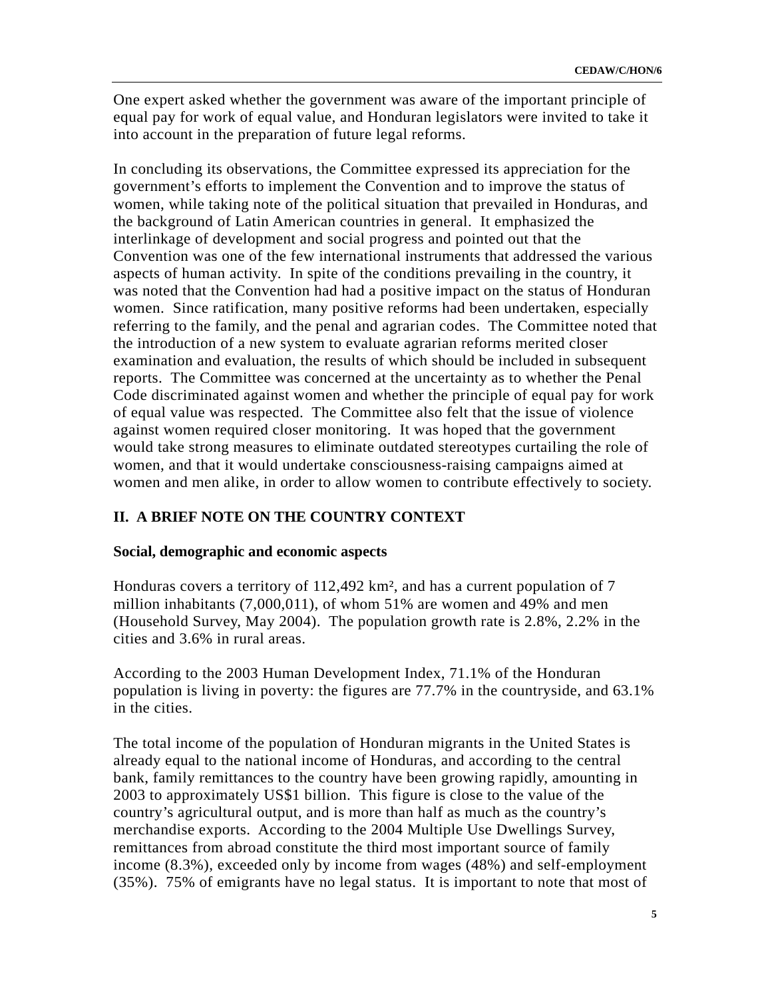One expert asked whether the government was aware of the important principle of equal pay for work of equal value, and Honduran legislators were invited to take it into account in the preparation of future legal reforms.

In concluding its observations, the Committee expressed its appreciation for the government's efforts to implement the Convention and to improve the status of women, while taking note of the political situation that prevailed in Honduras, and the background of Latin American countries in general. It emphasized the interlinkage of development and social progress and pointed out that the Convention was one of the few international instruments that addressed the various aspects of human activity. In spite of the conditions prevailing in the country, it was noted that the Convention had had a positive impact on the status of Honduran women. Since ratification, many positive reforms had been undertaken, especially referring to the family, and the penal and agrarian codes. The Committee noted that the introduction of a new system to evaluate agrarian reforms merited closer examination and evaluation, the results of which should be included in subsequent reports. The Committee was concerned at the uncertainty as to whether the Penal Code discriminated against women and whether the principle of equal pay for work of equal value was respected. The Committee also felt that the issue of violence against women required closer monitoring. It was hoped that the government would take strong measures to eliminate outdated stereotypes curtailing the role of women, and that it would undertake consciousness-raising campaigns aimed at women and men alike, in order to allow women to contribute effectively to society.

### **II. A BRIEF NOTE ON THE COUNTRY CONTEXT**

#### **Social, demographic and economic aspects**

Honduras covers a territory of 112,492 km², and has a current population of 7 million inhabitants (7,000,011), of whom 51% are women and 49% and men (Household Survey, May 2004). The population growth rate is 2.8%, 2.2% in the cities and 3.6% in rural areas.

According to the 2003 Human Development Index, 71.1% of the Honduran population is living in poverty: the figures are 77.7% in the countryside, and 63.1% in the cities.

The total income of the population of Honduran migrants in the United States is already equal to the national income of Honduras, and according to the central bank, family remittances to the country have been growing rapidly, amounting in 2003 to approximately US\$1 billion. This figure is close to the value of the country's agricultural output, and is more than half as much as the country's merchandise exports. According to the 2004 Multiple Use Dwellings Survey, remittances from abroad constitute the third most important source of family income (8.3%), exceeded only by income from wages (48%) and self-employment (35%). 75% of emigrants have no legal status. It is important to note that most of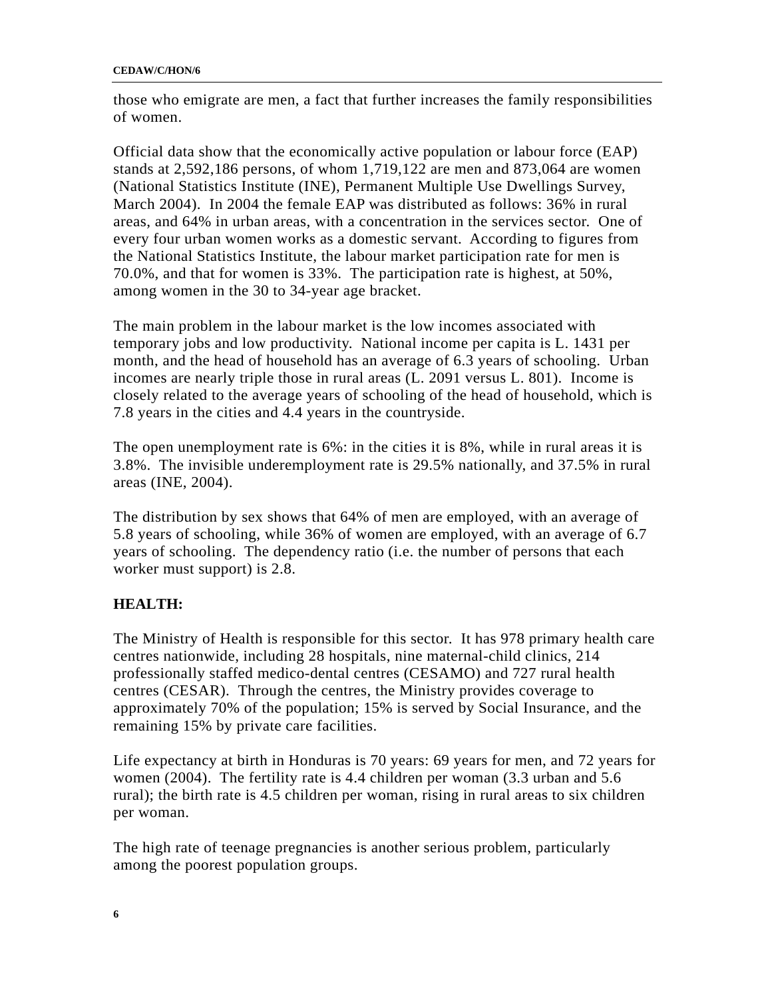#### **CEDAW/C/HON/6**

those who emigrate are men, a fact that further increases the family responsibilities of women.

Official data show that the economically active population or labour force (EAP) stands at 2,592,186 persons, of whom 1,719,122 are men and 873,064 are women (National Statistics Institute (INE), Permanent Multiple Use Dwellings Survey, March 2004). In 2004 the female EAP was distributed as follows: 36% in rural areas, and 64% in urban areas, with a concentration in the services sector. One of every four urban women works as a domestic servant. According to figures from the National Statistics Institute, the labour market participation rate for men is 70.0%, and that for women is 33%. The participation rate is highest, at 50%, among women in the 30 to 34-year age bracket.

The main problem in the labour market is the low incomes associated with temporary jobs and low productivity. National income per capita is L. 1431 per month, and the head of household has an average of 6.3 years of schooling. Urban incomes are nearly triple those in rural areas (L. 2091 versus L. 801). Income is closely related to the average years of schooling of the head of household, which is 7.8 years in the cities and 4.4 years in the countryside.

The open unemployment rate is 6%: in the cities it is 8%, while in rural areas it is 3.8%. The invisible underemployment rate is 29.5% nationally, and 37.5% in rural areas (INE, 2004).

The distribution by sex shows that 64% of men are employed, with an average of 5.8 years of schooling, while 36% of women are employed, with an average of 6.7 years of schooling. The dependency ratio (i.e. the number of persons that each worker must support) is 2.8.

## **HEALTH:**

The Ministry of Health is responsible for this sector. It has 978 primary health care centres nationwide, including 28 hospitals, nine maternal-child clinics, 214 professionally staffed medico-dental centres (CESAMO) and 727 rural health centres (CESAR). Through the centres, the Ministry provides coverage to approximately 70% of the population; 15% is served by Social Insurance, and the remaining 15% by private care facilities.

Life expectancy at birth in Honduras is 70 years: 69 years for men, and 72 years for women (2004). The fertility rate is 4.4 children per woman (3.3 urban and 5.6 rural); the birth rate is 4.5 children per woman, rising in rural areas to six children per woman.

The high rate of teenage pregnancies is another serious problem, particularly among the poorest population groups.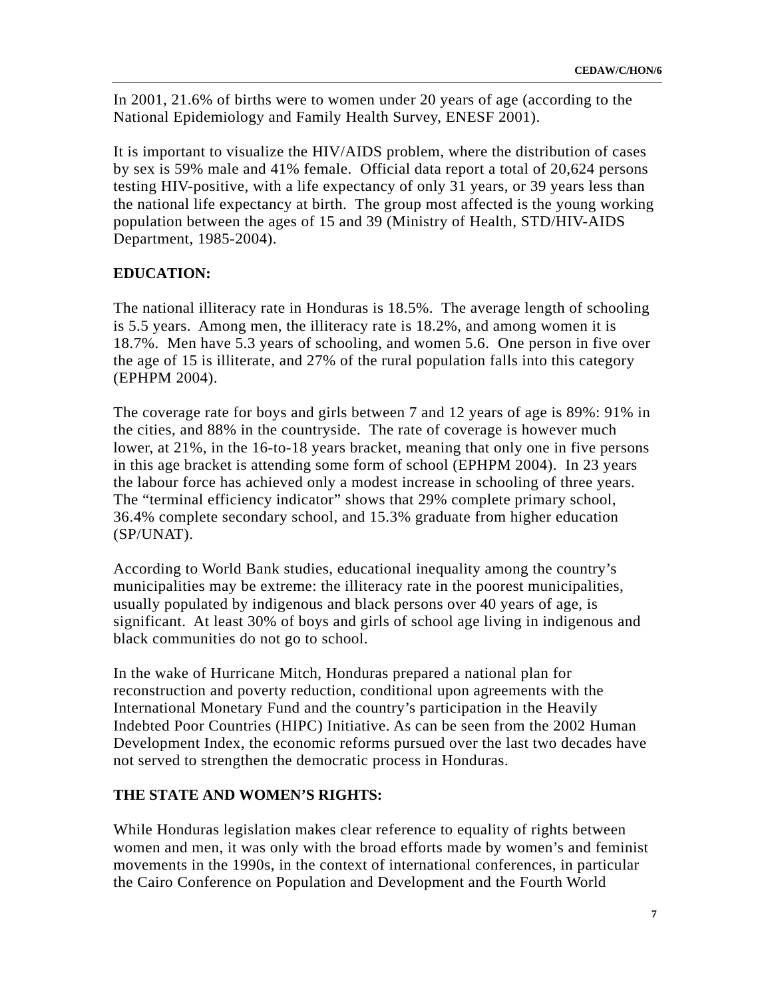In 2001, 21.6% of births were to women under 20 years of age (according to the National Epidemiology and Family Health Survey, ENESF 2001).

It is important to visualize the HIV/AIDS problem, where the distribution of cases by sex is 59% male and 41% female. Official data report a total of 20,624 persons testing HIV-positive, with a life expectancy of only 31 years, or 39 years less than the national life expectancy at birth. The group most affected is the young working population between the ages of 15 and 39 (Ministry of Health, STD/HIV-AIDS Department, 1985-2004).

### **EDUCATION:**

The national illiteracy rate in Honduras is 18.5%. The average length of schooling is 5.5 years. Among men, the illiteracy rate is 18.2%, and among women it is 18.7%. Men have 5.3 years of schooling, and women 5.6. One person in five over the age of 15 is illiterate, and 27% of the rural population falls into this category (EPHPM 2004).

The coverage rate for boys and girls between 7 and 12 years of age is 89%: 91% in the cities, and 88% in the countryside. The rate of coverage is however much lower, at 21%, in the 16-to-18 years bracket, meaning that only one in five persons in this age bracket is attending some form of school (EPHPM 2004). In 23 years the labour force has achieved only a modest increase in schooling of three years. The "terminal efficiency indicator" shows that 29% complete primary school, 36.4% complete secondary school, and 15.3% graduate from higher education (SP/UNAT).

According to World Bank studies, educational inequality among the country's municipalities may be extreme: the illiteracy rate in the poorest municipalities, usually populated by indigenous and black persons over 40 years of age, is significant. At least 30% of boys and girls of school age living in indigenous and black communities do not go to school.

In the wake of Hurricane Mitch, Honduras prepared a national plan for reconstruction and poverty reduction, conditional upon agreements with the International Monetary Fund and the country's participation in the Heavily Indebted Poor Countries (HIPC) Initiative. As can be seen from the 2002 Human Development Index, the economic reforms pursued over the last two decades have not served to strengthen the democratic process in Honduras.

#### **THE STATE AND WOMEN'S RIGHTS:**

While Honduras legislation makes clear reference to equality of rights between women and men, it was only with the broad efforts made by women's and feminist movements in the 1990s, in the context of international conferences, in particular the Cairo Conference on Population and Development and the Fourth World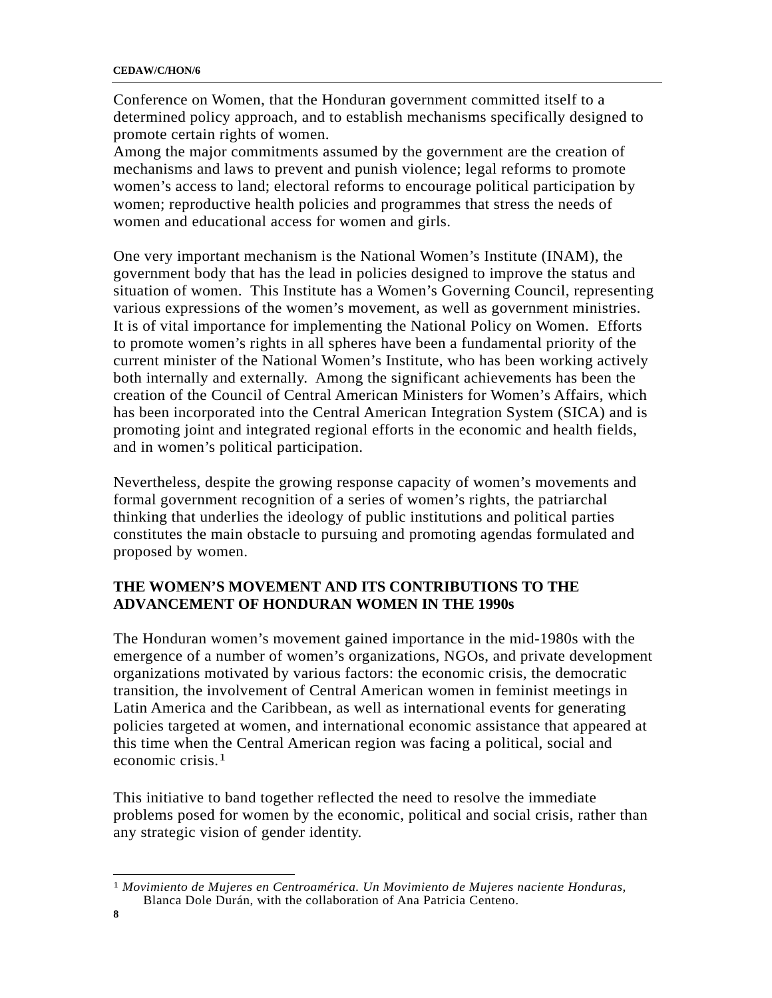Conference on Women, that the Honduran government committed itself to a determined policy approach, and to establish mechanisms specifically designed to promote certain rights of women.

Among the major commitments assumed by the government are the creation of mechanisms and laws to prevent and punish violence; legal reforms to promote women's access to land; electoral reforms to encourage political participation by women; reproductive health policies and programmes that stress the needs of women and educational access for women and girls.

One very important mechanism is the National Women's Institute (INAM), the government body that has the lead in policies designed to improve the status and situation of women. This Institute has a Women's Governing Council, representing various expressions of the women's movement, as well as government ministries. It is of vital importance for implementing the National Policy on Women. Efforts to promote women's rights in all spheres have been a fundamental priority of the current minister of the National Women's Institute, who has been working actively both internally and externally. Among the significant achievements has been the creation of the Council of Central American Ministers for Women's Affairs, which has been incorporated into the Central American Integration System (SICA) and is promoting joint and integrated regional efforts in the economic and health fields, and in women's political participation.

Nevertheless, despite the growing response capacity of women's movements and formal government recognition of a series of women's rights, the patriarchal thinking that underlies the ideology of public institutions and political parties constitutes the main obstacle to pursuing and promoting agendas formulated and proposed by women.

## **THE WOMEN'S MOVEMENT AND ITS CONTRIBUTIONS TO THE ADVANCEMENT OF HONDURAN WOMEN IN THE 1990s**

The Honduran women's movement gained importance in the mid-1980s with the emergence of a number of women's organizations, NGOs, and private development organizations motivated by various factors: the economic crisis, the democratic transition, the involvement of Central American women in feminist meetings in Latin America and the Caribbean, as well as international events for generating policies targeted at women, and international economic assistance that appeared at this time when the Central American region was facing a political, social and economic crisis.[1](#page-7-0)

This initiative to band together reflected the need to resolve the immediate problems posed for women by the economic, political and social crisis, rather than any strategic vision of gender identity.

<span id="page-7-0"></span> $\overline{a}$ 1 *Movimiento de Mujeres en Centroamérica. Un Movimiento de Mujeres naciente Honduras*, Blanca Dole Durán, with the collaboration of Ana Patricia Centeno.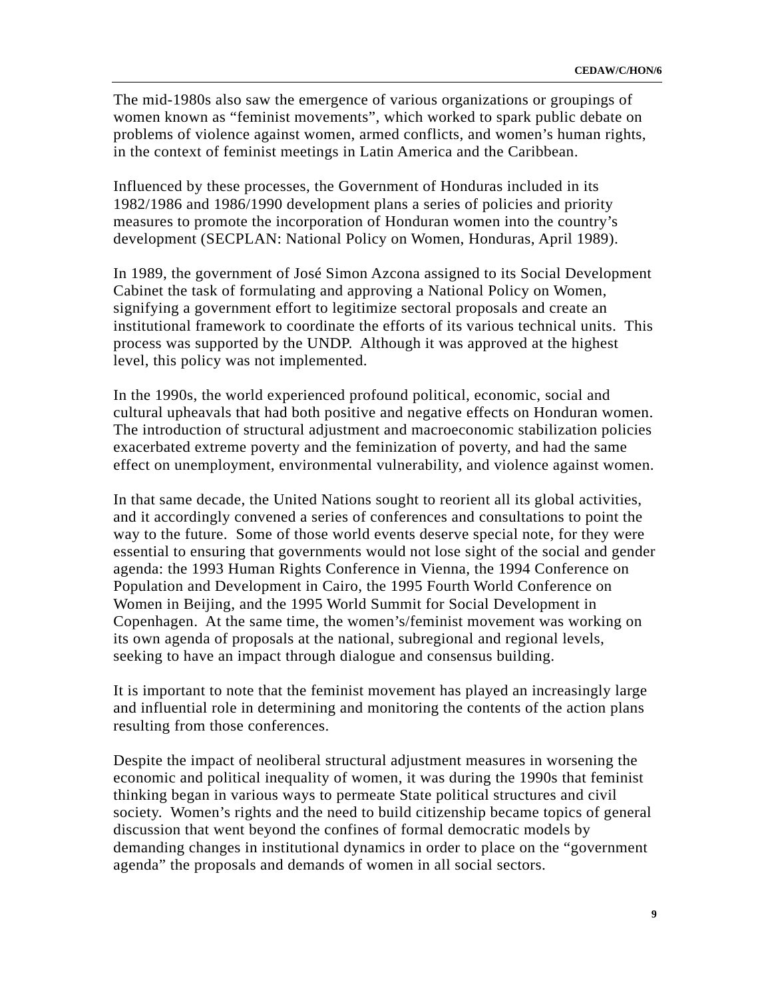The mid-1980s also saw the emergence of various organizations or groupings of women known as "feminist movements", which worked to spark public debate on problems of violence against women, armed conflicts, and women's human rights, in the context of feminist meetings in Latin America and the Caribbean.

Influenced by these processes, the Government of Honduras included in its 1982/1986 and 1986/1990 development plans a series of policies and priority measures to promote the incorporation of Honduran women into the country's development (SECPLAN: National Policy on Women, Honduras, April 1989).

In 1989, the government of José Simon Azcona assigned to its Social Development Cabinet the task of formulating and approving a National Policy on Women, signifying a government effort to legitimize sectoral proposals and create an institutional framework to coordinate the efforts of its various technical units. This process was supported by the UNDP. Although it was approved at the highest level, this policy was not implemented.

In the 1990s, the world experienced profound political, economic, social and cultural upheavals that had both positive and negative effects on Honduran women. The introduction of structural adjustment and macroeconomic stabilization policies exacerbated extreme poverty and the feminization of poverty, and had the same effect on unemployment, environmental vulnerability, and violence against women.

In that same decade, the United Nations sought to reorient all its global activities, and it accordingly convened a series of conferences and consultations to point the way to the future. Some of those world events deserve special note, for they were essential to ensuring that governments would not lose sight of the social and gender agenda: the 1993 Human Rights Conference in Vienna, the 1994 Conference on Population and Development in Cairo, the 1995 Fourth World Conference on Women in Beijing, and the 1995 World Summit for Social Development in Copenhagen. At the same time, the women's/feminist movement was working on its own agenda of proposals at the national, subregional and regional levels, seeking to have an impact through dialogue and consensus building.

It is important to note that the feminist movement has played an increasingly large and influential role in determining and monitoring the contents of the action plans resulting from those conferences.

Despite the impact of neoliberal structural adjustment measures in worsening the economic and political inequality of women, it was during the 1990s that feminist thinking began in various ways to permeate State political structures and civil society. Women's rights and the need to build citizenship became topics of general discussion that went beyond the confines of formal democratic models by demanding changes in institutional dynamics in order to place on the "government agenda" the proposals and demands of women in all social sectors.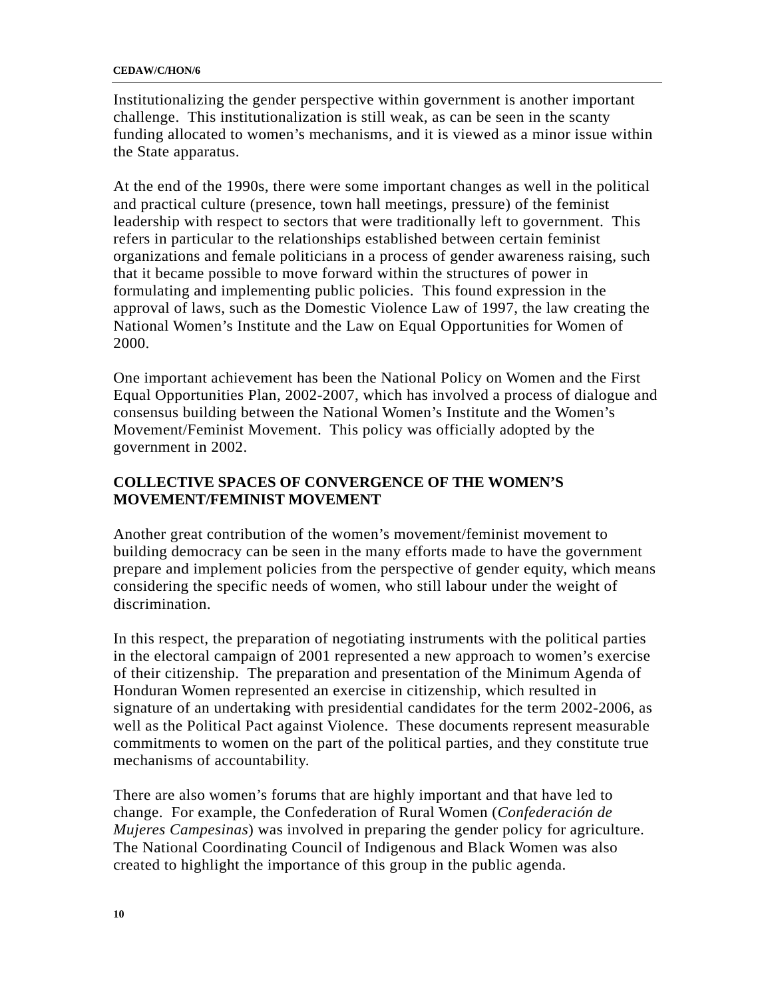#### **CEDAW/C/HON/6**

Institutionalizing the gender perspective within government is another important challenge. This institutionalization is still weak, as can be seen in the scanty funding allocated to women's mechanisms, and it is viewed as a minor issue within the State apparatus.

At the end of the 1990s, there were some important changes as well in the political and practical culture (presence, town hall meetings, pressure) of the feminist leadership with respect to sectors that were traditionally left to government. This refers in particular to the relationships established between certain feminist organizations and female politicians in a process of gender awareness raising, such that it became possible to move forward within the structures of power in formulating and implementing public policies. This found expression in the approval of laws, such as the Domestic Violence Law of 1997, the law creating the National Women's Institute and the Law on Equal Opportunities for Women of 2000.

One important achievement has been the National Policy on Women and the First Equal Opportunities Plan, 2002-2007, which has involved a process of dialogue and consensus building between the National Women's Institute and the Women's Movement/Feminist Movement. This policy was officially adopted by the government in 2002.

## **COLLECTIVE SPACES OF CONVERGENCE OF THE WOMEN'S MOVEMENT/FEMINIST MOVEMENT**

Another great contribution of the women's movement/feminist movement to building democracy can be seen in the many efforts made to have the government prepare and implement policies from the perspective of gender equity, which means considering the specific needs of women, who still labour under the weight of discrimination.

In this respect, the preparation of negotiating instruments with the political parties in the electoral campaign of 2001 represented a new approach to women's exercise of their citizenship. The preparation and presentation of the Minimum Agenda of Honduran Women represented an exercise in citizenship, which resulted in signature of an undertaking with presidential candidates for the term 2002-2006, as well as the Political Pact against Violence. These documents represent measurable commitments to women on the part of the political parties, and they constitute true mechanisms of accountability.

There are also women's forums that are highly important and that have led to change. For example, the Confederation of Rural Women (*Confederación de Mujeres Campesinas*) was involved in preparing the gender policy for agriculture. The National Coordinating Council of Indigenous and Black Women was also created to highlight the importance of this group in the public agenda.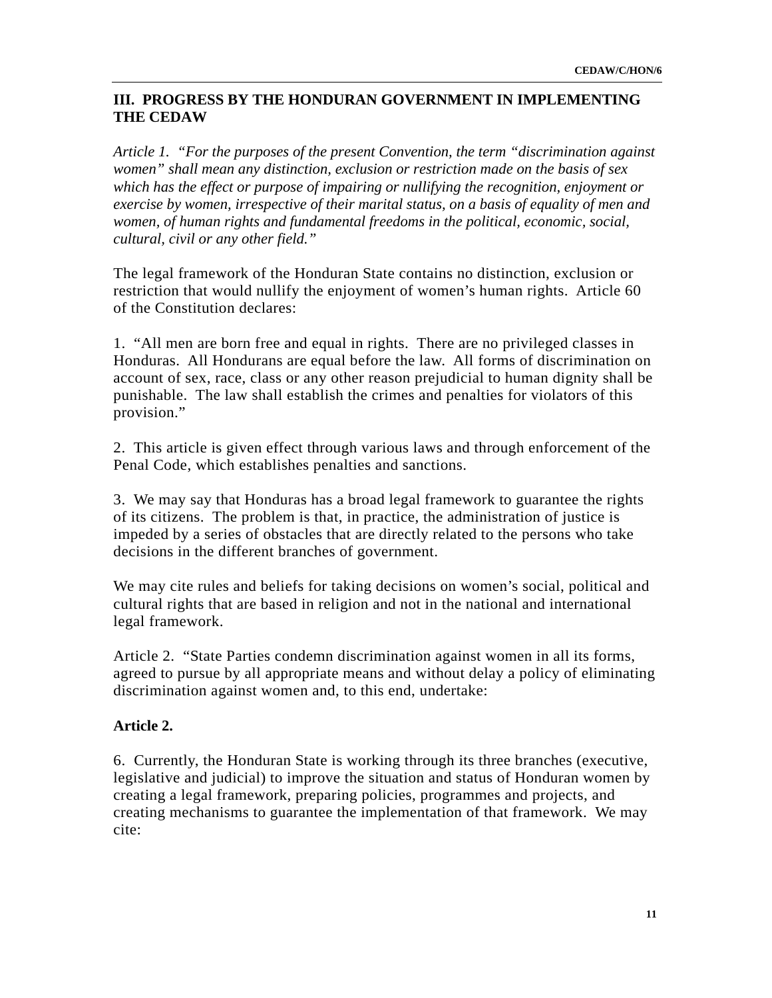## **III. PROGRESS BY THE HONDURAN GOVERNMENT IN IMPLEMENTING THE CEDAW**

*Article 1. "For the purposes of the present Convention, the term "discrimination against women" shall mean any distinction, exclusion or restriction made on the basis of sex which has the effect or purpose of impairing or nullifying the recognition, enjoyment or exercise by women, irrespective of their marital status, on a basis of equality of men and women, of human rights and fundamental freedoms in the political, economic, social, cultural, civil or any other field."* 

The legal framework of the Honduran State contains no distinction, exclusion or restriction that would nullify the enjoyment of women's human rights. Article 60 of the Constitution declares:

1. "All men are born free and equal in rights. There are no privileged classes in Honduras. All Hondurans are equal before the law. All forms of discrimination on account of sex, race, class or any other reason prejudicial to human dignity shall be punishable. The law shall establish the crimes and penalties for violators of this provision."

2. This article is given effect through various laws and through enforcement of the Penal Code, which establishes penalties and sanctions.

3. We may say that Honduras has a broad legal framework to guarantee the rights of its citizens. The problem is that, in practice, the administration of justice is impeded by a series of obstacles that are directly related to the persons who take decisions in the different branches of government.

We may cite rules and beliefs for taking decisions on women's social, political and cultural rights that are based in religion and not in the national and international legal framework.

Article 2. "State Parties condemn discrimination against women in all its forms, agreed to pursue by all appropriate means and without delay a policy of eliminating discrimination against women and, to this end, undertake:

### **Article 2.**

6. Currently, the Honduran State is working through its three branches (executive, legislative and judicial) to improve the situation and status of Honduran women by creating a legal framework, preparing policies, programmes and projects, and creating mechanisms to guarantee the implementation of that framework. We may cite: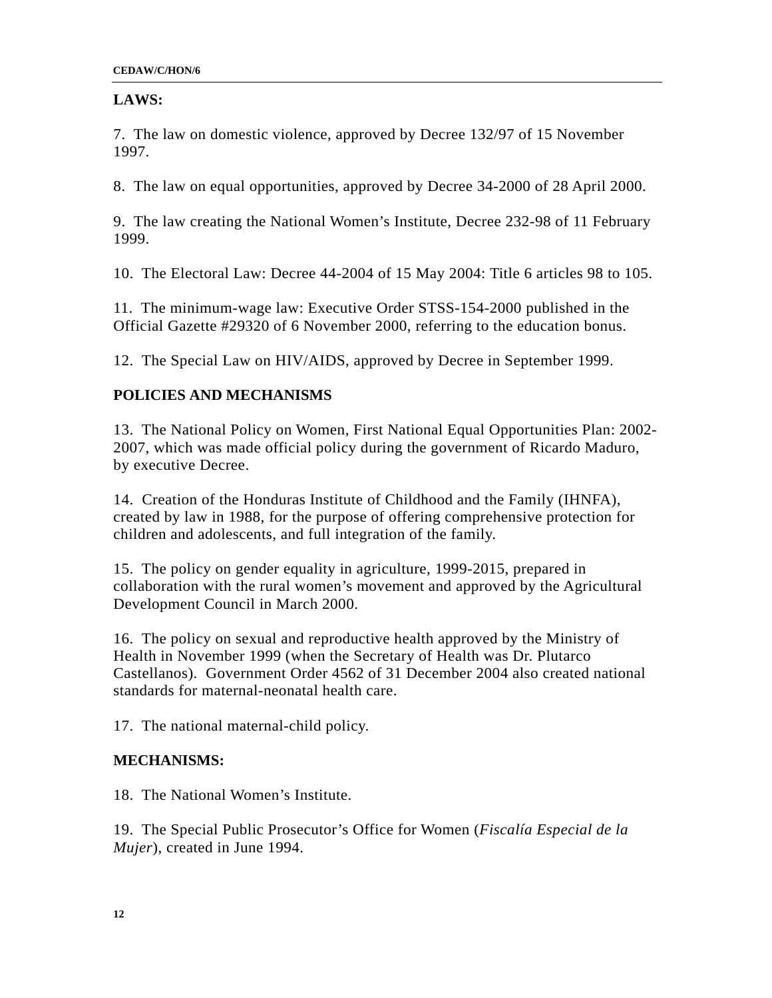## **LAWS:**

7. The law on domestic violence, approved by Decree 132/97 of 15 November 1997.

8. The law on equal opportunities, approved by Decree 34-2000 of 28 April 2000.

9. The law creating the National Women's Institute, Decree 232-98 of 11 February 1999.

10. The Electoral Law: Decree 44-2004 of 15 May 2004: Title 6 articles 98 to 105.

11. The minimum-wage law: Executive Order STSS-154-2000 published in the Official Gazette #29320 of 6 November 2000, referring to the education bonus.

12. The Special Law on HIV/AIDS, approved by Decree in September 1999.

## **POLICIES AND MECHANISMS**

13. The National Policy on Women, First National Equal Opportunities Plan: 2002- 2007, which was made official policy during the government of Ricardo Maduro, by executive Decree.

14. Creation of the Honduras Institute of Childhood and the Family (IHNFA), created by law in 1988, for the purpose of offering comprehensive protection for children and adolescents, and full integration of the family.

15. The policy on gender equality in agriculture, 1999-2015, prepared in collaboration with the rural women's movement and approved by the Agricultural Development Council in March 2000.

16. The policy on sexual and reproductive health approved by the Ministry of Health in November 1999 (when the Secretary of Health was Dr. Plutarco Castellanos). Government Order 4562 of 31 December 2004 also created national standards for maternal-neonatal health care.

17. The national maternal-child policy.

### **MECHANISMS:**

18. The National Women's Institute.

19. The Special Public Prosecutor's Office for Women (*Fiscalía Especial de la Mujer*), created in June 1994.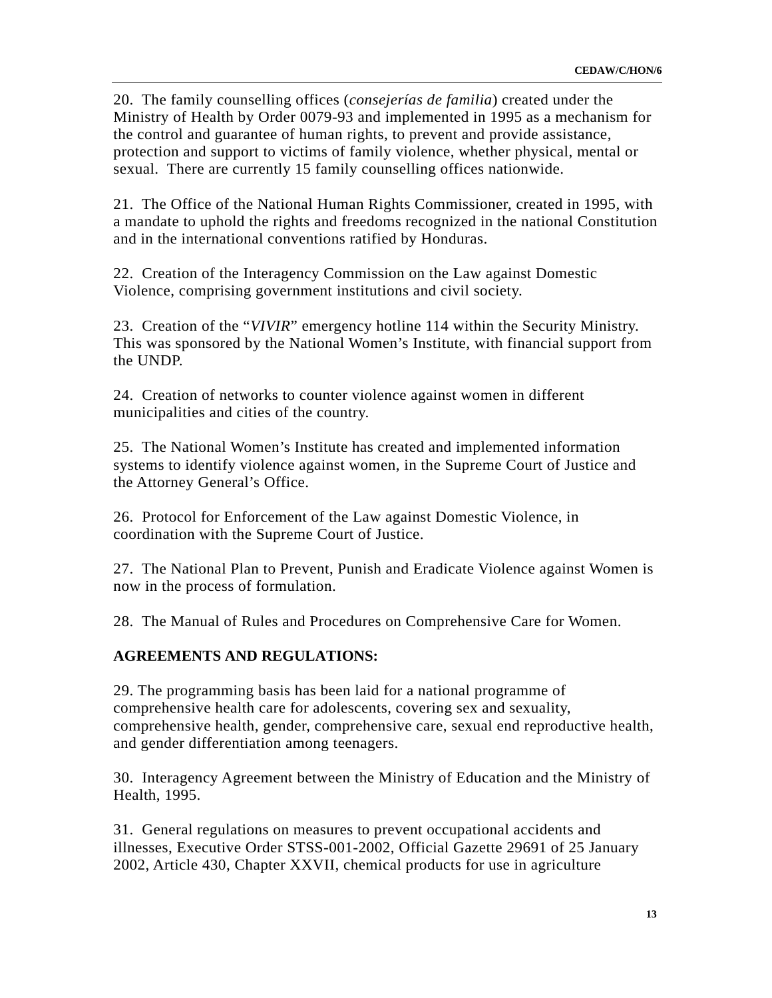20. The family counselling offices (*consejerías de familia*) created under the Ministry of Health by Order 0079-93 and implemented in 1995 as a mechanism for the control and guarantee of human rights, to prevent and provide assistance, protection and support to victims of family violence, whether physical, mental or sexual. There are currently 15 family counselling offices nationwide.

21. The Office of the National Human Rights Commissioner, created in 1995, with a mandate to uphold the rights and freedoms recognized in the national Constitution and in the international conventions ratified by Honduras.

22. Creation of the Interagency Commission on the Law against Domestic Violence, comprising government institutions and civil society.

23. Creation of the "*VIVIR*" emergency hotline 114 within the Security Ministry. This was sponsored by the National Women's Institute, with financial support from the UNDP.

24. Creation of networks to counter violence against women in different municipalities and cities of the country.

25. The National Women's Institute has created and implemented information systems to identify violence against women, in the Supreme Court of Justice and the Attorney General's Office.

26. Protocol for Enforcement of the Law against Domestic Violence, in coordination with the Supreme Court of Justice.

27. The National Plan to Prevent, Punish and Eradicate Violence against Women is now in the process of formulation.

28. The Manual of Rules and Procedures on Comprehensive Care for Women.

### **AGREEMENTS AND REGULATIONS:**

29. The programming basis has been laid for a national programme of comprehensive health care for adolescents, covering sex and sexuality, comprehensive health, gender, comprehensive care, sexual end reproductive health, and gender differentiation among teenagers.

30. Interagency Agreement between the Ministry of Education and the Ministry of Health, 1995.

31. General regulations on measures to prevent occupational accidents and illnesses, Executive Order STSS-001-2002, Official Gazette 29691 of 25 January 2002, Article 430, Chapter XXVII, chemical products for use in agriculture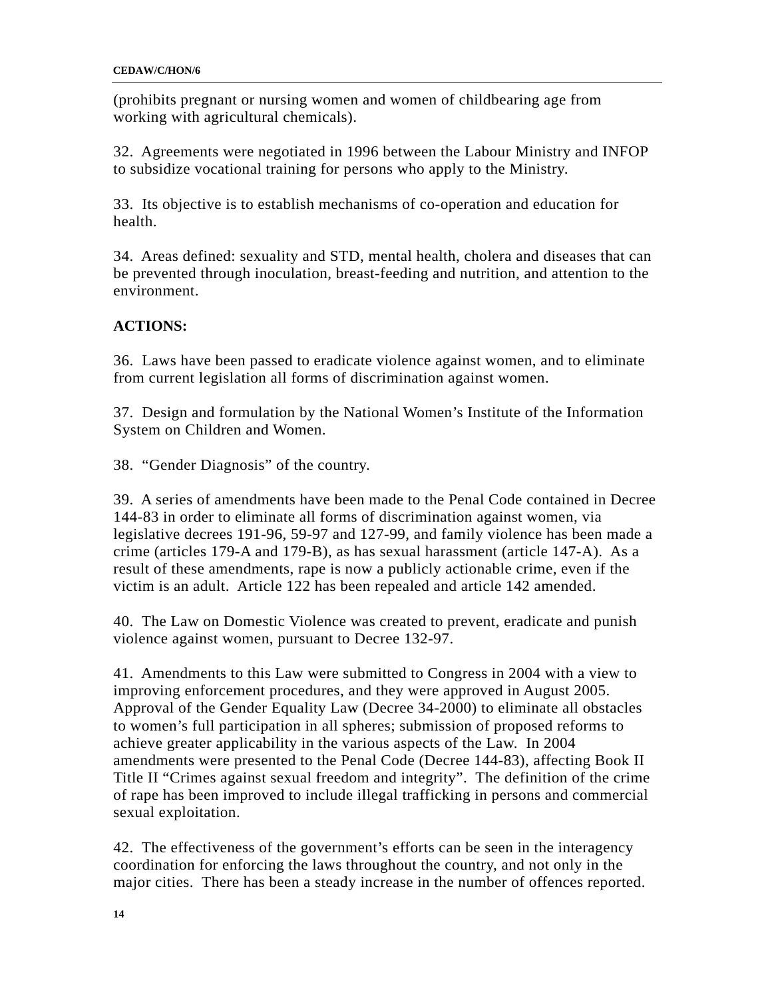(prohibits pregnant or nursing women and women of childbearing age from working with agricultural chemicals).

32. Agreements were negotiated in 1996 between the Labour Ministry and INFOP to subsidize vocational training for persons who apply to the Ministry.

33. Its objective is to establish mechanisms of co-operation and education for health.

34. Areas defined: sexuality and STD, mental health, cholera and diseases that can be prevented through inoculation, breast-feeding and nutrition, and attention to the environment.

## **ACTIONS:**

36. Laws have been passed to eradicate violence against women, and to eliminate from current legislation all forms of discrimination against women.

37. Design and formulation by the National Women's Institute of the Information System on Children and Women.

38. "Gender Diagnosis" of the country.

39. A series of amendments have been made to the Penal Code contained in Decree 144-83 in order to eliminate all forms of discrimination against women, via legislative decrees 191-96, 59-97 and 127-99, and family violence has been made a crime (articles 179-A and 179-B), as has sexual harassment (article 147-A). As a result of these amendments, rape is now a publicly actionable crime, even if the victim is an adult. Article 122 has been repealed and article 142 amended.

40. The Law on Domestic Violence was created to prevent, eradicate and punish violence against women, pursuant to Decree 132-97.

41. Amendments to this Law were submitted to Congress in 2004 with a view to improving enforcement procedures, and they were approved in August 2005. Approval of the Gender Equality Law (Decree 34-2000) to eliminate all obstacles to women's full participation in all spheres; submission of proposed reforms to achieve greater applicability in the various aspects of the Law. In 2004 amendments were presented to the Penal Code (Decree 144-83), affecting Book II Title II "Crimes against sexual freedom and integrity". The definition of the crime of rape has been improved to include illegal trafficking in persons and commercial sexual exploitation.

42. The effectiveness of the government's efforts can be seen in the interagency coordination for enforcing the laws throughout the country, and not only in the major cities. There has been a steady increase in the number of offences reported.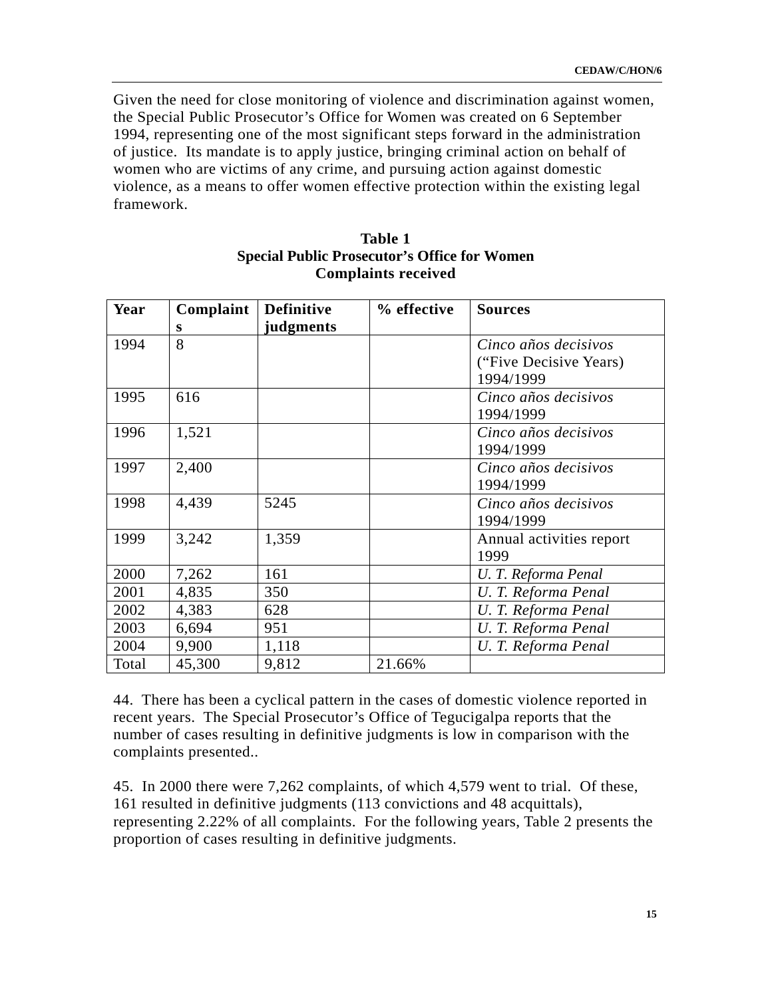Given the need for close monitoring of violence and discrimination against women, the Special Public Prosecutor's Office for Women was created on 6 September 1994, representing one of the most significant steps forward in the administration of justice. Its mandate is to apply justice, bringing criminal action on behalf of women who are victims of any crime, and pursuing action against domestic violence, as a means to offer women effective protection within the existing legal framework.

| Year  | Complaint | <b>Definitive</b> | % effective | <b>Sources</b>           |
|-------|-----------|-------------------|-------------|--------------------------|
|       | s         | judgments         |             |                          |
| 1994  | 8         |                   |             | Cinco años decisivos     |
|       |           |                   |             | ("Five Decisive Years)   |
|       |           |                   |             | 1994/1999                |
| 1995  | 616       |                   |             | Cinco años decisivos     |
|       |           |                   |             | 1994/1999                |
| 1996  | 1,521     |                   |             | Cinco años decisivos     |
|       |           |                   |             | 1994/1999                |
| 1997  | 2,400     |                   |             | Cinco años decisivos     |
|       |           |                   |             | 1994/1999                |
| 1998  | 4,439     | 5245              |             | Cinco años decisivos     |
|       |           |                   |             | 1994/1999                |
| 1999  | 3,242     | 1,359             |             | Annual activities report |
|       |           |                   |             | 1999                     |
| 2000  | 7,262     | 161               |             | U. T. Reforma Penal      |
| 2001  | 4,835     | 350               |             | U. T. Reforma Penal      |
| 2002  | 4,383     | 628               |             | U. T. Reforma Penal      |
| 2003  | 6,694     | 951               |             | U. T. Reforma Penal      |
| 2004  | 9,900     | 1,118             |             | U. T. Reforma Penal      |
| Total | 45,300    | 9,812             | 21.66%      |                          |

### **Table 1 Special Public Prosecutor's Office for Women Complaints received**

44. There has been a cyclical pattern in the cases of domestic violence reported in recent years. The Special Prosecutor's Office of Tegucigalpa reports that the number of cases resulting in definitive judgments is low in comparison with the complaints presented..

45. In 2000 there were 7,262 complaints, of which 4,579 went to trial. Of these, 161 resulted in definitive judgments (113 convictions and 48 acquittals), representing 2.22% of all complaints. For the following years, Table 2 presents the proportion of cases resulting in definitive judgments.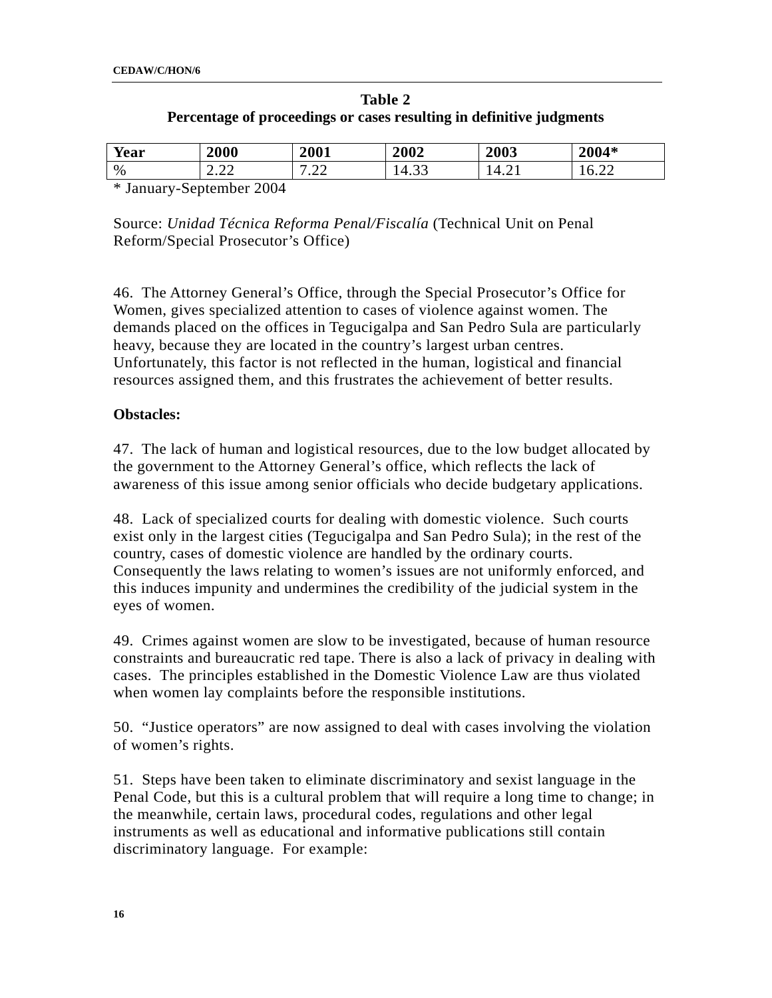| Table 2                                                              |
|----------------------------------------------------------------------|
| Percentage of proceedings or cases resulting in definitive judgments |

| Year | 2000           | 2001                                       | 2002  | 2003 | 2004*                                  |
|------|----------------|--------------------------------------------|-------|------|----------------------------------------|
| %    | $\cap$<br>4.44 | $\sim$<br>$\overline{\phantom{0}}$<br>. 22 | 14.33 | 4.21 | $\cap$<br>n<br>$\cdot$ . $\sim$ $\sim$ |

\* January-September 2004

Source: *Unidad Técnica Reforma Penal/Fiscalía* (Technical Unit on Penal Reform/Special Prosecutor's Office)

46. The Attorney General's Office, through the Special Prosecutor's Office for Women, gives specialized attention to cases of violence against women. The demands placed on the offices in Tegucigalpa and San Pedro Sula are particularly heavy, because they are located in the country's largest urban centres. Unfortunately, this factor is not reflected in the human, logistical and financial resources assigned them, and this frustrates the achievement of better results.

### **Obstacles:**

47. The lack of human and logistical resources, due to the low budget allocated by the government to the Attorney General's office, which reflects the lack of awareness of this issue among senior officials who decide budgetary applications.

48. Lack of specialized courts for dealing with domestic violence. Such courts exist only in the largest cities (Tegucigalpa and San Pedro Sula); in the rest of the country, cases of domestic violence are handled by the ordinary courts. Consequently the laws relating to women's issues are not uniformly enforced, and this induces impunity and undermines the credibility of the judicial system in the eyes of women.

49. Crimes against women are slow to be investigated, because of human resource constraints and bureaucratic red tape. There is also a lack of privacy in dealing with cases. The principles established in the Domestic Violence Law are thus violated when women lay complaints before the responsible institutions.

50. "Justice operators" are now assigned to deal with cases involving the violation of women's rights.

51. Steps have been taken to eliminate discriminatory and sexist language in the Penal Code, but this is a cultural problem that will require a long time to change; in the meanwhile, certain laws, procedural codes, regulations and other legal instruments as well as educational and informative publications still contain discriminatory language. For example: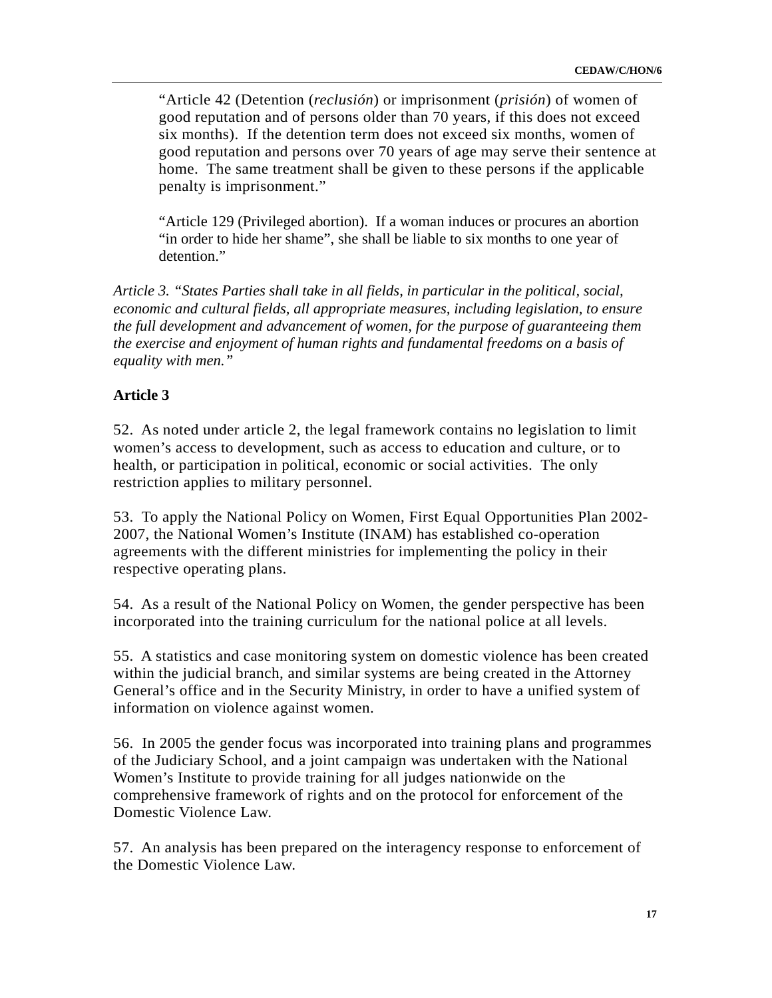"Article 42 (Detention (*reclusión*) or imprisonment (*prisión*) of women of good reputation and of persons older than 70 years, if this does not exceed six months). If the detention term does not exceed six months, women of good reputation and persons over 70 years of age may serve their sentence at home. The same treatment shall be given to these persons if the applicable penalty is imprisonment."

"Article 129 (Privileged abortion). If a woman induces or procures an abortion "in order to hide her shame", she shall be liable to six months to one year of detention."

*Article 3. "States Parties shall take in all fields, in particular in the political, social, economic and cultural fields, all appropriate measures, including legislation, to ensure the full development and advancement of women, for the purpose of guaranteeing them the exercise and enjoyment of human rights and fundamental freedoms on a basis of equality with men."* 

### **Article 3**

52. As noted under article 2, the legal framework contains no legislation to limit women's access to development, such as access to education and culture, or to health, or participation in political, economic or social activities. The only restriction applies to military personnel.

53. To apply the National Policy on Women, First Equal Opportunities Plan 2002- 2007, the National Women's Institute (INAM) has established co-operation agreements with the different ministries for implementing the policy in their respective operating plans.

54. As a result of the National Policy on Women, the gender perspective has been incorporated into the training curriculum for the national police at all levels.

55. A statistics and case monitoring system on domestic violence has been created within the judicial branch, and similar systems are being created in the Attorney General's office and in the Security Ministry, in order to have a unified system of information on violence against women.

56. In 2005 the gender focus was incorporated into training plans and programmes of the Judiciary School, and a joint campaign was undertaken with the National Women's Institute to provide training for all judges nationwide on the comprehensive framework of rights and on the protocol for enforcement of the Domestic Violence Law.

57. An analysis has been prepared on the interagency response to enforcement of the Domestic Violence Law.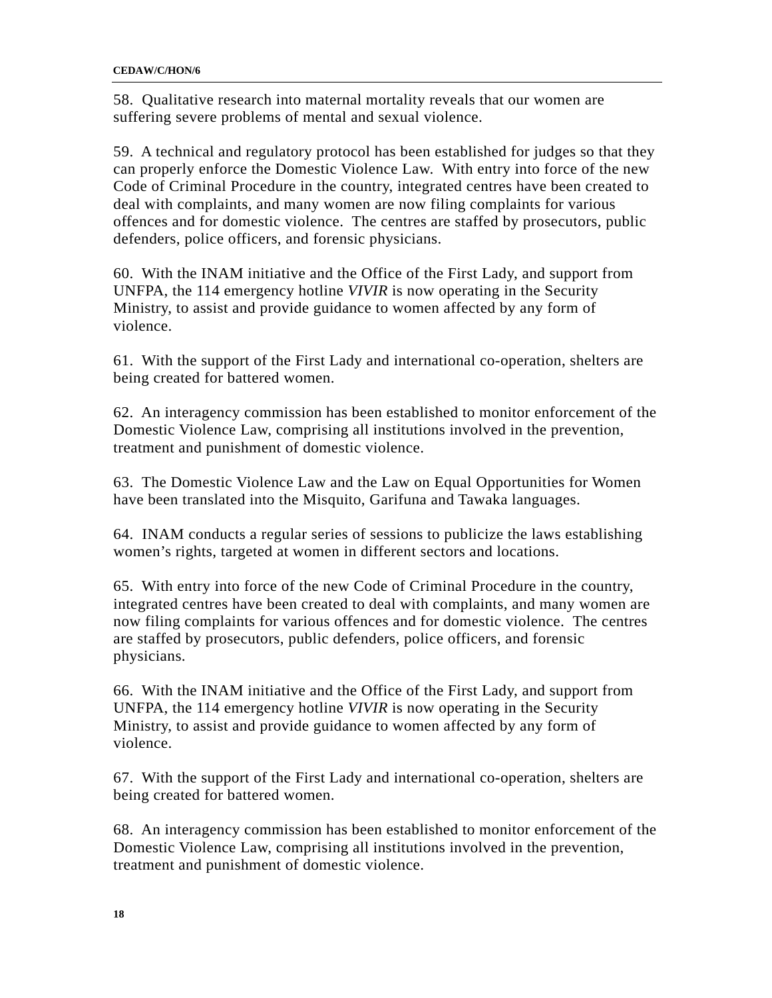58. Qualitative research into maternal mortality reveals that our women are suffering severe problems of mental and sexual violence.

59. A technical and regulatory protocol has been established for judges so that they can properly enforce the Domestic Violence Law. With entry into force of the new Code of Criminal Procedure in the country, integrated centres have been created to deal with complaints, and many women are now filing complaints for various offences and for domestic violence. The centres are staffed by prosecutors, public defenders, police officers, and forensic physicians.

60. With the INAM initiative and the Office of the First Lady, and support from UNFPA, the 114 emergency hotline *VIVIR* is now operating in the Security Ministry, to assist and provide guidance to women affected by any form of violence.

61. With the support of the First Lady and international co-operation, shelters are being created for battered women.

62. An interagency commission has been established to monitor enforcement of the Domestic Violence Law, comprising all institutions involved in the prevention, treatment and punishment of domestic violence.

63. The Domestic Violence Law and the Law on Equal Opportunities for Women have been translated into the Misquito, Garifuna and Tawaka languages.

64. INAM conducts a regular series of sessions to publicize the laws establishing women's rights, targeted at women in different sectors and locations.

65. With entry into force of the new Code of Criminal Procedure in the country, integrated centres have been created to deal with complaints, and many women are now filing complaints for various offences and for domestic violence. The centres are staffed by prosecutors, public defenders, police officers, and forensic physicians.

66. With the INAM initiative and the Office of the First Lady, and support from UNFPA, the 114 emergency hotline *VIVIR* is now operating in the Security Ministry, to assist and provide guidance to women affected by any form of violence.

67. With the support of the First Lady and international co-operation, shelters are being created for battered women.

68. An interagency commission has been established to monitor enforcement of the Domestic Violence Law, comprising all institutions involved in the prevention, treatment and punishment of domestic violence.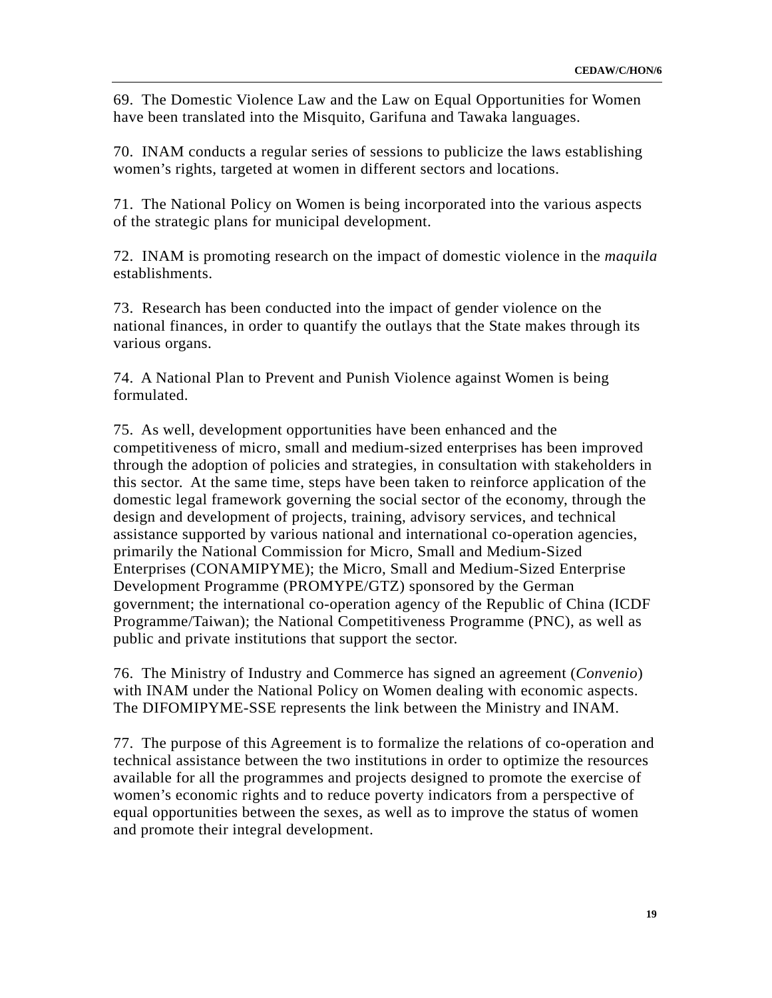69. The Domestic Violence Law and the Law on Equal Opportunities for Women have been translated into the Misquito, Garifuna and Tawaka languages.

70. INAM conducts a regular series of sessions to publicize the laws establishing women's rights, targeted at women in different sectors and locations.

71. The National Policy on Women is being incorporated into the various aspects of the strategic plans for municipal development.

72. INAM is promoting research on the impact of domestic violence in the *maquila* establishments.

73. Research has been conducted into the impact of gender violence on the national finances, in order to quantify the outlays that the State makes through its various organs.

74. A National Plan to Prevent and Punish Violence against Women is being formulated.

75. As well, development opportunities have been enhanced and the competitiveness of micro, small and medium-sized enterprises has been improved through the adoption of policies and strategies, in consultation with stakeholders in this sector. At the same time, steps have been taken to reinforce application of the domestic legal framework governing the social sector of the economy, through the design and development of projects, training, advisory services, and technical assistance supported by various national and international co-operation agencies, primarily the National Commission for Micro, Small and Medium-Sized Enterprises (CONAMIPYME); the Micro, Small and Medium-Sized Enterprise Development Programme (PROMYPE/GTZ) sponsored by the German government; the international co-operation agency of the Republic of China (ICDF Programme/Taiwan); the National Competitiveness Programme (PNC), as well as public and private institutions that support the sector.

76. The Ministry of Industry and Commerce has signed an agreement (*Convenio*) with INAM under the National Policy on Women dealing with economic aspects. The DIFOMIPYME-SSE represents the link between the Ministry and INAM.

77. The purpose of this Agreement is to formalize the relations of co-operation and technical assistance between the two institutions in order to optimize the resources available for all the programmes and projects designed to promote the exercise of women's economic rights and to reduce poverty indicators from a perspective of equal opportunities between the sexes, as well as to improve the status of women and promote their integral development.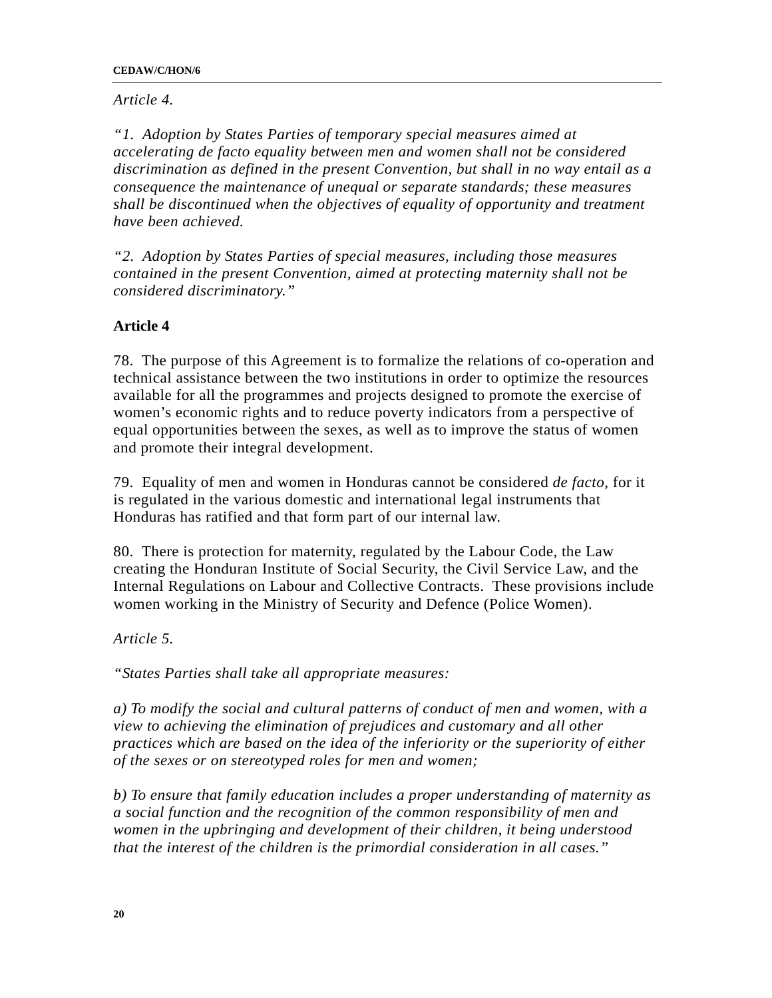#### **CEDAW/C/HON/6**

### *Article 4.*

*"1. Adoption by States Parties of temporary special measures aimed at accelerating de facto equality between men and women shall not be considered discrimination as defined in the present Convention, but shall in no way entail as a consequence the maintenance of unequal or separate standards; these measures shall be discontinued when the objectives of equality of opportunity and treatment have been achieved.* 

*"2. Adoption by States Parties of special measures, including those measures contained in the present Convention, aimed at protecting maternity shall not be considered discriminatory."* 

## **Article 4**

78. The purpose of this Agreement is to formalize the relations of co-operation and technical assistance between the two institutions in order to optimize the resources available for all the programmes and projects designed to promote the exercise of women's economic rights and to reduce poverty indicators from a perspective of equal opportunities between the sexes, as well as to improve the status of women and promote their integral development.

79. Equality of men and women in Honduras cannot be considered *de facto*, for it is regulated in the various domestic and international legal instruments that Honduras has ratified and that form part of our internal law.

80. There is protection for maternity, regulated by the Labour Code, the Law creating the Honduran Institute of Social Security, the Civil Service Law, and the Internal Regulations on Labour and Collective Contracts. These provisions include women working in the Ministry of Security and Defence (Police Women).

*Article 5.* 

*"States Parties shall take all appropriate measures:* 

*a) To modify the social and cultural patterns of conduct of men and women, with a view to achieving the elimination of prejudices and customary and all other practices which are based on the idea of the inferiority or the superiority of either of the sexes or on stereotyped roles for men and women;* 

*b) To ensure that family education includes a proper understanding of maternity as a social function and the recognition of the common responsibility of men and women in the upbringing and development of their children, it being understood that the interest of the children is the primordial consideration in all cases."*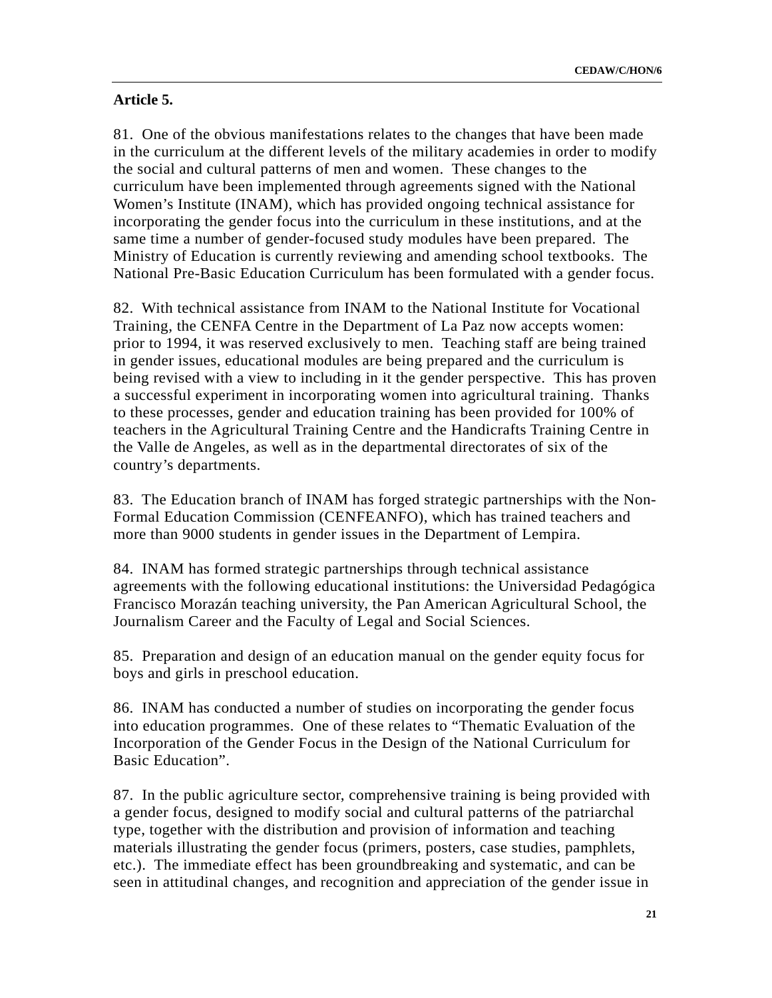### **Article 5.**

81. One of the obvious manifestations relates to the changes that have been made in the curriculum at the different levels of the military academies in order to modify the social and cultural patterns of men and women. These changes to the curriculum have been implemented through agreements signed with the National Women's Institute (INAM), which has provided ongoing technical assistance for incorporating the gender focus into the curriculum in these institutions, and at the same time a number of gender-focused study modules have been prepared. The Ministry of Education is currently reviewing and amending school textbooks. The National Pre-Basic Education Curriculum has been formulated with a gender focus.

82. With technical assistance from INAM to the National Institute for Vocational Training, the CENFA Centre in the Department of La Paz now accepts women: prior to 1994, it was reserved exclusively to men. Teaching staff are being trained in gender issues, educational modules are being prepared and the curriculum is being revised with a view to including in it the gender perspective. This has proven a successful experiment in incorporating women into agricultural training. Thanks to these processes, gender and education training has been provided for 100% of teachers in the Agricultural Training Centre and the Handicrafts Training Centre in the Valle de Angeles, as well as in the departmental directorates of six of the country's departments.

83. The Education branch of INAM has forged strategic partnerships with the Non-Formal Education Commission (CENFEANFO), which has trained teachers and more than 9000 students in gender issues in the Department of Lempira.

84. INAM has formed strategic partnerships through technical assistance agreements with the following educational institutions: the Universidad Pedagógica Francisco Morazán teaching university, the Pan American Agricultural School, the Journalism Career and the Faculty of Legal and Social Sciences.

85. Preparation and design of an education manual on the gender equity focus for boys and girls in preschool education.

86. INAM has conducted a number of studies on incorporating the gender focus into education programmes. One of these relates to "Thematic Evaluation of the Incorporation of the Gender Focus in the Design of the National Curriculum for Basic Education".

87. In the public agriculture sector, comprehensive training is being provided with a gender focus, designed to modify social and cultural patterns of the patriarchal type, together with the distribution and provision of information and teaching materials illustrating the gender focus (primers, posters, case studies, pamphlets, etc.). The immediate effect has been groundbreaking and systematic, and can be seen in attitudinal changes, and recognition and appreciation of the gender issue in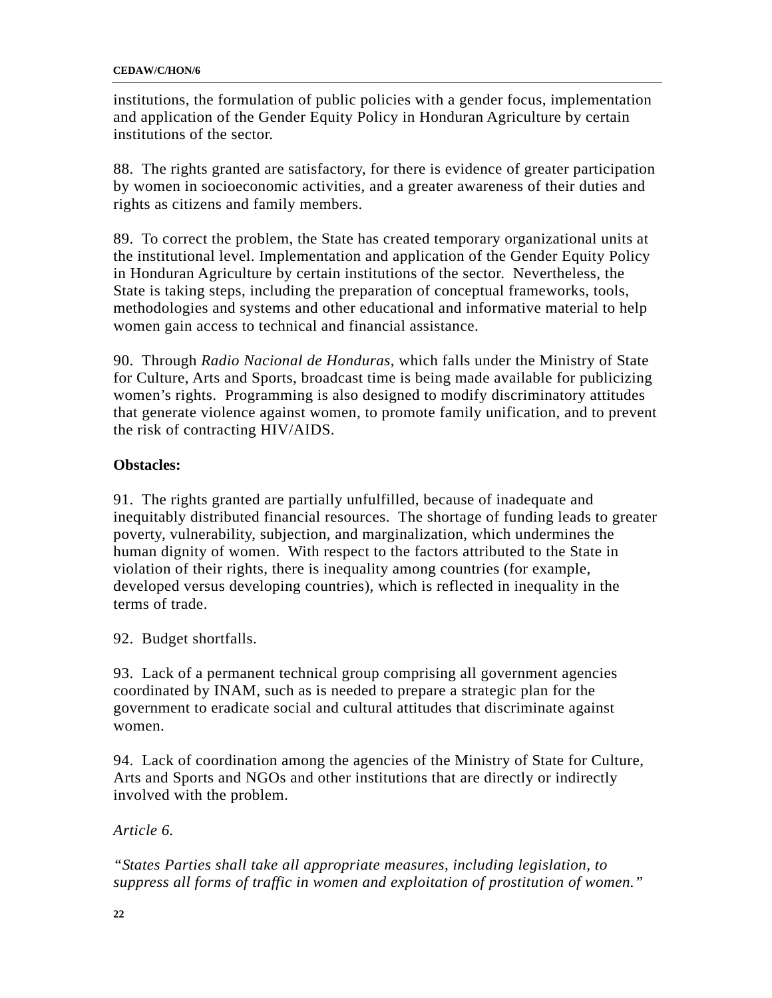institutions, the formulation of public policies with a gender focus, implementation and application of the Gender Equity Policy in Honduran Agriculture by certain institutions of the sector.

88. The rights granted are satisfactory, for there is evidence of greater participation by women in socioeconomic activities, and a greater awareness of their duties and rights as citizens and family members.

89. To correct the problem, the State has created temporary organizational units at the institutional level. Implementation and application of the Gender Equity Policy in Honduran Agriculture by certain institutions of the sector. Nevertheless, the State is taking steps, including the preparation of conceptual frameworks, tools, methodologies and systems and other educational and informative material to help women gain access to technical and financial assistance.

90. Through *Radio Nacional de Honduras*, which falls under the Ministry of State for Culture, Arts and Sports, broadcast time is being made available for publicizing women's rights. Programming is also designed to modify discriminatory attitudes that generate violence against women, to promote family unification, and to prevent the risk of contracting HIV/AIDS.

## **Obstacles:**

91. The rights granted are partially unfulfilled, because of inadequate and inequitably distributed financial resources. The shortage of funding leads to greater poverty, vulnerability, subjection, and marginalization, which undermines the human dignity of women. With respect to the factors attributed to the State in violation of their rights, there is inequality among countries (for example, developed versus developing countries), which is reflected in inequality in the terms of trade.

92. Budget shortfalls.

93. Lack of a permanent technical group comprising all government agencies coordinated by INAM, such as is needed to prepare a strategic plan for the government to eradicate social and cultural attitudes that discriminate against women.

94. Lack of coordination among the agencies of the Ministry of State for Culture, Arts and Sports and NGOs and other institutions that are directly or indirectly involved with the problem.

*Article 6.* 

*"States Parties shall take all appropriate measures, including legislation, to suppress all forms of traffic in women and exploitation of prostitution of women."*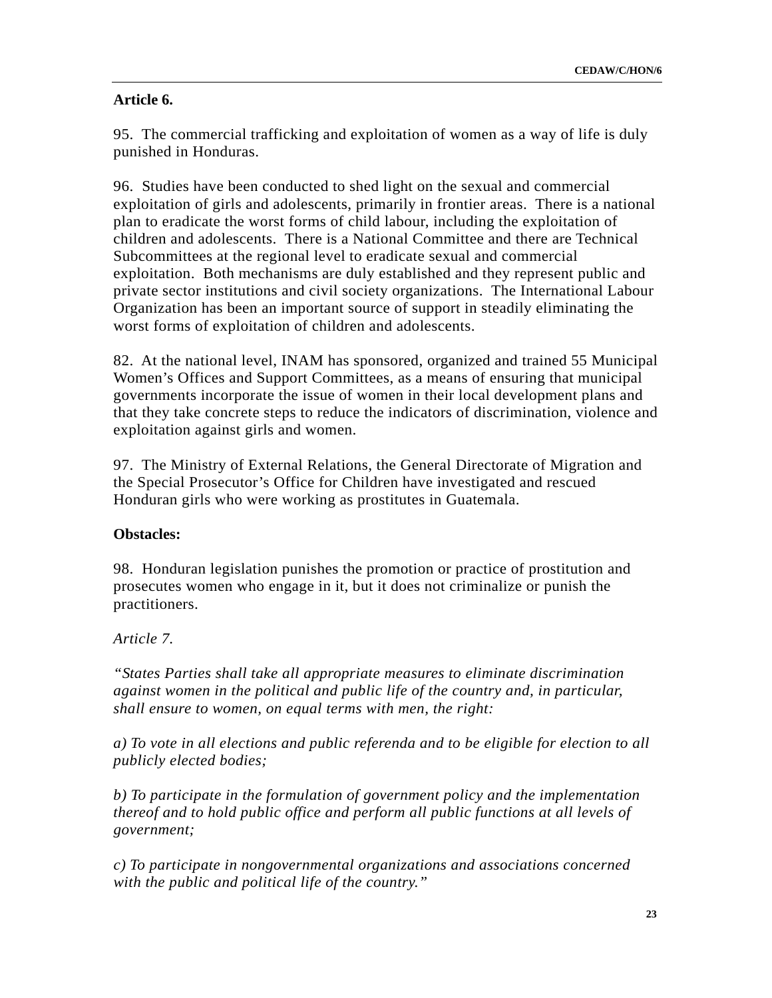## **Article 6.**

95. The commercial trafficking and exploitation of women as a way of life is duly punished in Honduras.

96. Studies have been conducted to shed light on the sexual and commercial exploitation of girls and adolescents, primarily in frontier areas. There is a national plan to eradicate the worst forms of child labour, including the exploitation of children and adolescents. There is a National Committee and there are Technical Subcommittees at the regional level to eradicate sexual and commercial exploitation. Both mechanisms are duly established and they represent public and private sector institutions and civil society organizations. The International Labour Organization has been an important source of support in steadily eliminating the worst forms of exploitation of children and adolescents.

82. At the national level, INAM has sponsored, organized and trained 55 Municipal Women's Offices and Support Committees, as a means of ensuring that municipal governments incorporate the issue of women in their local development plans and that they take concrete steps to reduce the indicators of discrimination, violence and exploitation against girls and women.

97. The Ministry of External Relations, the General Directorate of Migration and the Special Prosecutor's Office for Children have investigated and rescued Honduran girls who were working as prostitutes in Guatemala.

### **Obstacles:**

98. Honduran legislation punishes the promotion or practice of prostitution and prosecutes women who engage in it, but it does not criminalize or punish the practitioners.

### *Article 7.*

*"States Parties shall take all appropriate measures to eliminate discrimination against women in the political and public life of the country and, in particular, shall ensure to women, on equal terms with men, the right:* 

*a) To vote in all elections and public referenda and to be eligible for election to all publicly elected bodies;* 

*b) To participate in the formulation of government policy and the implementation thereof and to hold public office and perform all public functions at all levels of government;* 

*c) To participate in nongovernmental organizations and associations concerned with the public and political life of the country."*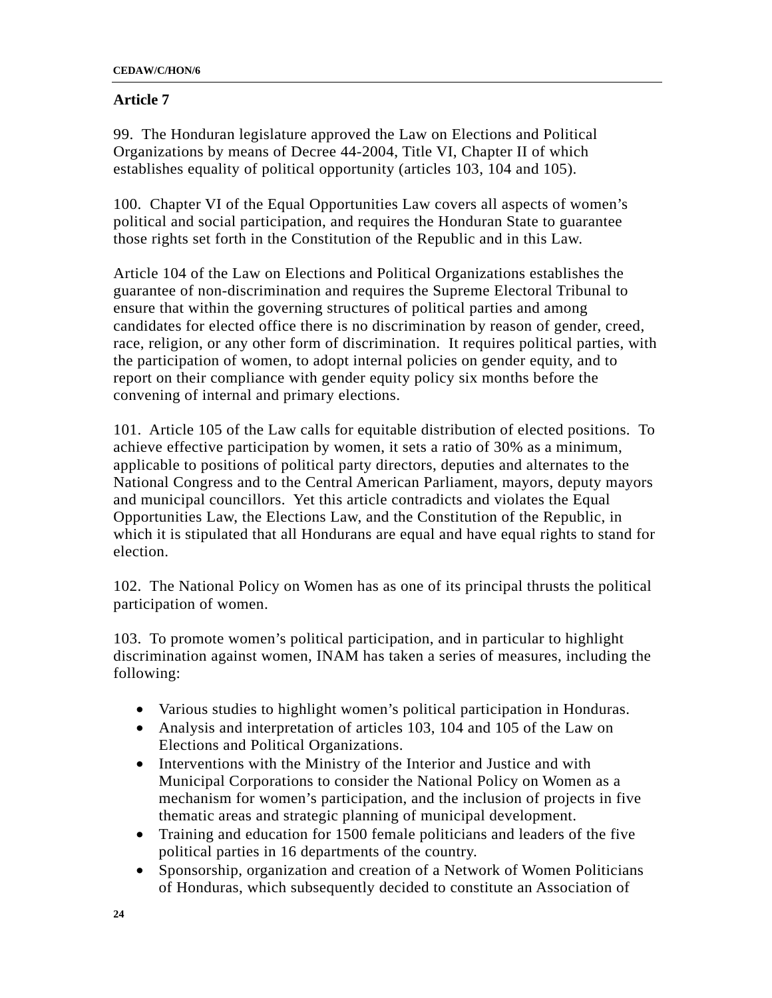## **Article 7**

99. The Honduran legislature approved the Law on Elections and Political Organizations by means of Decree 44-2004, Title VI, Chapter II of which establishes equality of political opportunity (articles 103, 104 and 105).

100. Chapter VI of the Equal Opportunities Law covers all aspects of women's political and social participation, and requires the Honduran State to guarantee those rights set forth in the Constitution of the Republic and in this Law.

Article 104 of the Law on Elections and Political Organizations establishes the guarantee of non-discrimination and requires the Supreme Electoral Tribunal to ensure that within the governing structures of political parties and among candidates for elected office there is no discrimination by reason of gender, creed, race, religion, or any other form of discrimination. It requires political parties, with the participation of women, to adopt internal policies on gender equity, and to report on their compliance with gender equity policy six months before the convening of internal and primary elections.

101. Article 105 of the Law calls for equitable distribution of elected positions. To achieve effective participation by women, it sets a ratio of 30% as a minimum, applicable to positions of political party directors, deputies and alternates to the National Congress and to the Central American Parliament, mayors, deputy mayors and municipal councillors. Yet this article contradicts and violates the Equal Opportunities Law, the Elections Law, and the Constitution of the Republic, in which it is stipulated that all Hondurans are equal and have equal rights to stand for election.

102. The National Policy on Women has as one of its principal thrusts the political participation of women.

103. To promote women's political participation, and in particular to highlight discrimination against women, INAM has taken a series of measures, including the following:

- Various studies to highlight women's political participation in Honduras.
- Analysis and interpretation of articles 103, 104 and 105 of the Law on Elections and Political Organizations.
- Interventions with the Ministry of the Interior and Justice and with Municipal Corporations to consider the National Policy on Women as a mechanism for women's participation, and the inclusion of projects in five thematic areas and strategic planning of municipal development.
- Training and education for 1500 female politicians and leaders of the five political parties in 16 departments of the country.
- Sponsorship, organization and creation of a Network of Women Politicians of Honduras, which subsequently decided to constitute an Association of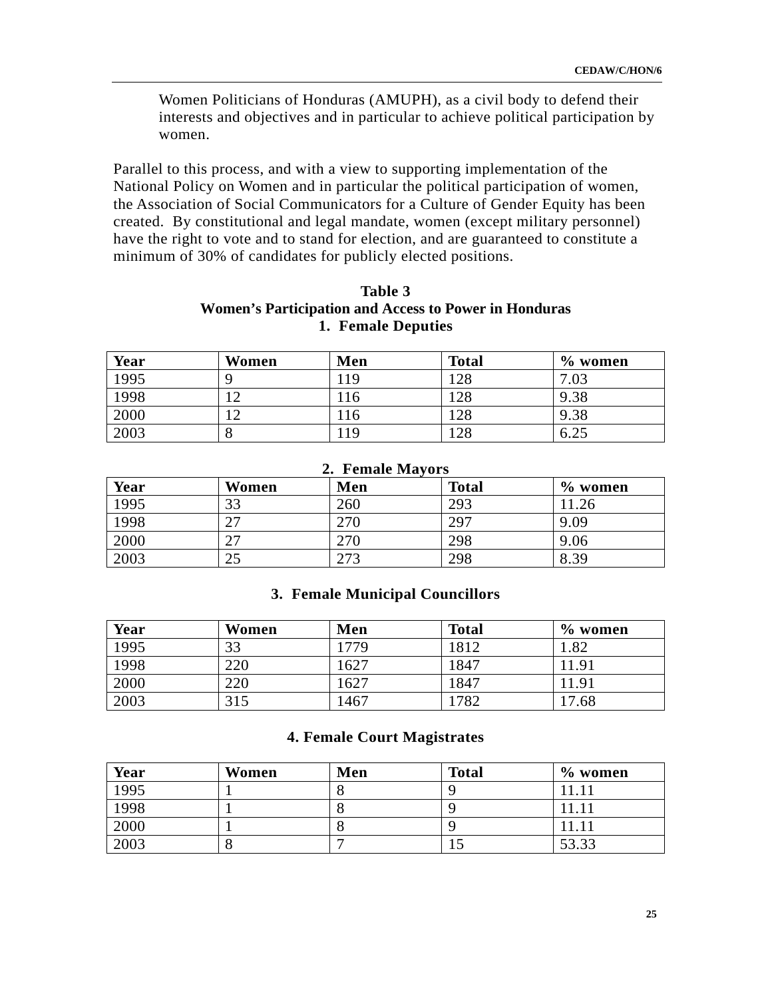Women Politicians of Honduras (AMUPH), as a civil body to defend their interests and objectives and in particular to achieve political participation by women.

Parallel to this process, and with a view to supporting implementation of the National Policy on Women and in particular the political participation of women, the Association of Social Communicators for a Culture of Gender Equity has been created. By constitutional and legal mandate, women (except military personnel) have the right to vote and to stand for election, and are guaranteed to constitute a minimum of 30% of candidates for publicly elected positions.

### **Table 3 Women's Participation and Access to Power in Honduras 1. Female Deputies**

| Year | Women      | Men | <b>Total</b> | $\%$ women |
|------|------------|-----|--------------|------------|
| 1995 |            | 19  | 28           | 7.03       |
| 1998 | $\sqrt{2}$ | 116 | 128          | 9.38       |
| 2000 | ◠          | .16 | 28           | 9.38       |
| 2003 |            | 19  | 28           | 0.ZJ       |

| Year | Women | Men | <b>Total</b> | $\%$ women |  |
|------|-------|-----|--------------|------------|--|
| 1995 | 33    | 260 | 293          | 11.26      |  |
| 1998 | דר    | 270 | 297          | 9.09       |  |
| 2000 | ົາ    | 270 | 298          | 9.06       |  |
| 2003 | 25    | 273 | 298          | 8.39       |  |

#### **2. Female Mayors**

#### **3. Female Municipal Councillors**

| Year | Women | Men  | <b>Total</b> | $\%$ women |
|------|-------|------|--------------|------------|
| 1995 | 33    | 1779 | 1812         | 1.82       |
| 1998 | 220   | 1627 | 1847         | 11.91      |
| 2000 | 220   | 1627 | 1847         | 11.91      |
| 2003 | 315   | 1467 | .782         | 17.68      |

### **4. Female Court Magistrates**

| Year | Women | Men | <b>Total</b> | $\%$ women |
|------|-------|-----|--------------|------------|
| 1995 |       |     |              |            |
| 1998 |       |     |              |            |
| 2000 |       |     |              |            |
| 2003 | O     |     | ⊥ັ           | 53.33      |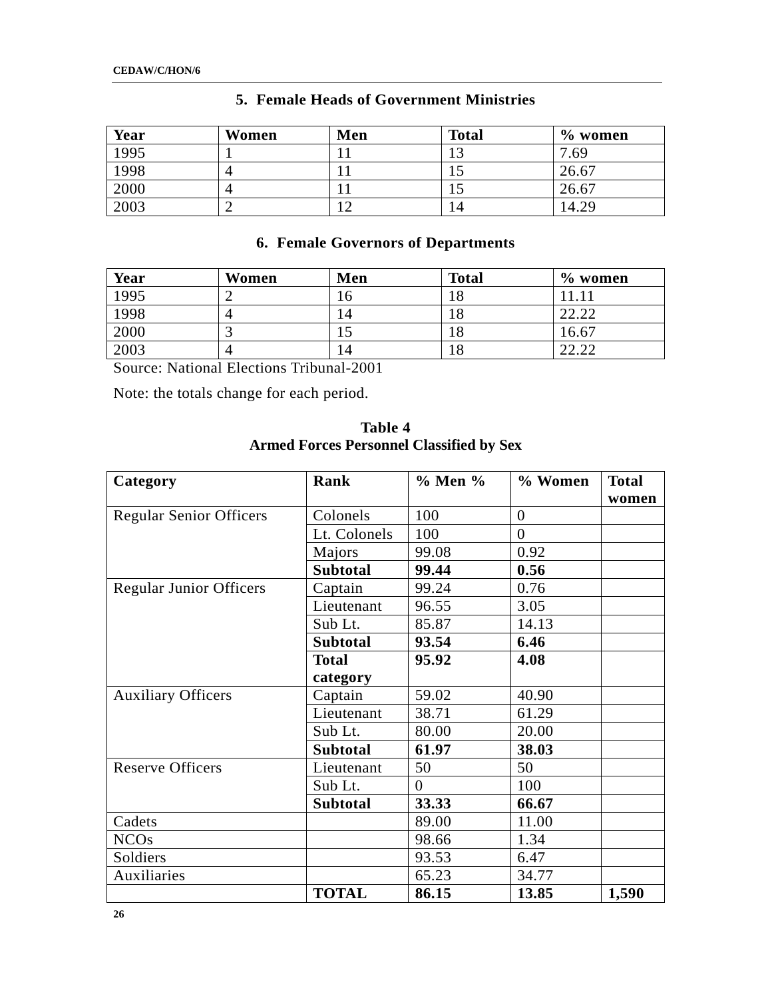| Year | Women | Men       | <b>Total</b> | $\%$ women |
|------|-------|-----------|--------------|------------|
| 1995 |       | 1 T       |              | .69        |
| 1998 | 4     | 11        | ⊥⊃           | 26.67      |
| 2000 | 4     | . .       |              | 26.67      |
| 2003 | ∽     | $\bigcap$ | 14           | 4.29       |

# **5. Female Heads of Government Ministries**

## **6. Female Governors of Departments**

| Year              | Women | Men | <b>Total</b> | $\%$ women |
|-------------------|-------|-----|--------------|------------|
| $\overline{1995}$ |       | l 6 |              |            |
| 1998              |       | ۱4  | 18           | 22.22      |
| 2000              |       |     |              | 16.67      |
| 2003              | 4     | 14  | 18           | ാറ ററ      |

Source: National Elections Tribunal-2001

Note: the totals change for each period.

| Category                       | Rank            | $\%$ Men $\%$  | % Women        | <b>Total</b> |
|--------------------------------|-----------------|----------------|----------------|--------------|
|                                |                 |                |                | women        |
| <b>Regular Senior Officers</b> | Colonels        | 100            | $\overline{0}$ |              |
|                                | Lt. Colonels    | 100            | $\theta$       |              |
|                                | Majors          | 99.08          | 0.92           |              |
|                                | <b>Subtotal</b> | 99.44          | 0.56           |              |
| <b>Regular Junior Officers</b> | Captain         | 99.24          | 0.76           |              |
|                                | Lieutenant      | 96.55          | 3.05           |              |
|                                | Sub Lt.         | 85.87          | 14.13          |              |
|                                | <b>Subtotal</b> | 93.54          | 6.46           |              |
|                                | <b>Total</b>    | 95.92          | 4.08           |              |
|                                | category        |                |                |              |
| <b>Auxiliary Officers</b>      | Captain         | 59.02          | 40.90          |              |
|                                | Lieutenant      | 38.71          | 61.29          |              |
|                                | Sub Lt.         | 80.00          | 20.00          |              |
|                                | <b>Subtotal</b> | 61.97          | 38.03          |              |
| <b>Reserve Officers</b>        | Lieutenant      | 50             | 50             |              |
|                                | Sub Lt.         | $\overline{0}$ | 100            |              |
|                                | <b>Subtotal</b> | 33.33          | 66.67          |              |
| Cadets                         |                 | 89.00          | 11.00          |              |
| <b>NCOs</b>                    |                 | 98.66          | 1.34           |              |
| Soldiers                       |                 | 93.53          | 6.47           |              |
| Auxiliaries                    |                 | 65.23          | 34.77          |              |
|                                | <b>TOTAL</b>    | 86.15          | 13.85          | 1,590        |

**Table 4 Armed Forces Personnel Classified by Sex**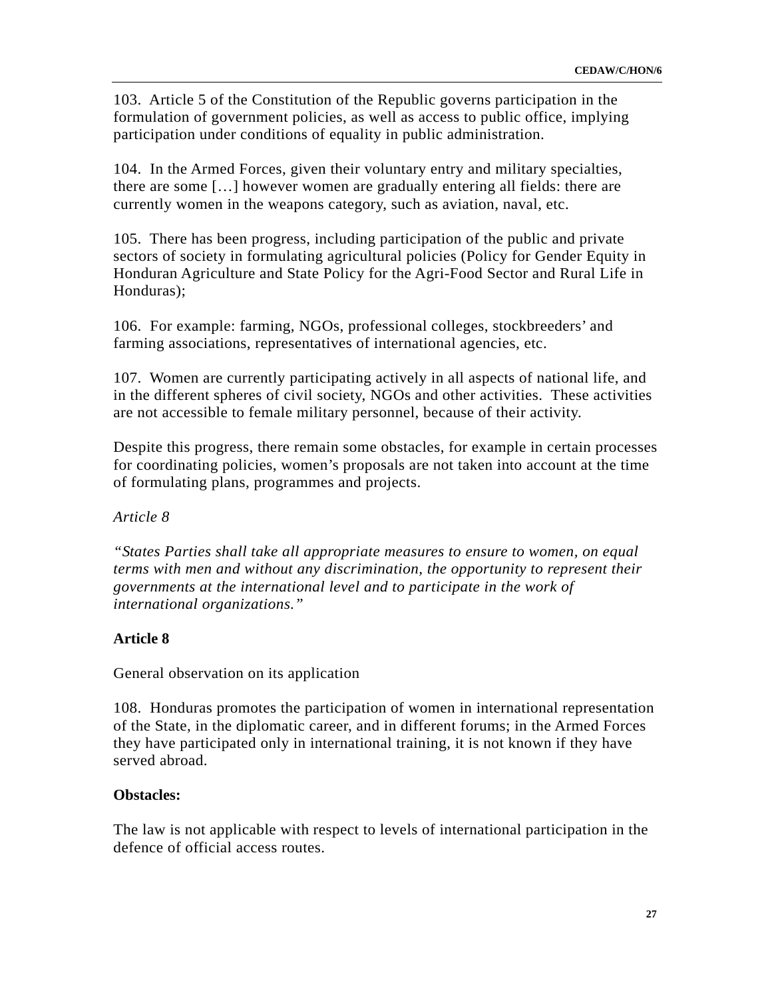103. Article 5 of the Constitution of the Republic governs participation in the formulation of government policies, as well as access to public office, implying participation under conditions of equality in public administration.

104. In the Armed Forces, given their voluntary entry and military specialties, there are some […] however women are gradually entering all fields: there are currently women in the weapons category, such as aviation, naval, etc.

105. There has been progress, including participation of the public and private sectors of society in formulating agricultural policies (Policy for Gender Equity in Honduran Agriculture and State Policy for the Agri-Food Sector and Rural Life in Honduras);

106. For example: farming, NGOs, professional colleges, stockbreeders' and farming associations, representatives of international agencies, etc.

107. Women are currently participating actively in all aspects of national life, and in the different spheres of civil society, NGOs and other activities. These activities are not accessible to female military personnel, because of their activity.

Despite this progress, there remain some obstacles, for example in certain processes for coordinating policies, women's proposals are not taken into account at the time of formulating plans, programmes and projects.

## *Article 8*

*"States Parties shall take all appropriate measures to ensure to women, on equal terms with men and without any discrimination, the opportunity to represent their governments at the international level and to participate in the work of international organizations."* 

## **Article 8**

General observation on its application

108. Honduras promotes the participation of women in international representation of the State, in the diplomatic career, and in different forums; in the Armed Forces they have participated only in international training, it is not known if they have served abroad.

### **Obstacles:**

The law is not applicable with respect to levels of international participation in the defence of official access routes.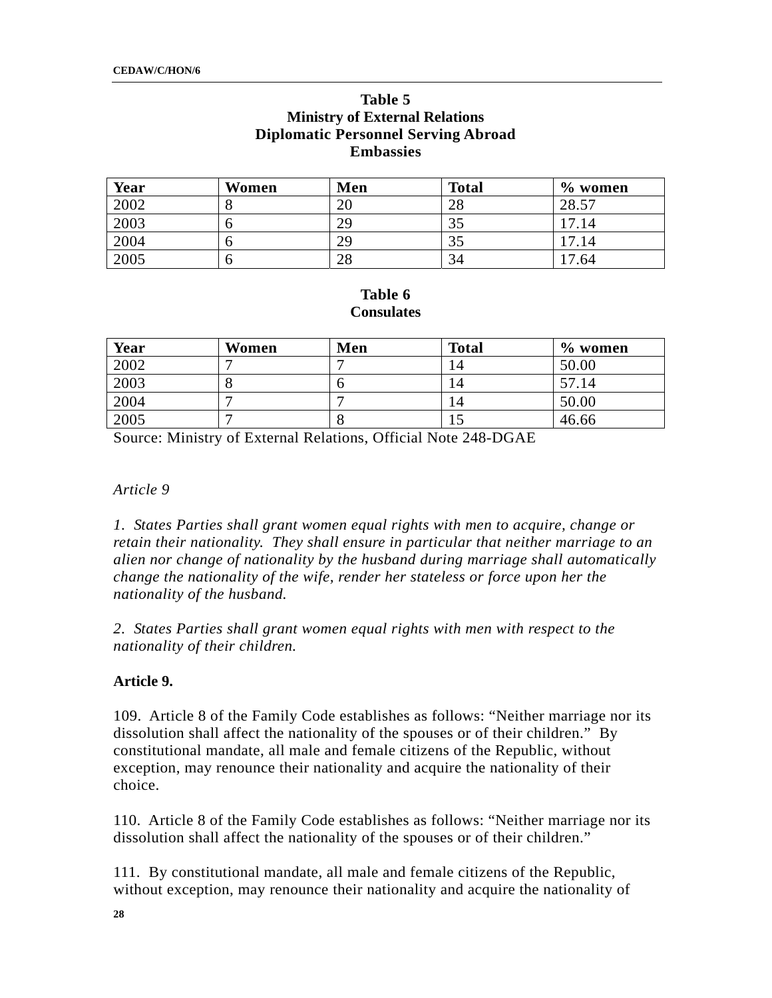### **Table 5 Ministry of External Relations Diplomatic Personnel Serving Abroad Embassies**

| Year | Women | Men | <b>Total</b> | $\%$ women |
|------|-------|-----|--------------|------------|
| 2002 |       | 20  | 28           | 28.57      |
| 2003 |       | 29  | 35           | 17.14      |
| 2004 |       | 29  | 35           | 17.14      |
| 2005 | O     | 28  | 34           | 17.64      |

### **Table 6 Consulates**

| Year | Women | Men | <b>Total</b> | $\%$ women |
|------|-------|-----|--------------|------------|
| 2002 |       |     | 14           | 50.00      |
| 2003 |       |     | 14           | 57.14      |
| 2004 |       |     | l 4          | 50.00      |
| 2005 |       |     |              | 46.66      |

Source: Ministry of External Relations, Official Note 248-DGAE

#### *Article 9*

*1. States Parties shall grant women equal rights with men to acquire, change or retain their nationality. They shall ensure in particular that neither marriage to an alien nor change of nationality by the husband during marriage shall automatically change the nationality of the wife, render her stateless or force upon her the nationality of the husband.* 

*2. States Parties shall grant women equal rights with men with respect to the nationality of their children.* 

#### **Article 9.**

109. Article 8 of the Family Code establishes as follows: "Neither marriage nor its dissolution shall affect the nationality of the spouses or of their children." By constitutional mandate, all male and female citizens of the Republic, without exception, may renounce their nationality and acquire the nationality of their choice.

110. Article 8 of the Family Code establishes as follows: "Neither marriage nor its dissolution shall affect the nationality of the spouses or of their children."

111. By constitutional mandate, all male and female citizens of the Republic, without exception, may renounce their nationality and acquire the nationality of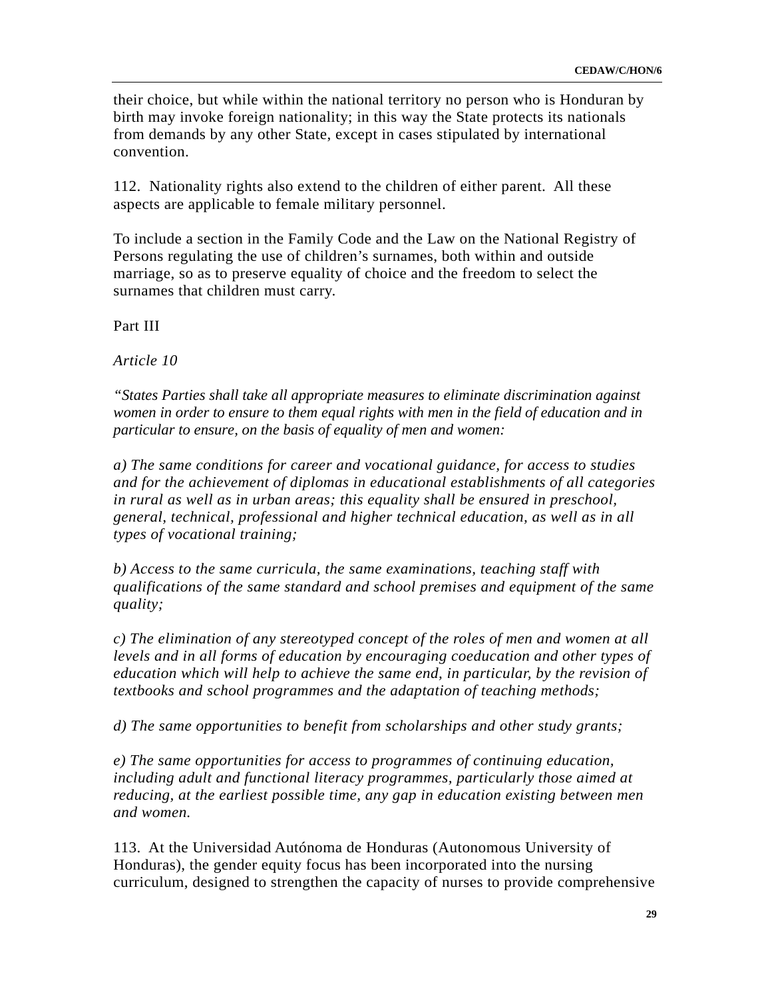their choice, but while within the national territory no person who is Honduran by birth may invoke foreign nationality; in this way the State protects its nationals from demands by any other State, except in cases stipulated by international convention.

112. Nationality rights also extend to the children of either parent. All these aspects are applicable to female military personnel.

To include a section in the Family Code and the Law on the National Registry of Persons regulating the use of children's surnames, both within and outside marriage, so as to preserve equality of choice and the freedom to select the surnames that children must carry.

Part III

*Article 10* 

*"States Parties shall take all appropriate measures to eliminate discrimination against women in order to ensure to them equal rights with men in the field of education and in particular to ensure, on the basis of equality of men and women:* 

*a) The same conditions for career and vocational guidance, for access to studies and for the achievement of diplomas in educational establishments of all categories in rural as well as in urban areas; this equality shall be ensured in preschool, general, technical, professional and higher technical education, as well as in all types of vocational training;* 

*b) Access to the same curricula, the same examinations, teaching staff with qualifications of the same standard and school premises and equipment of the same quality;* 

*c) The elimination of any stereotyped concept of the roles of men and women at all levels and in all forms of education by encouraging coeducation and other types of education which will help to achieve the same end, in particular, by the revision of textbooks and school programmes and the adaptation of teaching methods;* 

*d) The same opportunities to benefit from scholarships and other study grants;* 

*e) The same opportunities for access to programmes of continuing education, including adult and functional literacy programmes, particularly those aimed at reducing, at the earliest possible time, any gap in education existing between men and women.* 

113. At the Universidad Autónoma de Honduras (Autonomous University of Honduras), the gender equity focus has been incorporated into the nursing curriculum, designed to strengthen the capacity of nurses to provide comprehensive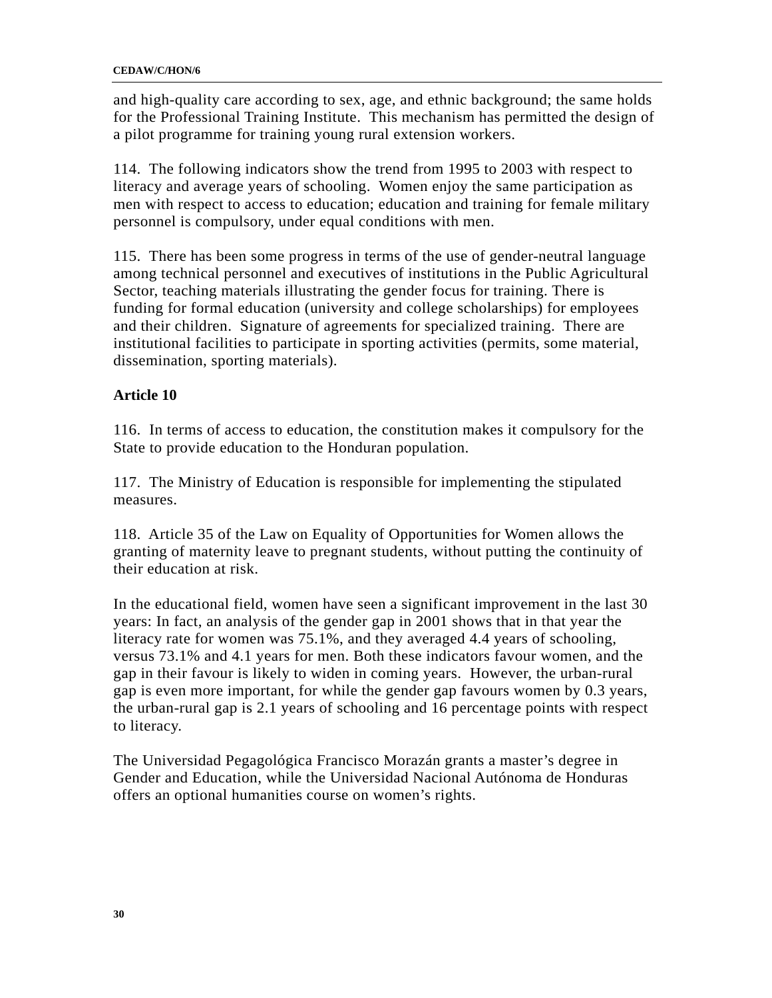and high-quality care according to sex, age, and ethnic background; the same holds for the Professional Training Institute. This mechanism has permitted the design of a pilot programme for training young rural extension workers.

114. The following indicators show the trend from 1995 to 2003 with respect to literacy and average years of schooling. Women enjoy the same participation as men with respect to access to education; education and training for female military personnel is compulsory, under equal conditions with men.

115. There has been some progress in terms of the use of gender-neutral language among technical personnel and executives of institutions in the Public Agricultural Sector, teaching materials illustrating the gender focus for training. There is funding for formal education (university and college scholarships) for employees and their children. Signature of agreements for specialized training. There are institutional facilities to participate in sporting activities (permits, some material, dissemination, sporting materials).

## **Article 10**

116. In terms of access to education, the constitution makes it compulsory for the State to provide education to the Honduran population.

117. The Ministry of Education is responsible for implementing the stipulated measures.

118. Article 35 of the Law on Equality of Opportunities for Women allows the granting of maternity leave to pregnant students, without putting the continuity of their education at risk.

In the educational field, women have seen a significant improvement in the last 30 years: In fact, an analysis of the gender gap in 2001 shows that in that year the literacy rate for women was 75.1%, and they averaged 4.4 years of schooling, versus 73.1% and 4.1 years for men. Both these indicators favour women, and the gap in their favour is likely to widen in coming years. However, the urban-rural gap is even more important, for while the gender gap favours women by 0.3 years, the urban-rural gap is 2.1 years of schooling and 16 percentage points with respect to literacy.

The Universidad Pegagológica Francisco Morazán grants a master's degree in Gender and Education, while the Universidad Nacional Autónoma de Honduras offers an optional humanities course on women's rights.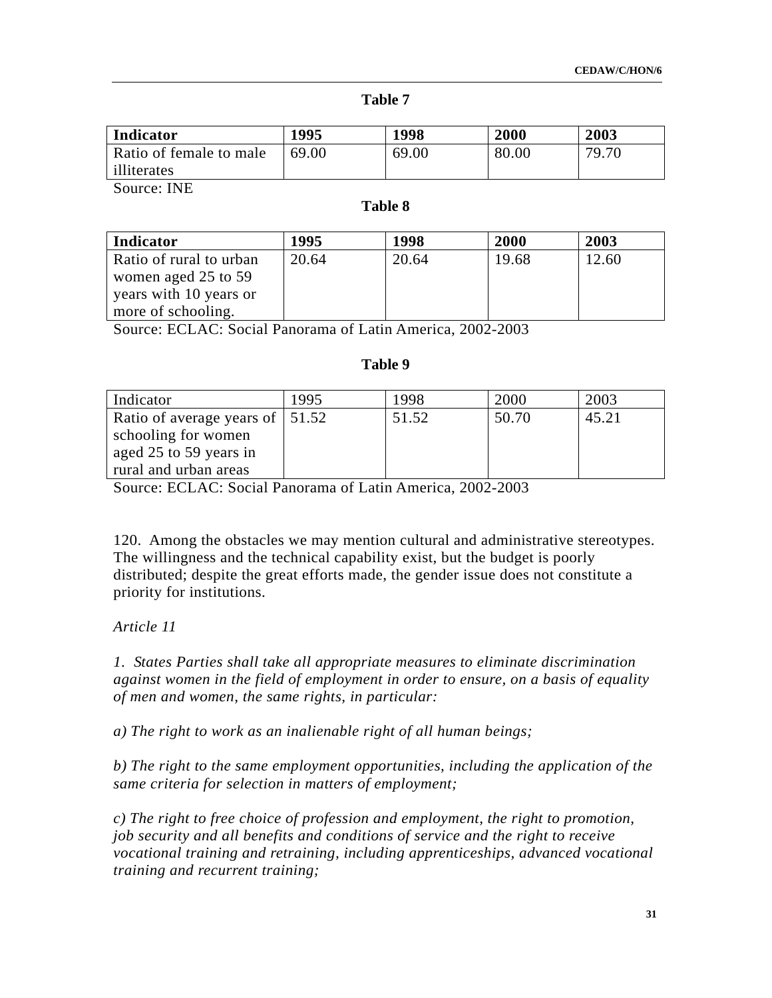#### **Table 7**

| Indicator               | 1995  | 1998  | 2000  | 2003  |
|-------------------------|-------|-------|-------|-------|
| Ratio of female to male | 69.00 | 69.00 | 80.00 | 79.70 |
| illiterates             |       |       |       |       |

Source: INE

#### **Table 8**

| Indicator               | 1995  | 1998  | 2000  | 2003  |
|-------------------------|-------|-------|-------|-------|
| Ratio of rural to urban | 20.64 | 20.64 | 19.68 | 12.60 |
| women aged 25 to 59     |       |       |       |       |
| years with 10 years or  |       |       |       |       |
| more of schooling.      |       |       |       |       |

Source: ECLAC: Social Panorama of Latin America, 2002-2003

#### **Table 9**

| Indicator                        | 1995 | 1998  | 2000  | 2003  |
|----------------------------------|------|-------|-------|-------|
| Ratio of average years of 151.52 |      | 51.52 | 50.70 | 45.21 |
| schooling for women              |      |       |       |       |
| aged 25 to 59 years in           |      |       |       |       |
| rural and urban areas            |      |       |       |       |

Source: ECLAC: Social Panorama of Latin America, 2002-2003

120. Among the obstacles we may mention cultural and administrative stereotypes. The willingness and the technical capability exist, but the budget is poorly distributed; despite the great efforts made, the gender issue does not constitute a priority for institutions.

### *Article 11*

*1. States Parties shall take all appropriate measures to eliminate discrimination against women in the field of employment in order to ensure, on a basis of equality of men and women, the same rights, in particular:* 

*a) The right to work as an inalienable right of all human beings;* 

*b) The right to the same employment opportunities, including the application of the same criteria for selection in matters of employment;* 

*c) The right to free choice of profession and employment, the right to promotion, job security and all benefits and conditions of service and the right to receive vocational training and retraining, including apprenticeships, advanced vocational training and recurrent training;*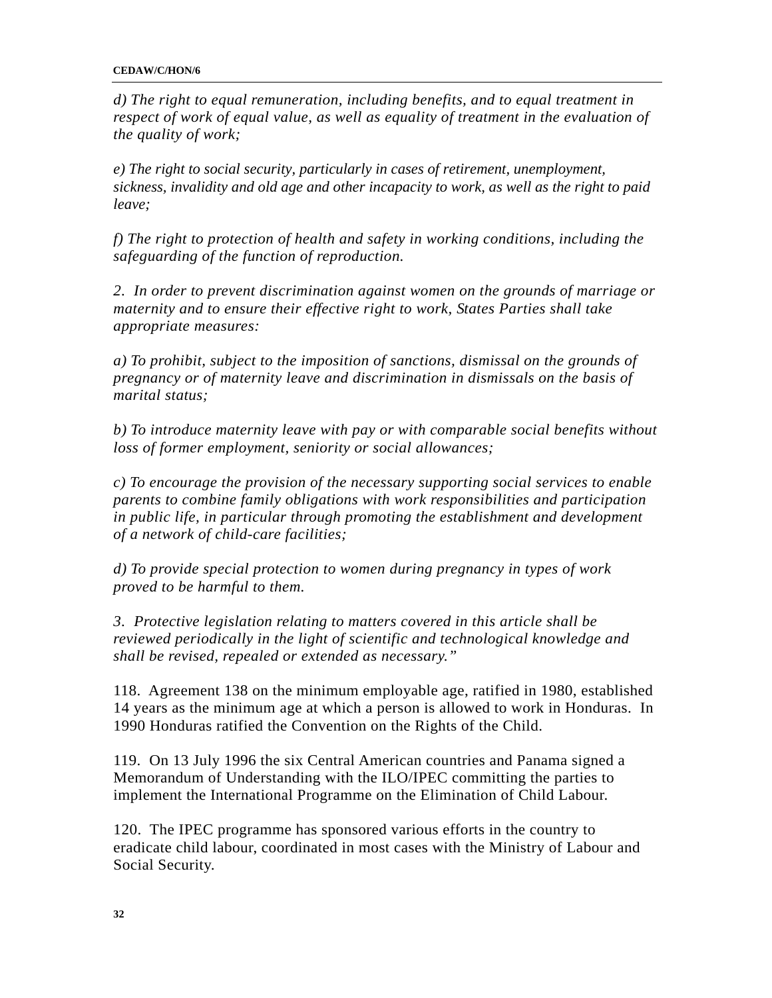#### **CEDAW/C/HON/6**

*d) The right to equal remuneration, including benefits, and to equal treatment in respect of work of equal value, as well as equality of treatment in the evaluation of the quality of work;* 

*e) The right to social security, particularly in cases of retirement, unemployment, sickness, invalidity and old age and other incapacity to work, as well as the right to paid leave;* 

*f) The right to protection of health and safety in working conditions, including the safeguarding of the function of reproduction.* 

*2. In order to prevent discrimination against women on the grounds of marriage or maternity and to ensure their effective right to work, States Parties shall take appropriate measures:* 

*a) To prohibit, subject to the imposition of sanctions, dismissal on the grounds of pregnancy or of maternity leave and discrimination in dismissals on the basis of marital status;* 

*b) To introduce maternity leave with pay or with comparable social benefits without loss of former employment, seniority or social allowances;* 

*c) To encourage the provision of the necessary supporting social services to enable parents to combine family obligations with work responsibilities and participation in public life, in particular through promoting the establishment and development of a network of child-care facilities;* 

*d) To provide special protection to women during pregnancy in types of work proved to be harmful to them.* 

*3. Protective legislation relating to matters covered in this article shall be reviewed periodically in the light of scientific and technological knowledge and shall be revised, repealed or extended as necessary."* 

118. Agreement 138 on the minimum employable age, ratified in 1980, established 14 years as the minimum age at which a person is allowed to work in Honduras. In 1990 Honduras ratified the Convention on the Rights of the Child.

119. On 13 July 1996 the six Central American countries and Panama signed a Memorandum of Understanding with the ILO/IPEC committing the parties to implement the International Programme on the Elimination of Child Labour.

120. The IPEC programme has sponsored various efforts in the country to eradicate child labour, coordinated in most cases with the Ministry of Labour and Social Security.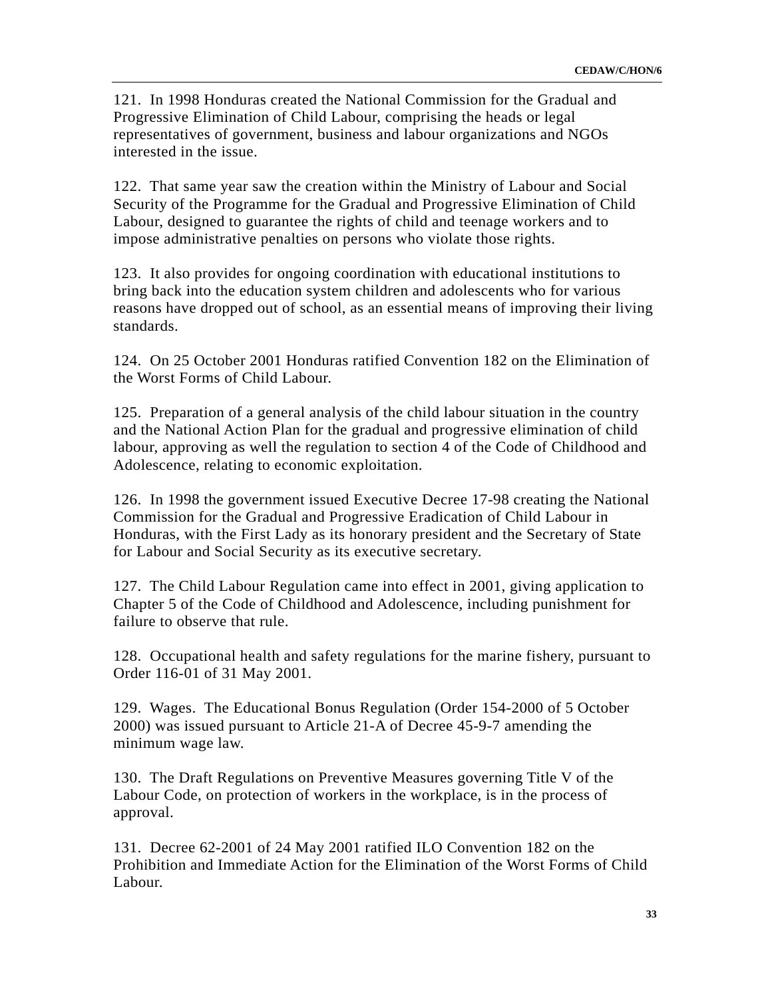121. In 1998 Honduras created the National Commission for the Gradual and Progressive Elimination of Child Labour, comprising the heads or legal representatives of government, business and labour organizations and NGOs interested in the issue.

122. That same year saw the creation within the Ministry of Labour and Social Security of the Programme for the Gradual and Progressive Elimination of Child Labour, designed to guarantee the rights of child and teenage workers and to impose administrative penalties on persons who violate those rights.

123. It also provides for ongoing coordination with educational institutions to bring back into the education system children and adolescents who for various reasons have dropped out of school, as an essential means of improving their living standards.

124. On 25 October 2001 Honduras ratified Convention 182 on the Elimination of the Worst Forms of Child Labour.

125. Preparation of a general analysis of the child labour situation in the country and the National Action Plan for the gradual and progressive elimination of child labour, approving as well the regulation to section 4 of the Code of Childhood and Adolescence, relating to economic exploitation.

126. In 1998 the government issued Executive Decree 17-98 creating the National Commission for the Gradual and Progressive Eradication of Child Labour in Honduras, with the First Lady as its honorary president and the Secretary of State for Labour and Social Security as its executive secretary.

127. The Child Labour Regulation came into effect in 2001, giving application to Chapter 5 of the Code of Childhood and Adolescence, including punishment for failure to observe that rule.

128. Occupational health and safety regulations for the marine fishery, pursuant to Order 116-01 of 31 May 2001.

129. Wages. The Educational Bonus Regulation (Order 154-2000 of 5 October 2000) was issued pursuant to Article 21-A of Decree 45-9-7 amending the minimum wage law.

130. The Draft Regulations on Preventive Measures governing Title V of the Labour Code, on protection of workers in the workplace, is in the process of approval.

131. Decree 62-2001 of 24 May 2001 ratified ILO Convention 182 on the Prohibition and Immediate Action for the Elimination of the Worst Forms of Child Labour.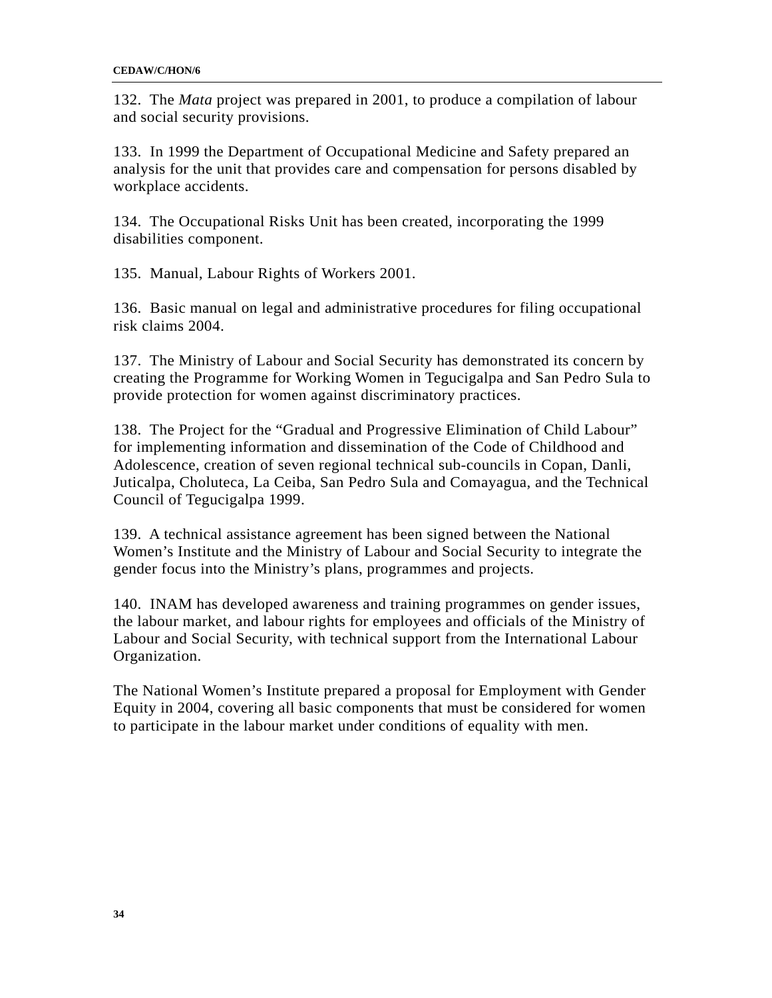132. The *Mata* project was prepared in 2001, to produce a compilation of labour and social security provisions.

133. In 1999 the Department of Occupational Medicine and Safety prepared an analysis for the unit that provides care and compensation for persons disabled by workplace accidents.

134. The Occupational Risks Unit has been created, incorporating the 1999 disabilities component.

135. Manual, Labour Rights of Workers 2001.

136. Basic manual on legal and administrative procedures for filing occupational risk claims 2004.

137. The Ministry of Labour and Social Security has demonstrated its concern by creating the Programme for Working Women in Tegucigalpa and San Pedro Sula to provide protection for women against discriminatory practices.

138. The Project for the "Gradual and Progressive Elimination of Child Labour" for implementing information and dissemination of the Code of Childhood and Adolescence, creation of seven regional technical sub-councils in Copan, Danli, Juticalpa, Choluteca, La Ceiba, San Pedro Sula and Comayagua, and the Technical Council of Tegucigalpa 1999.

139. A technical assistance agreement has been signed between the National Women's Institute and the Ministry of Labour and Social Security to integrate the gender focus into the Ministry's plans, programmes and projects.

140. INAM has developed awareness and training programmes on gender issues, the labour market, and labour rights for employees and officials of the Ministry of Labour and Social Security, with technical support from the International Labour Organization.

The National Women's Institute prepared a proposal for Employment with Gender Equity in 2004, covering all basic components that must be considered for women to participate in the labour market under conditions of equality with men.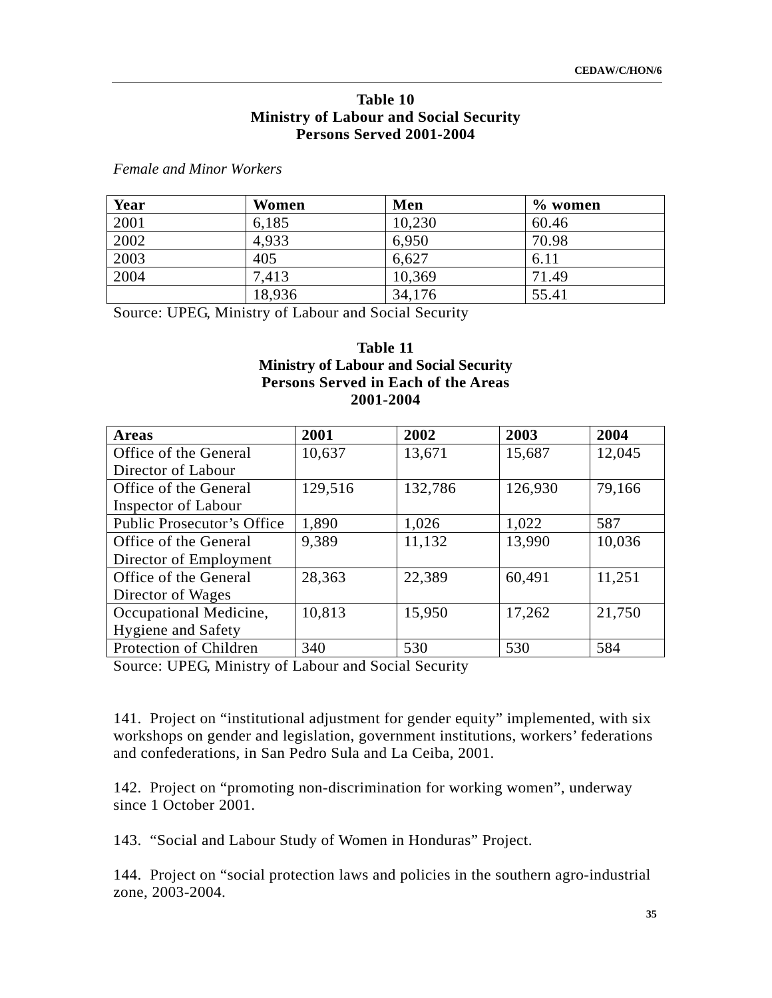#### **Table 10 Ministry of Labour and Social Security Persons Served 2001-2004**

*Female and Minor Workers* 

| Year | Women  | Men    | $\%$ women |
|------|--------|--------|------------|
| 2001 | 6,185  | 10,230 | 60.46      |
| 2002 | 4,933  | 6,950  | 70.98      |
| 2003 | 405    | 6,627  | 6.11       |
| 2004 | 7,413  | 10,369 | 71.49      |
|      | 18,936 | 34,176 | 55.41      |

Source: UPEG, Ministry of Labour and Social Security

### **Table 11 Ministry of Labour and Social Security Persons Served in Each of the Areas 2001-2004**

| <b>Areas</b>               | 2001    | 2002    | 2003    | 2004   |
|----------------------------|---------|---------|---------|--------|
| Office of the General      | 10,637  | 13,671  | 15,687  | 12,045 |
| Director of Labour         |         |         |         |        |
| Office of the General      | 129,516 | 132,786 | 126,930 | 79,166 |
| <b>Inspector of Labour</b> |         |         |         |        |
| Public Prosecutor's Office | 1,890   | 1,026   | 1,022   | 587    |
| Office of the General      | 9,389   | 11,132  | 13,990  | 10,036 |
| Director of Employment     |         |         |         |        |
| Office of the General      | 28,363  | 22,389  | 60,491  | 11,251 |
| Director of Wages          |         |         |         |        |
| Occupational Medicine,     | 10,813  | 15,950  | 17,262  | 21,750 |
| Hygiene and Safety         |         |         |         |        |
| Protection of Children     | 340     | 530     | 530     | 584    |

Source: UPEG, Ministry of Labour and Social Security

141. Project on "institutional adjustment for gender equity" implemented, with six workshops on gender and legislation, government institutions, workers' federations and confederations, in San Pedro Sula and La Ceiba, 2001.

142. Project on "promoting non-discrimination for working women", underway since 1 October 2001.

143. "Social and Labour Study of Women in Honduras" Project.

144. Project on "social protection laws and policies in the southern agro-industrial zone, 2003-2004.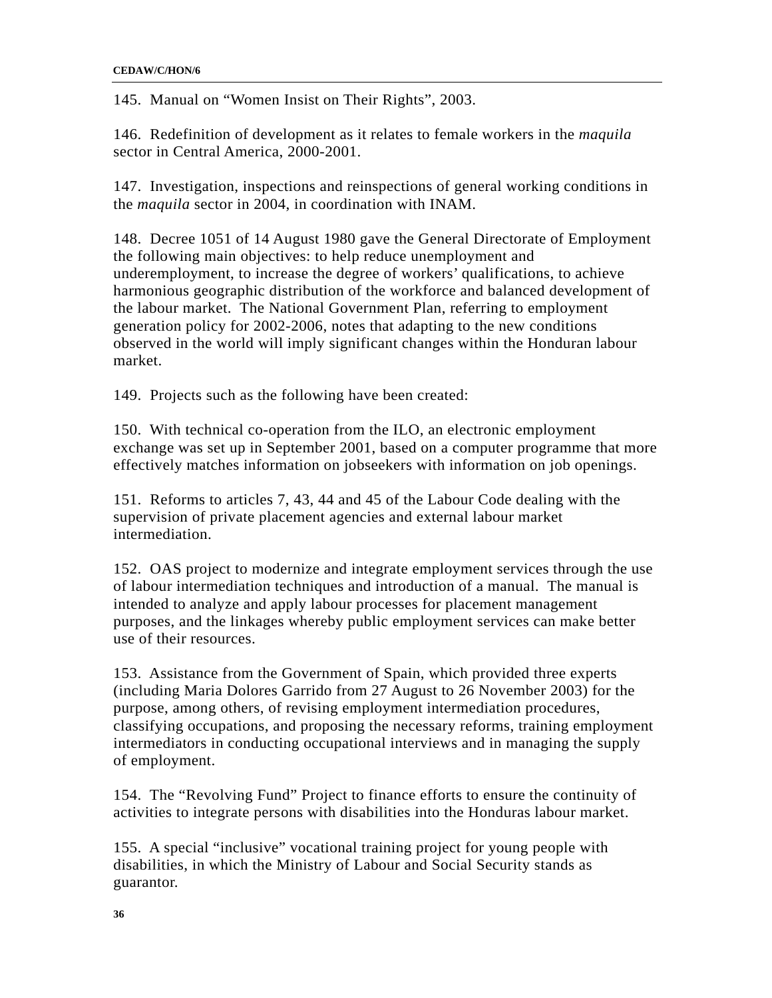145. Manual on "Women Insist on Their Rights", 2003.

146. Redefinition of development as it relates to female workers in the *maquila* sector in Central America, 2000-2001.

147. Investigation, inspections and reinspections of general working conditions in the *maquila* sector in 2004, in coordination with INAM.

148. Decree 1051 of 14 August 1980 gave the General Directorate of Employment the following main objectives: to help reduce unemployment and underemployment, to increase the degree of workers' qualifications, to achieve harmonious geographic distribution of the workforce and balanced development of the labour market. The National Government Plan, referring to employment generation policy for 2002-2006, notes that adapting to the new conditions observed in the world will imply significant changes within the Honduran labour market.

149. Projects such as the following have been created:

150. With technical co-operation from the ILO, an electronic employment exchange was set up in September 2001, based on a computer programme that more effectively matches information on jobseekers with information on job openings.

151. Reforms to articles 7, 43, 44 and 45 of the Labour Code dealing with the supervision of private placement agencies and external labour market intermediation.

152. OAS project to modernize and integrate employment services through the use of labour intermediation techniques and introduction of a manual. The manual is intended to analyze and apply labour processes for placement management purposes, and the linkages whereby public employment services can make better use of their resources.

153. Assistance from the Government of Spain, which provided three experts (including Maria Dolores Garrido from 27 August to 26 November 2003) for the purpose, among others, of revising employment intermediation procedures, classifying occupations, and proposing the necessary reforms, training employment intermediators in conducting occupational interviews and in managing the supply of employment.

154. The "Revolving Fund" Project to finance efforts to ensure the continuity of activities to integrate persons with disabilities into the Honduras labour market.

155. A special "inclusive" vocational training project for young people with disabilities, in which the Ministry of Labour and Social Security stands as guarantor.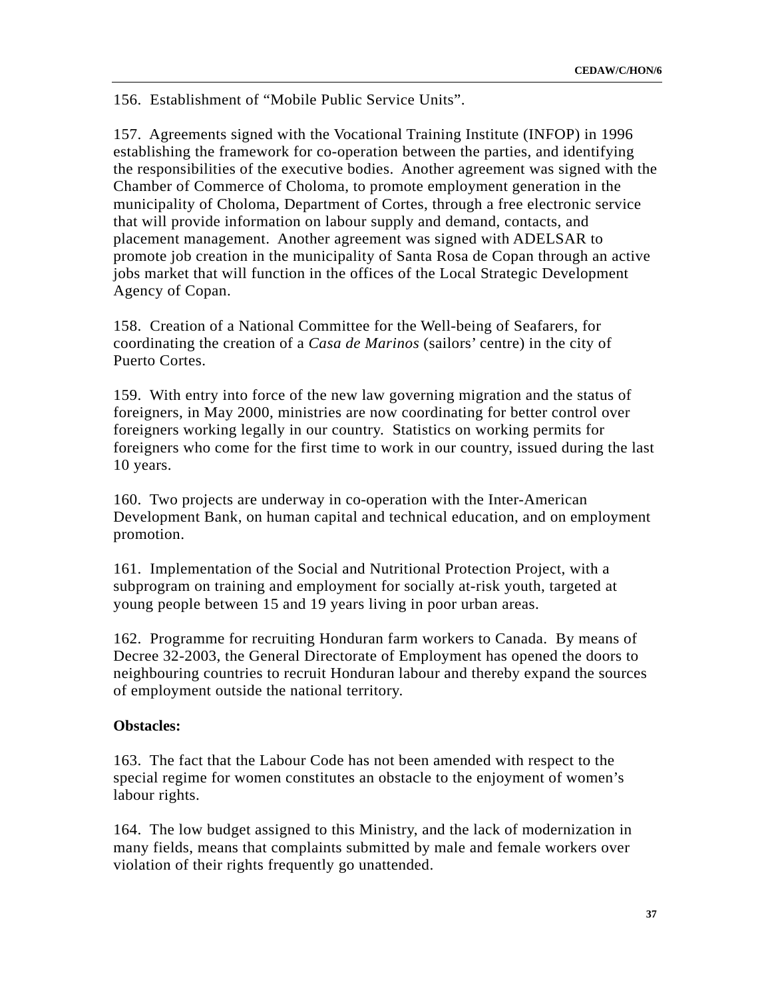156. Establishment of "Mobile Public Service Units".

157. Agreements signed with the Vocational Training Institute (INFOP) in 1996 establishing the framework for co-operation between the parties, and identifying the responsibilities of the executive bodies. Another agreement was signed with the Chamber of Commerce of Choloma, to promote employment generation in the municipality of Choloma, Department of Cortes, through a free electronic service that will provide information on labour supply and demand, contacts, and placement management. Another agreement was signed with ADELSAR to promote job creation in the municipality of Santa Rosa de Copan through an active jobs market that will function in the offices of the Local Strategic Development Agency of Copan.

158. Creation of a National Committee for the Well-being of Seafarers, for coordinating the creation of a *Casa de Marinos* (sailors' centre) in the city of Puerto Cortes.

159. With entry into force of the new law governing migration and the status of foreigners, in May 2000, ministries are now coordinating for better control over foreigners working legally in our country. Statistics on working permits for foreigners who come for the first time to work in our country, issued during the last 10 years.

160. Two projects are underway in co-operation with the Inter-American Development Bank, on human capital and technical education, and on employment promotion.

161. Implementation of the Social and Nutritional Protection Project, with a subprogram on training and employment for socially at-risk youth, targeted at young people between 15 and 19 years living in poor urban areas.

162. Programme for recruiting Honduran farm workers to Canada. By means of Decree 32-2003, the General Directorate of Employment has opened the doors to neighbouring countries to recruit Honduran labour and thereby expand the sources of employment outside the national territory.

#### **Obstacles:**

163. The fact that the Labour Code has not been amended with respect to the special regime for women constitutes an obstacle to the enjoyment of women's labour rights.

164. The low budget assigned to this Ministry, and the lack of modernization in many fields, means that complaints submitted by male and female workers over violation of their rights frequently go unattended.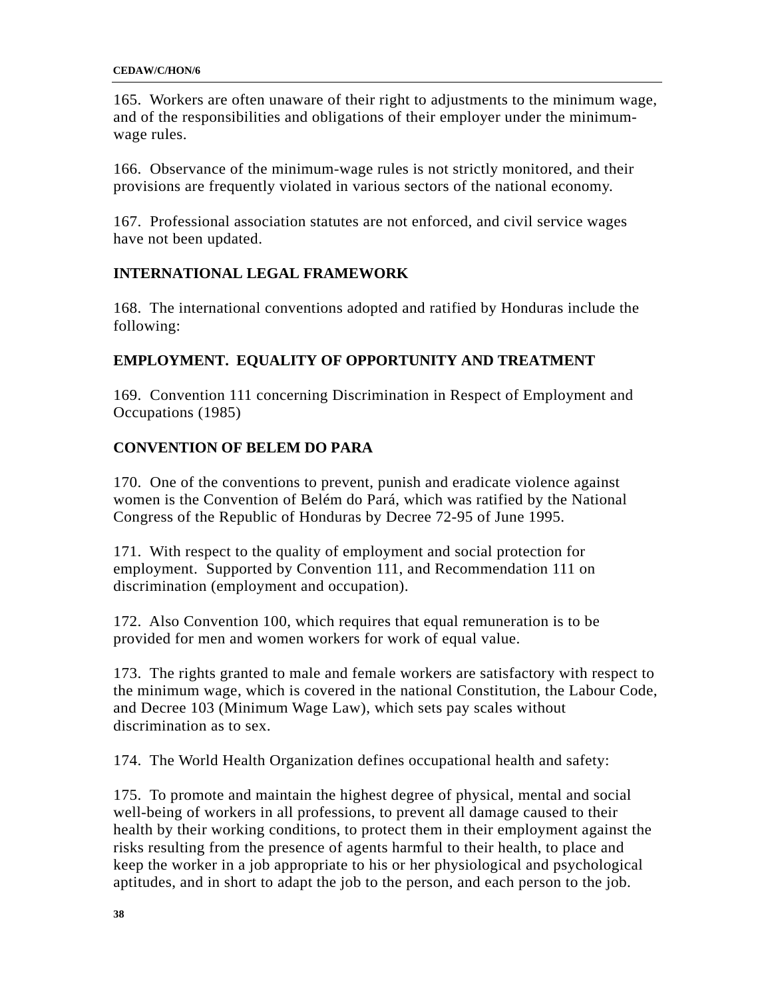#### **CEDAW/C/HON/6**

165. Workers are often unaware of their right to adjustments to the minimum wage, and of the responsibilities and obligations of their employer under the minimumwage rules.

166. Observance of the minimum-wage rules is not strictly monitored, and their provisions are frequently violated in various sectors of the national economy.

167. Professional association statutes are not enforced, and civil service wages have not been updated.

## **INTERNATIONAL LEGAL FRAMEWORK**

168. The international conventions adopted and ratified by Honduras include the following:

## **EMPLOYMENT. EQUALITY OF OPPORTUNITY AND TREATMENT**

169. Convention 111 concerning Discrimination in Respect of Employment and Occupations (1985)

## **CONVENTION OF BELEM DO PARA**

170. One of the conventions to prevent, punish and eradicate violence against women is the Convention of Belém do Pará, which was ratified by the National Congress of the Republic of Honduras by Decree 72-95 of June 1995.

171. With respect to the quality of employment and social protection for employment. Supported by Convention 111, and Recommendation 111 on discrimination (employment and occupation).

172. Also Convention 100, which requires that equal remuneration is to be provided for men and women workers for work of equal value.

173. The rights granted to male and female workers are satisfactory with respect to the minimum wage, which is covered in the national Constitution, the Labour Code, and Decree 103 (Minimum Wage Law), which sets pay scales without discrimination as to sex.

174. The World Health Organization defines occupational health and safety:

175. To promote and maintain the highest degree of physical, mental and social well-being of workers in all professions, to prevent all damage caused to their health by their working conditions, to protect them in their employment against the risks resulting from the presence of agents harmful to their health, to place and keep the worker in a job appropriate to his or her physiological and psychological aptitudes, and in short to adapt the job to the person, and each person to the job.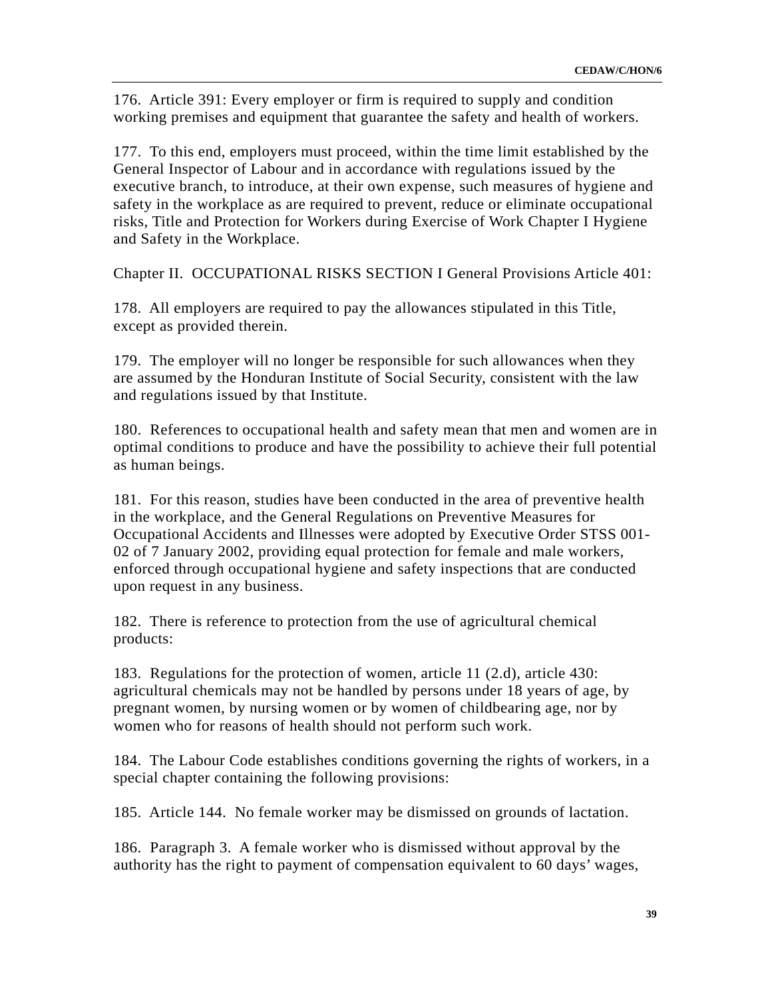176. Article 391: Every employer or firm is required to supply and condition working premises and equipment that guarantee the safety and health of workers.

177. To this end, employers must proceed, within the time limit established by the General Inspector of Labour and in accordance with regulations issued by the executive branch, to introduce, at their own expense, such measures of hygiene and safety in the workplace as are required to prevent, reduce or eliminate occupational risks, Title and Protection for Workers during Exercise of Work Chapter I Hygiene and Safety in the Workplace.

Chapter II. OCCUPATIONAL RISKS SECTION I General Provisions Article 401:

178. All employers are required to pay the allowances stipulated in this Title, except as provided therein.

179. The employer will no longer be responsible for such allowances when they are assumed by the Honduran Institute of Social Security, consistent with the law and regulations issued by that Institute.

180. References to occupational health and safety mean that men and women are in optimal conditions to produce and have the possibility to achieve their full potential as human beings.

181. For this reason, studies have been conducted in the area of preventive health in the workplace, and the General Regulations on Preventive Measures for Occupational Accidents and Illnesses were adopted by Executive Order STSS 001- 02 of 7 January 2002, providing equal protection for female and male workers, enforced through occupational hygiene and safety inspections that are conducted upon request in any business.

182. There is reference to protection from the use of agricultural chemical products:

183. Regulations for the protection of women, article 11 (2.d), article 430: agricultural chemicals may not be handled by persons under 18 years of age, by pregnant women, by nursing women or by women of childbearing age, nor by women who for reasons of health should not perform such work.

184. The Labour Code establishes conditions governing the rights of workers, in a special chapter containing the following provisions:

185. Article 144. No female worker may be dismissed on grounds of lactation.

186. Paragraph 3. A female worker who is dismissed without approval by the authority has the right to payment of compensation equivalent to 60 days' wages,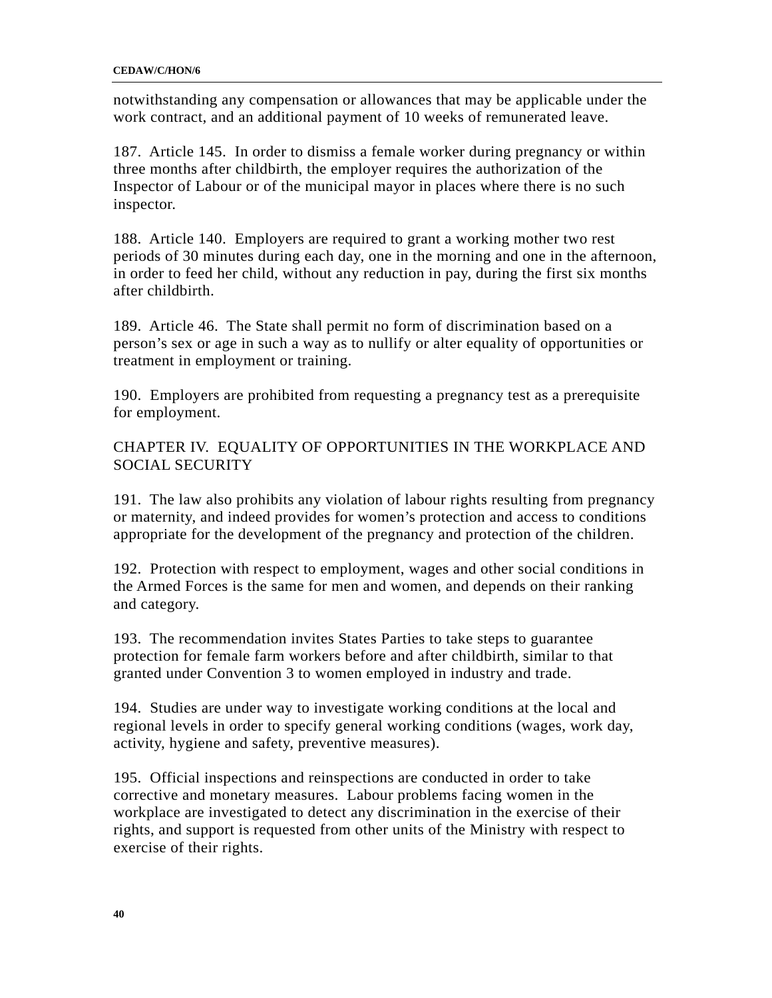notwithstanding any compensation or allowances that may be applicable under the work contract, and an additional payment of 10 weeks of remunerated leave.

187. Article 145. In order to dismiss a female worker during pregnancy or within three months after childbirth, the employer requires the authorization of the Inspector of Labour or of the municipal mayor in places where there is no such inspector.

188. Article 140. Employers are required to grant a working mother two rest periods of 30 minutes during each day, one in the morning and one in the afternoon, in order to feed her child, without any reduction in pay, during the first six months after childbirth.

189. Article 46. The State shall permit no form of discrimination based on a person's sex or age in such a way as to nullify or alter equality of opportunities or treatment in employment or training.

190. Employers are prohibited from requesting a pregnancy test as a prerequisite for employment.

CHAPTER IV. EQUALITY OF OPPORTUNITIES IN THE WORKPLACE AND SOCIAL SECURITY

191. The law also prohibits any violation of labour rights resulting from pregnancy or maternity, and indeed provides for women's protection and access to conditions appropriate for the development of the pregnancy and protection of the children.

192. Protection with respect to employment, wages and other social conditions in the Armed Forces is the same for men and women, and depends on their ranking and category.

193. The recommendation invites States Parties to take steps to guarantee protection for female farm workers before and after childbirth, similar to that granted under Convention 3 to women employed in industry and trade.

194. Studies are under way to investigate working conditions at the local and regional levels in order to specify general working conditions (wages, work day, activity, hygiene and safety, preventive measures).

195. Official inspections and reinspections are conducted in order to take corrective and monetary measures. Labour problems facing women in the workplace are investigated to detect any discrimination in the exercise of their rights, and support is requested from other units of the Ministry with respect to exercise of their rights.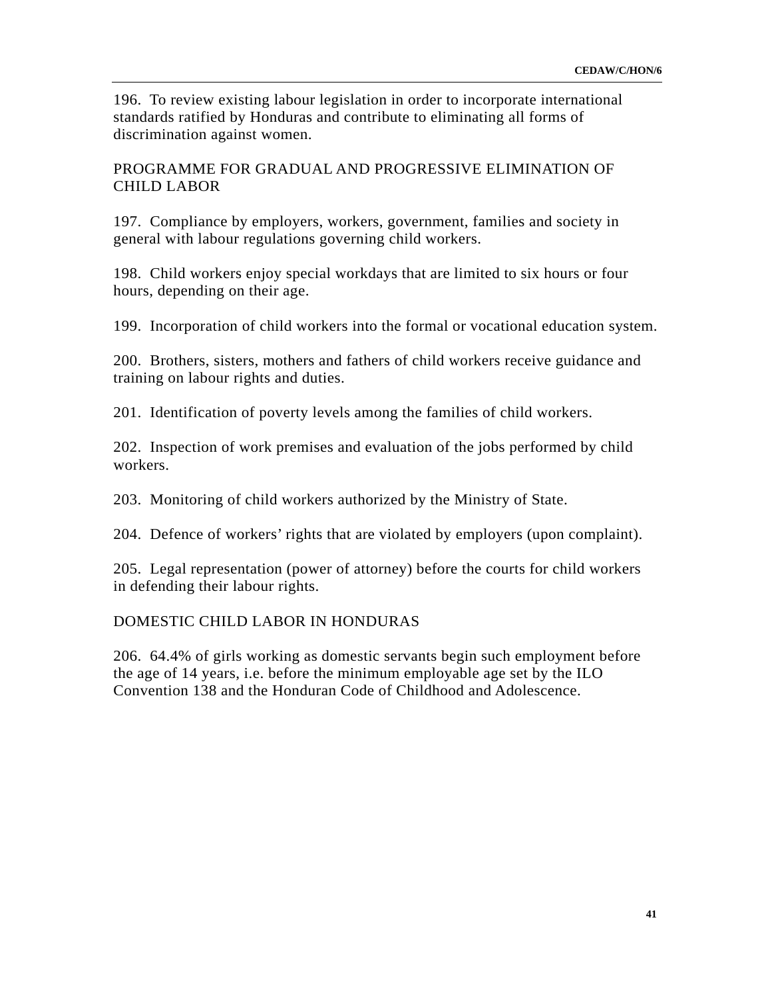196. To review existing labour legislation in order to incorporate international standards ratified by Honduras and contribute to eliminating all forms of discrimination against women.

## PROGRAMME FOR GRADUAL AND PROGRESSIVE ELIMINATION OF CHILD LABOR

197. Compliance by employers, workers, government, families and society in general with labour regulations governing child workers.

198. Child workers enjoy special workdays that are limited to six hours or four hours, depending on their age.

199. Incorporation of child workers into the formal or vocational education system.

200. Brothers, sisters, mothers and fathers of child workers receive guidance and training on labour rights and duties.

201. Identification of poverty levels among the families of child workers.

202. Inspection of work premises and evaluation of the jobs performed by child workers.

203. Monitoring of child workers authorized by the Ministry of State.

204. Defence of workers' rights that are violated by employers (upon complaint).

205. Legal representation (power of attorney) before the courts for child workers in defending their labour rights.

### DOMESTIC CHILD LABOR IN HONDURAS

206. 64.4% of girls working as domestic servants begin such employment before the age of 14 years, i.e. before the minimum employable age set by the ILO Convention 138 and the Honduran Code of Childhood and Adolescence.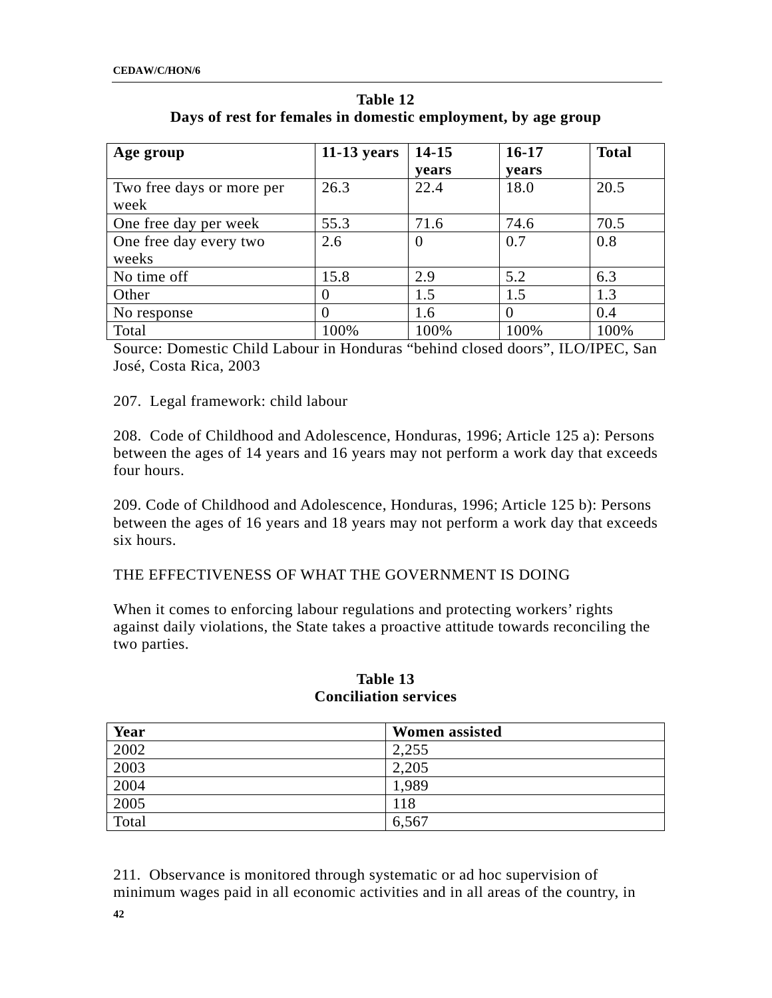| Age group                 | $11-13$ years | 14-15    | $16 - 17$ | <b>Total</b> |
|---------------------------|---------------|----------|-----------|--------------|
|                           |               | vears    | vears     |              |
| Two free days or more per | 26.3          | 22.4     | 18.0      | 20.5         |
| week                      |               |          |           |              |
| One free day per week     | 55.3          | 71.6     | 74.6      | 70.5         |
| One free day every two    | 2.6           | $\theta$ | 0.7       | 0.8          |
| weeks                     |               |          |           |              |
| No time off               | 15.8          | 2.9      | 5.2       | 6.3          |
| Other                     | $\theta$      | 1.5      | 1.5       | 1.3          |
| No response               |               | 1.6      | $\theta$  | 0.4          |
| Total                     | 100%          | 100%     | 100%      | 100%         |

**Table 12 Days of rest for females in domestic employment, by age group** 

Source: Domestic Child Labour in Honduras "behind closed doors", ILO/IPEC, San José, Costa Rica, 2003

## 207. Legal framework: child labour

208. Code of Childhood and Adolescence, Honduras, 1996; Article 125 a): Persons between the ages of 14 years and 16 years may not perform a work day that exceeds four hours.

209. Code of Childhood and Adolescence, Honduras, 1996; Article 125 b): Persons between the ages of 16 years and 18 years may not perform a work day that exceeds six hours.

### THE EFFECTIVENESS OF WHAT THE GOVERNMENT IS DOING

When it comes to enforcing labour regulations and protecting workers' rights against daily violations, the State takes a proactive attitude towards reconciling the two parties.

| Year  | <b>Women assisted</b> |
|-------|-----------------------|
| 2002  | 2,255                 |
| 2003  | 2,205                 |
| 2004  | 1,989                 |
| 2005  | 118                   |
| Total | 6,567                 |

### **Table 13 Conciliation services**

211. Observance is monitored through systematic or ad hoc supervision of minimum wages paid in all economic activities and in all areas of the country, in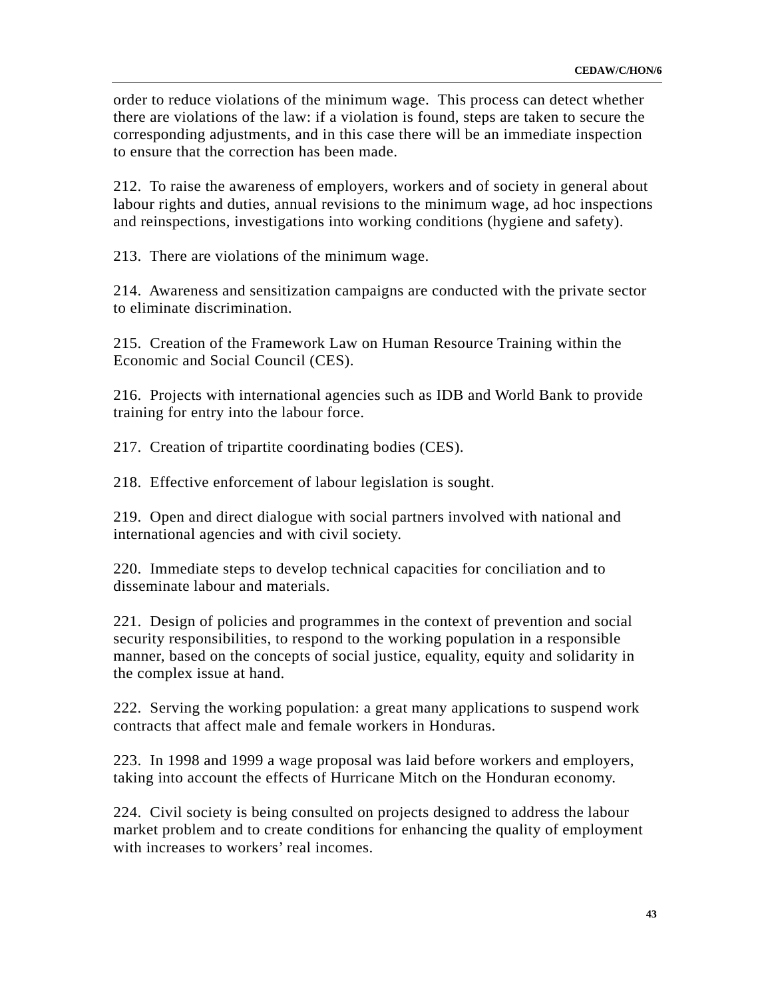order to reduce violations of the minimum wage. This process can detect whether there are violations of the law: if a violation is found, steps are taken to secure the corresponding adjustments, and in this case there will be an immediate inspection to ensure that the correction has been made.

212. To raise the awareness of employers, workers and of society in general about labour rights and duties, annual revisions to the minimum wage, ad hoc inspections and reinspections, investigations into working conditions (hygiene and safety).

213. There are violations of the minimum wage.

214. Awareness and sensitization campaigns are conducted with the private sector to eliminate discrimination.

215. Creation of the Framework Law on Human Resource Training within the Economic and Social Council (CES).

216. Projects with international agencies such as IDB and World Bank to provide training for entry into the labour force.

217. Creation of tripartite coordinating bodies (CES).

218. Effective enforcement of labour legislation is sought.

219. Open and direct dialogue with social partners involved with national and international agencies and with civil society.

220. Immediate steps to develop technical capacities for conciliation and to disseminate labour and materials.

221. Design of policies and programmes in the context of prevention and social security responsibilities, to respond to the working population in a responsible manner, based on the concepts of social justice, equality, equity and solidarity in the complex issue at hand.

222. Serving the working population: a great many applications to suspend work contracts that affect male and female workers in Honduras.

223. In 1998 and 1999 a wage proposal was laid before workers and employers, taking into account the effects of Hurricane Mitch on the Honduran economy.

224. Civil society is being consulted on projects designed to address the labour market problem and to create conditions for enhancing the quality of employment with increases to workers' real incomes.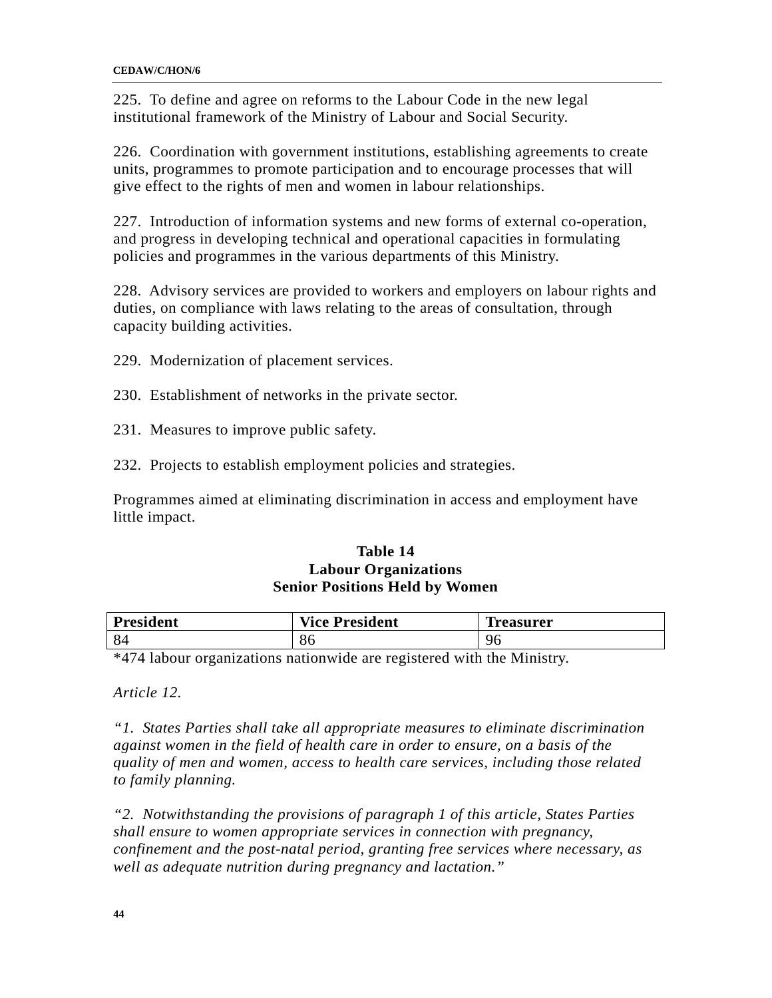225. To define and agree on reforms to the Labour Code in the new legal institutional framework of the Ministry of Labour and Social Security.

226. Coordination with government institutions, establishing agreements to create units, programmes to promote participation and to encourage processes that will give effect to the rights of men and women in labour relationships.

227. Introduction of information systems and new forms of external co-operation, and progress in developing technical and operational capacities in formulating policies and programmes in the various departments of this Ministry.

228. Advisory services are provided to workers and employers on labour rights and duties, on compliance with laws relating to the areas of consultation, through capacity building activities.

- 229. Modernization of placement services.
- 230. Establishment of networks in the private sector.
- 231. Measures to improve public safety.
- 232. Projects to establish employment policies and strategies.

Programmes aimed at eliminating discrimination in access and employment have little impact.

### **Table 14 Labour Organizations Senior Positions Held by Women**

| President | <b>Vice President</b> | œ<br><b>reasurer</b> |
|-----------|-----------------------|----------------------|
| 84        | 86                    | 96                   |

\*474 labour organizations nationwide are registered with the Ministry.

*Article 12.* 

*"1. States Parties shall take all appropriate measures to eliminate discrimination against women in the field of health care in order to ensure, on a basis of the quality of men and women, access to health care services, including those related to family planning.* 

*"2. Notwithstanding the provisions of paragraph 1 of this article, States Parties shall ensure to women appropriate services in connection with pregnancy, confinement and the post-natal period, granting free services where necessary, as well as adequate nutrition during pregnancy and lactation."*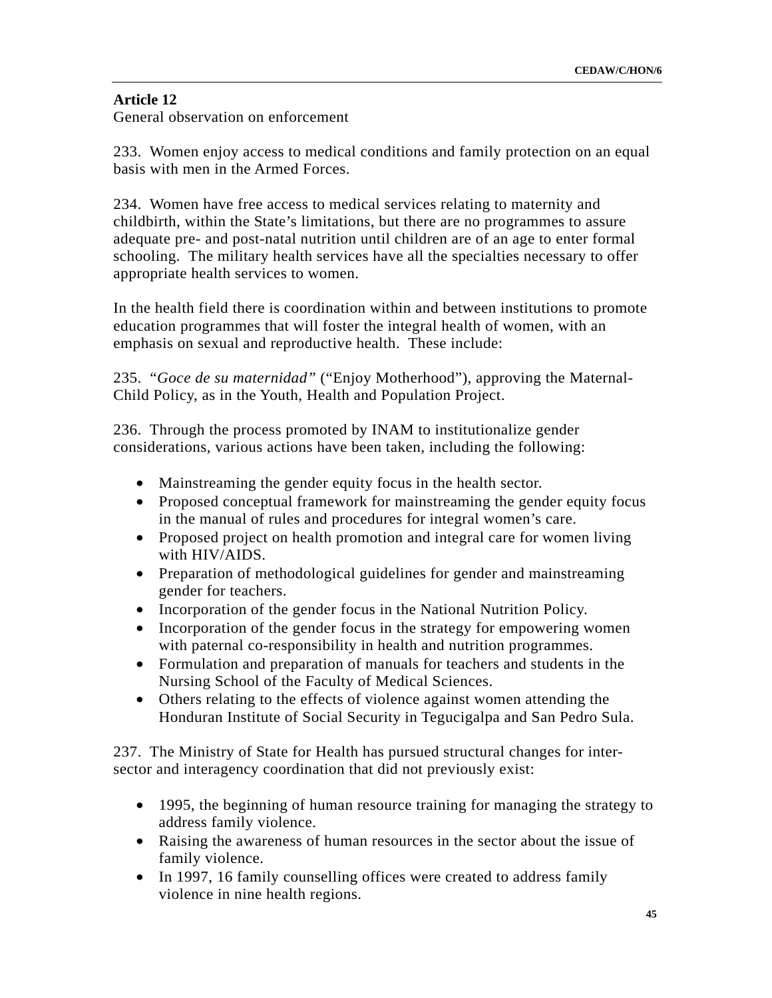## **Article 12**

General observation on enforcement

233. Women enjoy access to medical conditions and family protection on an equal basis with men in the Armed Forces.

234. Women have free access to medical services relating to maternity and childbirth, within the State's limitations, but there are no programmes to assure adequate pre- and post-natal nutrition until children are of an age to enter formal schooling. The military health services have all the specialties necessary to offer appropriate health services to women.

In the health field there is coordination within and between institutions to promote education programmes that will foster the integral health of women, with an emphasis on sexual and reproductive health. These include:

235. "*Goce de su maternidad"* ("Enjoy Motherhood"), approving the Maternal-Child Policy, as in the Youth, Health and Population Project.

236. Through the process promoted by INAM to institutionalize gender considerations, various actions have been taken, including the following:

- Mainstreaming the gender equity focus in the health sector.
- Proposed conceptual framework for mainstreaming the gender equity focus in the manual of rules and procedures for integral women's care.
- Proposed project on health promotion and integral care for women living with HIV/AIDS.
- Preparation of methodological guidelines for gender and mainstreaming gender for teachers.
- Incorporation of the gender focus in the National Nutrition Policy.
- Incorporation of the gender focus in the strategy for empowering women with paternal co-responsibility in health and nutrition programmes.
- Formulation and preparation of manuals for teachers and students in the Nursing School of the Faculty of Medical Sciences.
- Others relating to the effects of violence against women attending the Honduran Institute of Social Security in Tegucigalpa and San Pedro Sula.

237. The Ministry of State for Health has pursued structural changes for intersector and interagency coordination that did not previously exist:

- 1995, the beginning of human resource training for managing the strategy to address family violence.
- Raising the awareness of human resources in the sector about the issue of family violence.
- In 1997, 16 family counselling offices were created to address family violence in nine health regions.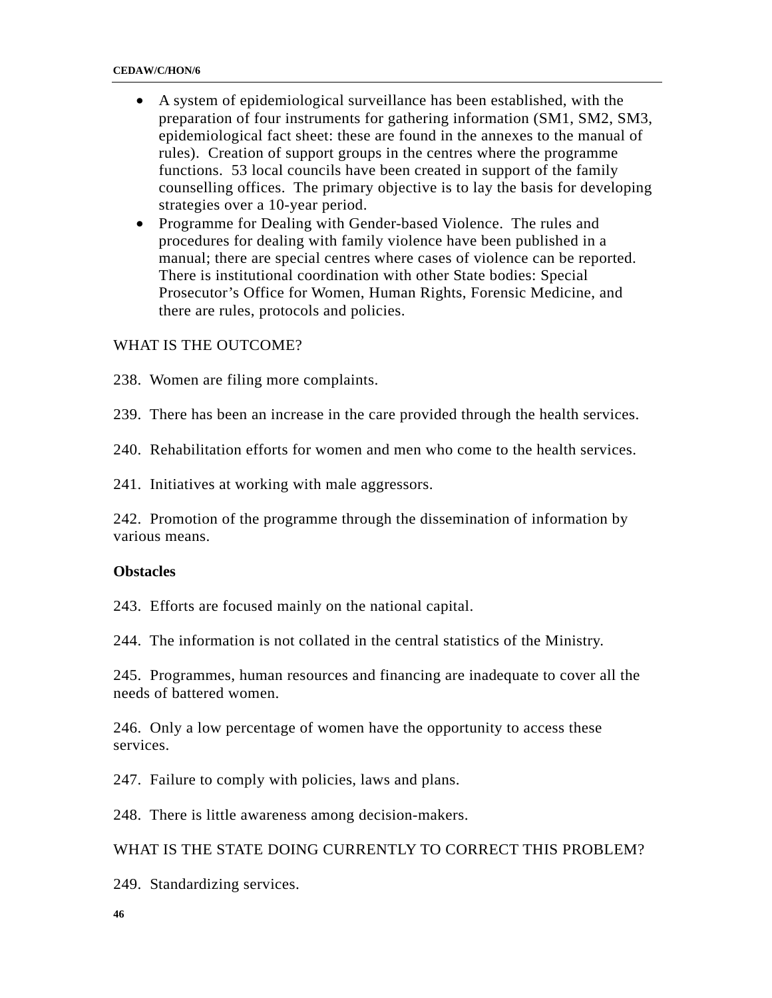- A system of epidemiological surveillance has been established, with the preparation of four instruments for gathering information (SM1, SM2, SM3, epidemiological fact sheet: these are found in the annexes to the manual of rules). Creation of support groups in the centres where the programme functions. 53 local councils have been created in support of the family counselling offices. The primary objective is to lay the basis for developing strategies over a 10-year period.
- Programme for Dealing with Gender-based Violence. The rules and procedures for dealing with family violence have been published in a manual; there are special centres where cases of violence can be reported. There is institutional coordination with other State bodies: Special Prosecutor's Office for Women, Human Rights, Forensic Medicine, and there are rules, protocols and policies.

### WHAT IS THE OUTCOME?

238. Women are filing more complaints.

239. There has been an increase in the care provided through the health services.

240. Rehabilitation efforts for women and men who come to the health services.

241. Initiatives at working with male aggressors.

242. Promotion of the programme through the dissemination of information by various means.

#### **Obstacles**

243. Efforts are focused mainly on the national capital.

244. The information is not collated in the central statistics of the Ministry.

245. Programmes, human resources and financing are inadequate to cover all the needs of battered women.

246. Only a low percentage of women have the opportunity to access these services.

247. Failure to comply with policies, laws and plans.

248. There is little awareness among decision-makers.

#### WHAT IS THE STATE DOING CURRENTLY TO CORRECT THIS PROBLEM?

249. Standardizing services.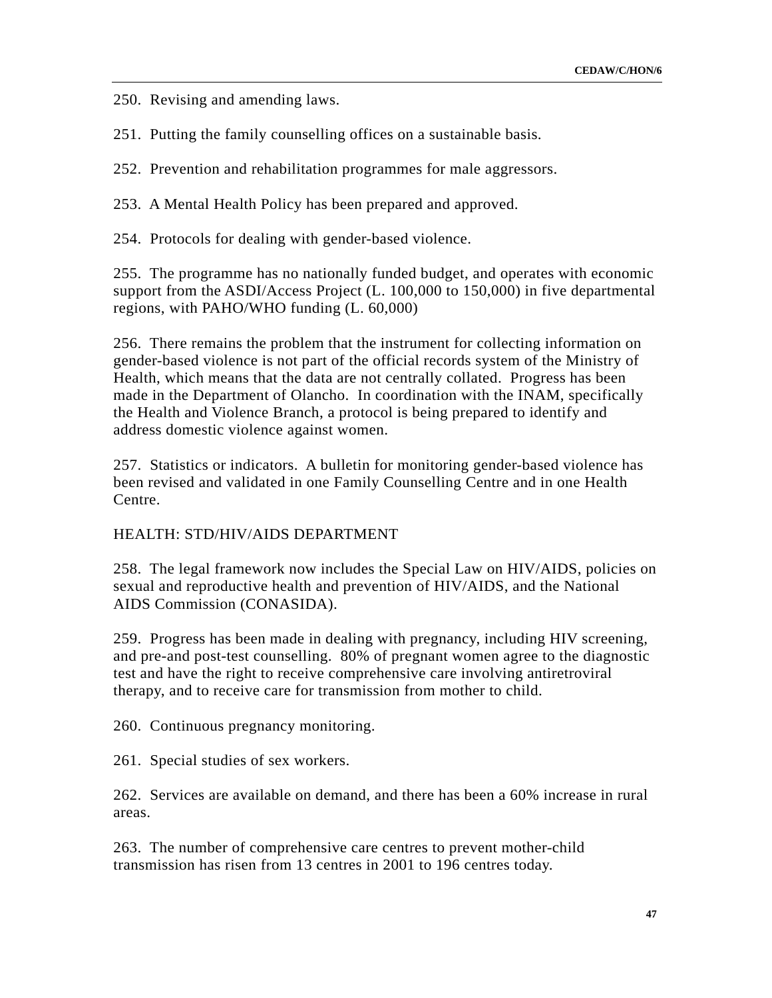250. Revising and amending laws.

251. Putting the family counselling offices on a sustainable basis.

252. Prevention and rehabilitation programmes for male aggressors.

253. A Mental Health Policy has been prepared and approved.

254. Protocols for dealing with gender-based violence.

255. The programme has no nationally funded budget, and operates with economic support from the ASDI/Access Project (L. 100,000 to 150,000) in five departmental regions, with PAHO/WHO funding (L. 60,000)

256. There remains the problem that the instrument for collecting information on gender-based violence is not part of the official records system of the Ministry of Health, which means that the data are not centrally collated. Progress has been made in the Department of Olancho. In coordination with the INAM, specifically the Health and Violence Branch, a protocol is being prepared to identify and address domestic violence against women.

257. Statistics or indicators. A bulletin for monitoring gender-based violence has been revised and validated in one Family Counselling Centre and in one Health Centre.

### HEALTH: STD/HIV/AIDS DEPARTMENT

258. The legal framework now includes the Special Law on HIV/AIDS, policies on sexual and reproductive health and prevention of HIV/AIDS, and the National AIDS Commission (CONASIDA).

259. Progress has been made in dealing with pregnancy, including HIV screening, and pre-and post-test counselling. 80% of pregnant women agree to the diagnostic test and have the right to receive comprehensive care involving antiretroviral therapy, and to receive care for transmission from mother to child.

260. Continuous pregnancy monitoring.

261. Special studies of sex workers.

262. Services are available on demand, and there has been a 60% increase in rural areas.

263. The number of comprehensive care centres to prevent mother-child transmission has risen from 13 centres in 2001 to 196 centres today.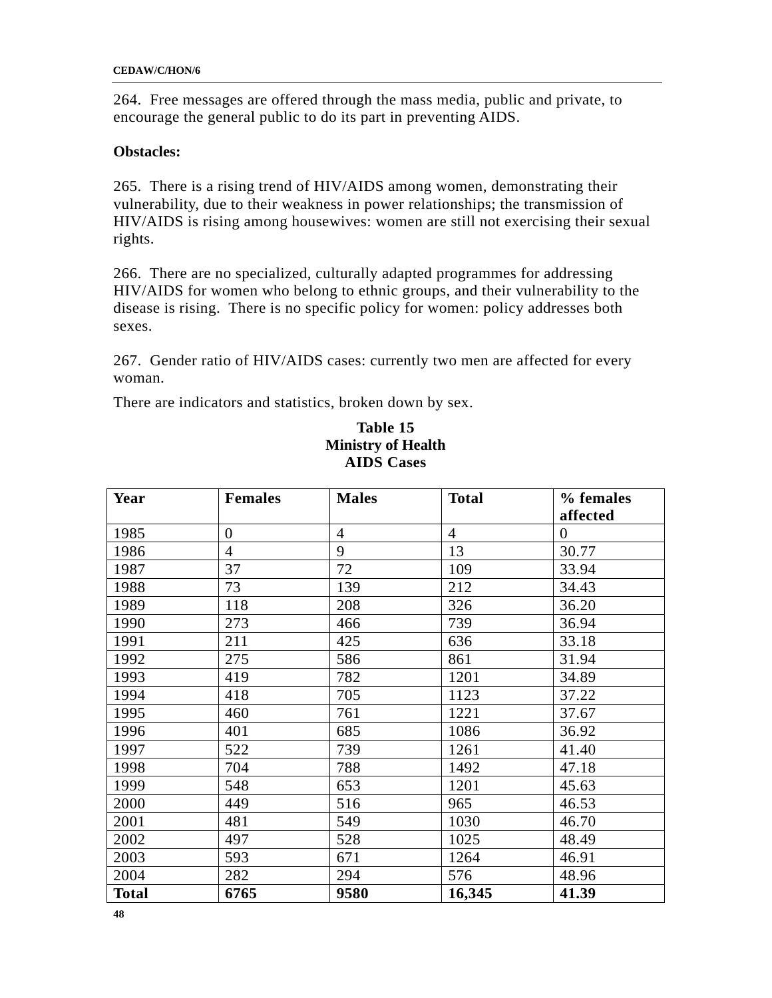264. Free messages are offered through the mass media, public and private, to encourage the general public to do its part in preventing AIDS.

### **Obstacles:**

265. There is a rising trend of HIV/AIDS among women, demonstrating their vulnerability, due to their weakness in power relationships; the transmission of HIV/AIDS is rising among housewives: women are still not exercising their sexual rights.

266. There are no specialized, culturally adapted programmes for addressing HIV/AIDS for women who belong to ethnic groups, and their vulnerability to the disease is rising. There is no specific policy for women: policy addresses both sexes.

267. Gender ratio of HIV/AIDS cases: currently two men are affected for every woman.

There are indicators and statistics, broken down by sex.

| Year         | <b>Females</b> | <b>Males</b>   | <b>Total</b>   | % females      |
|--------------|----------------|----------------|----------------|----------------|
|              |                |                |                | affected       |
| 1985         | $\overline{0}$ | $\overline{4}$ | $\overline{4}$ | $\overline{0}$ |
| 1986         | $\overline{4}$ | 9              | 13             | 30.77          |
| 1987         | 37             | 72             | 109            | 33.94          |
| 1988         | 73             | 139            | 212            | 34.43          |
| 1989         | 118            | 208            | 326            | 36.20          |
| 1990         | 273            | 466            | 739            | 36.94          |
| 1991         | 211            | 425            | 636            | 33.18          |
| 1992         | 275            | 586            | 861            | 31.94          |
| 1993         | 419            | 782            | 1201           | 34.89          |
| 1994         | 418            | 705            | 1123           | 37.22          |
| 1995         | 460            | 761            | 1221           | 37.67          |
| 1996         | 401            | 685            | 1086           | 36.92          |
| 1997         | 522            | 739            | 1261           | 41.40          |
| 1998         | 704            | 788            | 1492           | 47.18          |
| 1999         | 548            | 653            | 1201           | 45.63          |
| 2000         | 449            | 516            | 965            | 46.53          |
| 2001         | 481            | 549            | 1030           | 46.70          |
| 2002         | 497            | 528            | 1025           | 48.49          |
| 2003         | 593            | 671            | 1264           | 46.91          |
| 2004         | 282            | 294            | 576            | 48.96          |
| <b>Total</b> | 6765           | 9580           | 16,345         | 41.39          |

## **Table 15 Ministry of Health AIDS Cases**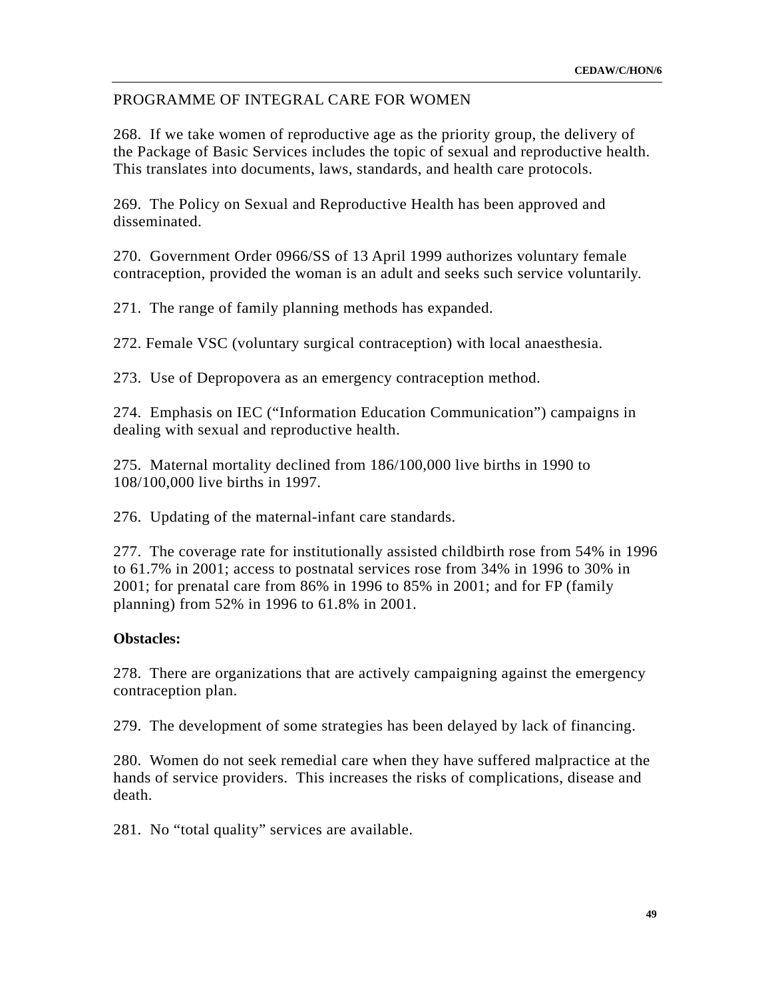### PROGRAMME OF INTEGRAL CARE FOR WOMEN

268. If we take women of reproductive age as the priority group, the delivery of the Package of Basic Services includes the topic of sexual and reproductive health. This translates into documents, laws, standards, and health care protocols.

269. The Policy on Sexual and Reproductive Health has been approved and disseminated.

270. Government Order 0966/SS of 13 April 1999 authorizes voluntary female contraception, provided the woman is an adult and seeks such service voluntarily.

271. The range of family planning methods has expanded.

272. Female VSC (voluntary surgical contraception) with local anaesthesia.

273. Use of Depropovera as an emergency contraception method.

274. Emphasis on IEC ("Information Education Communication") campaigns in dealing with sexual and reproductive health.

275. Maternal mortality declined from 186/100,000 live births in 1990 to 108/100,000 live births in 1997.

276. Updating of the maternal-infant care standards.

277. The coverage rate for institutionally assisted childbirth rose from 54% in 1996 to 61.7% in 2001; access to postnatal services rose from 34% in 1996 to 30% in 2001; for prenatal care from 86% in 1996 to 85% in 2001; and for FP (family planning) from 52% in 1996 to 61.8% in 2001.

#### **Obstacles:**

278. There are organizations that are actively campaigning against the emergency contraception plan.

279. The development of some strategies has been delayed by lack of financing.

280. Women do not seek remedial care when they have suffered malpractice at the hands of service providers. This increases the risks of complications, disease and death.

281. No "total quality" services are available.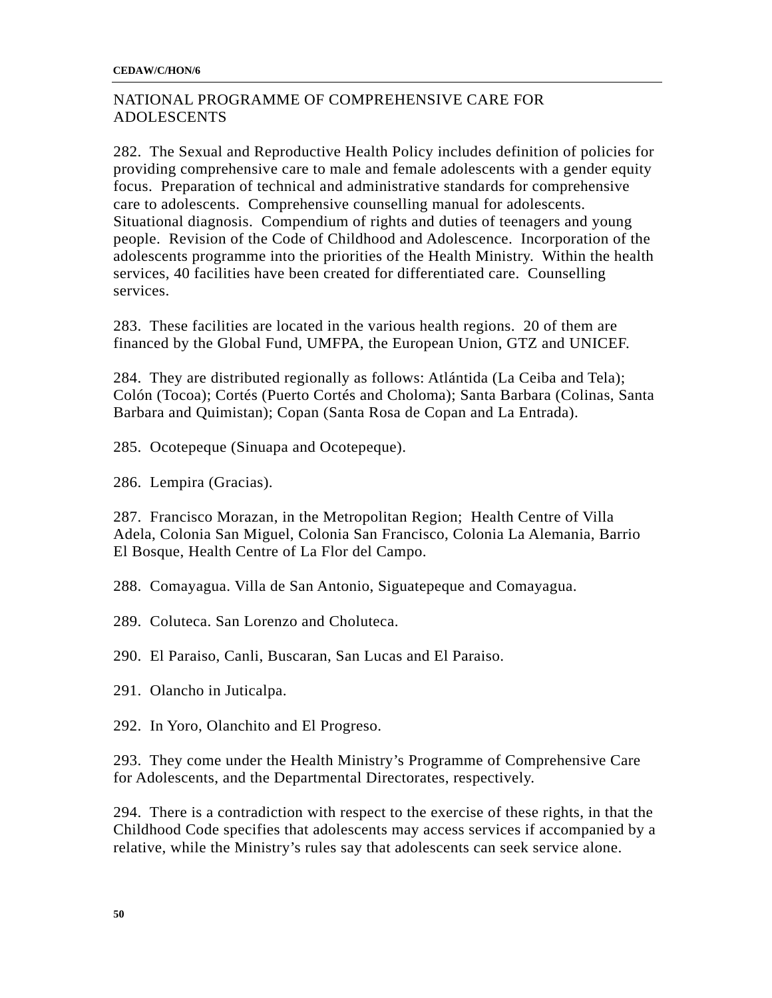## NATIONAL PROGRAMME OF COMPREHENSIVE CARE FOR ADOLESCENTS

282. The Sexual and Reproductive Health Policy includes definition of policies for providing comprehensive care to male and female adolescents with a gender equity focus. Preparation of technical and administrative standards for comprehensive care to adolescents. Comprehensive counselling manual for adolescents. Situational diagnosis. Compendium of rights and duties of teenagers and young people. Revision of the Code of Childhood and Adolescence. Incorporation of the adolescents programme into the priorities of the Health Ministry. Within the health services, 40 facilities have been created for differentiated care. Counselling services.

283. These facilities are located in the various health regions. 20 of them are financed by the Global Fund, UMFPA, the European Union, GTZ and UNICEF.

284. They are distributed regionally as follows: Atlántida (La Ceiba and Tela); Colón (Tocoa); Cortés (Puerto Cortés and Choloma); Santa Barbara (Colinas, Santa Barbara and Quimistan); Copan (Santa Rosa de Copan and La Entrada).

285. Ocotepeque (Sinuapa and Ocotepeque).

286. Lempira (Gracias).

287. Francisco Morazan, in the Metropolitan Region; Health Centre of Villa Adela, Colonia San Miguel, Colonia San Francisco, Colonia La Alemania, Barrio El Bosque, Health Centre of La Flor del Campo.

288. Comayagua. Villa de San Antonio, Siguatepeque and Comayagua.

289. Coluteca. San Lorenzo and Choluteca.

290. El Paraiso, Canli, Buscaran, San Lucas and El Paraiso.

291. Olancho in Juticalpa.

292. In Yoro, Olanchito and El Progreso.

293. They come under the Health Ministry's Programme of Comprehensive Care for Adolescents, and the Departmental Directorates, respectively.

294. There is a contradiction with respect to the exercise of these rights, in that the Childhood Code specifies that adolescents may access services if accompanied by a relative, while the Ministry's rules say that adolescents can seek service alone.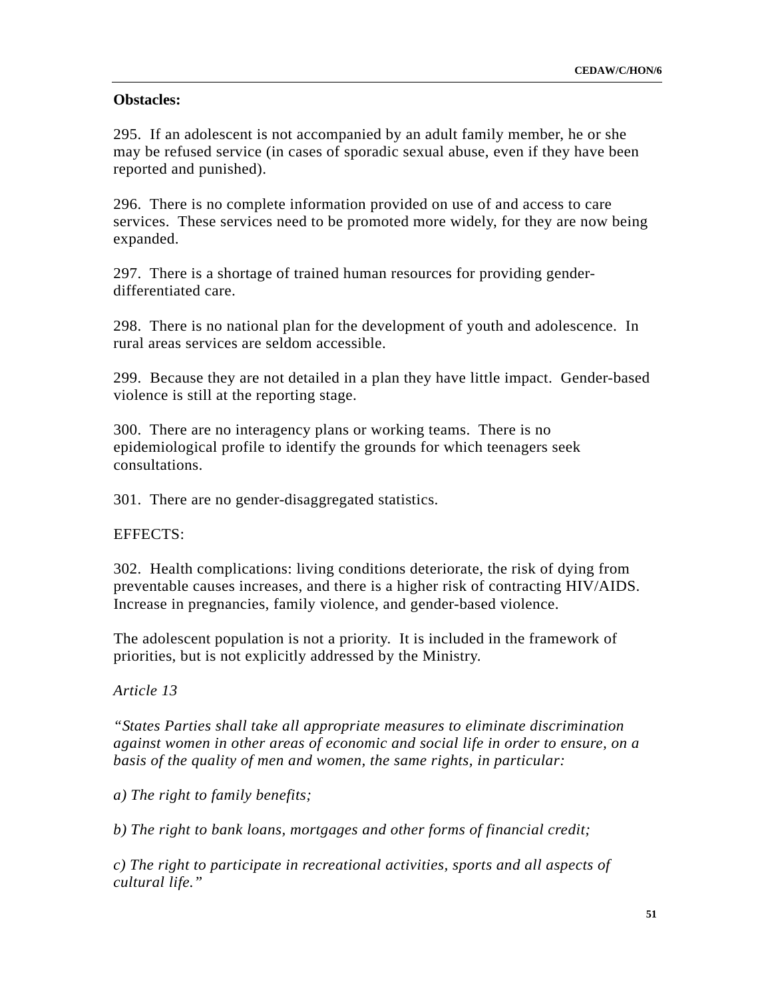### **Obstacles:**

295. If an adolescent is not accompanied by an adult family member, he or she may be refused service (in cases of sporadic sexual abuse, even if they have been reported and punished).

296. There is no complete information provided on use of and access to care services. These services need to be promoted more widely, for they are now being expanded.

297. There is a shortage of trained human resources for providing genderdifferentiated care.

298. There is no national plan for the development of youth and adolescence. In rural areas services are seldom accessible.

299. Because they are not detailed in a plan they have little impact. Gender-based violence is still at the reporting stage.

300. There are no interagency plans or working teams. There is no epidemiological profile to identify the grounds for which teenagers seek consultations.

301. There are no gender-disaggregated statistics.

EFFECTS:

302. Health complications: living conditions deteriorate, the risk of dying from preventable causes increases, and there is a higher risk of contracting HIV/AIDS. Increase in pregnancies, family violence, and gender-based violence.

The adolescent population is not a priority. It is included in the framework of priorities, but is not explicitly addressed by the Ministry.

*Article 13* 

*"States Parties shall take all appropriate measures to eliminate discrimination against women in other areas of economic and social life in order to ensure, on a basis of the quality of men and women, the same rights, in particular:* 

*a) The right to family benefits;* 

*b) The right to bank loans, mortgages and other forms of financial credit;* 

*c) The right to participate in recreational activities, sports and all aspects of cultural life."*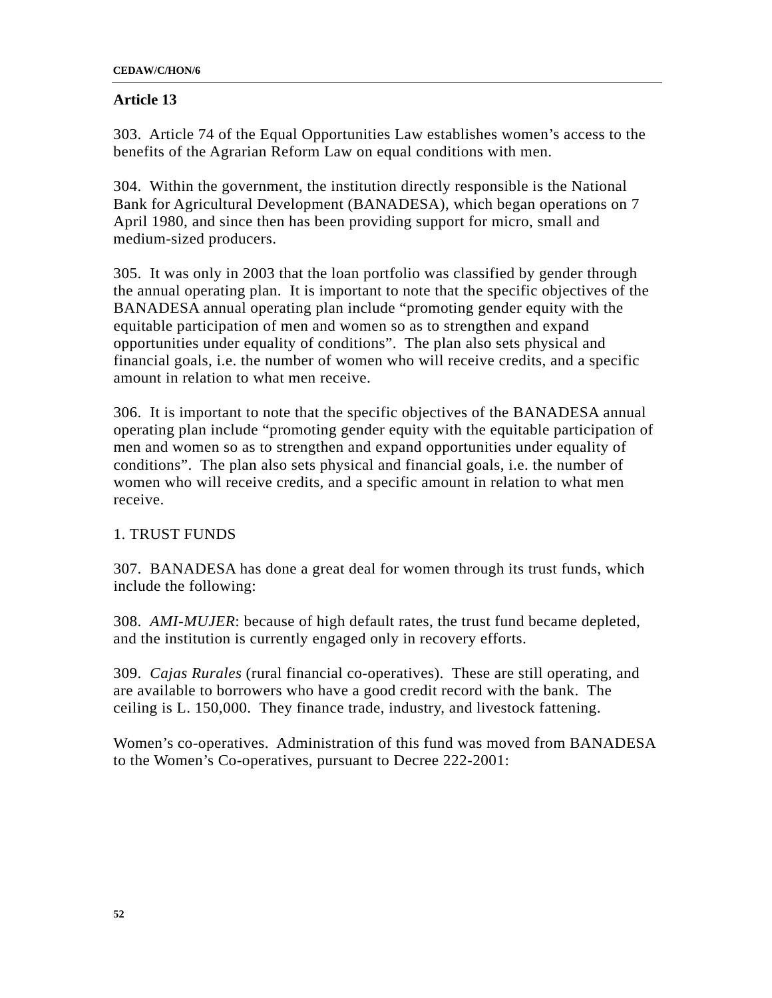### **Article 13**

303. Article 74 of the Equal Opportunities Law establishes women's access to the benefits of the Agrarian Reform Law on equal conditions with men.

304. Within the government, the institution directly responsible is the National Bank for Agricultural Development (BANADESA), which began operations on 7 April 1980, and since then has been providing support for micro, small and medium-sized producers.

305. It was only in 2003 that the loan portfolio was classified by gender through the annual operating plan. It is important to note that the specific objectives of the BANADESA annual operating plan include "promoting gender equity with the equitable participation of men and women so as to strengthen and expand opportunities under equality of conditions". The plan also sets physical and financial goals, i.e. the number of women who will receive credits, and a specific amount in relation to what men receive.

306. It is important to note that the specific objectives of the BANADESA annual operating plan include "promoting gender equity with the equitable participation of men and women so as to strengthen and expand opportunities under equality of conditions". The plan also sets physical and financial goals, i.e. the number of women who will receive credits, and a specific amount in relation to what men receive.

## 1. TRUST FUNDS

307. BANADESA has done a great deal for women through its trust funds, which include the following:

308. *AMI-MUJER*: because of high default rates, the trust fund became depleted, and the institution is currently engaged only in recovery efforts.

309. *Cajas Rurales* (rural financial co-operatives). These are still operating, and are available to borrowers who have a good credit record with the bank. The ceiling is L. 150,000. They finance trade, industry, and livestock fattening.

Women's co-operatives. Administration of this fund was moved from BANADESA to the Women's Co-operatives, pursuant to Decree 222-2001: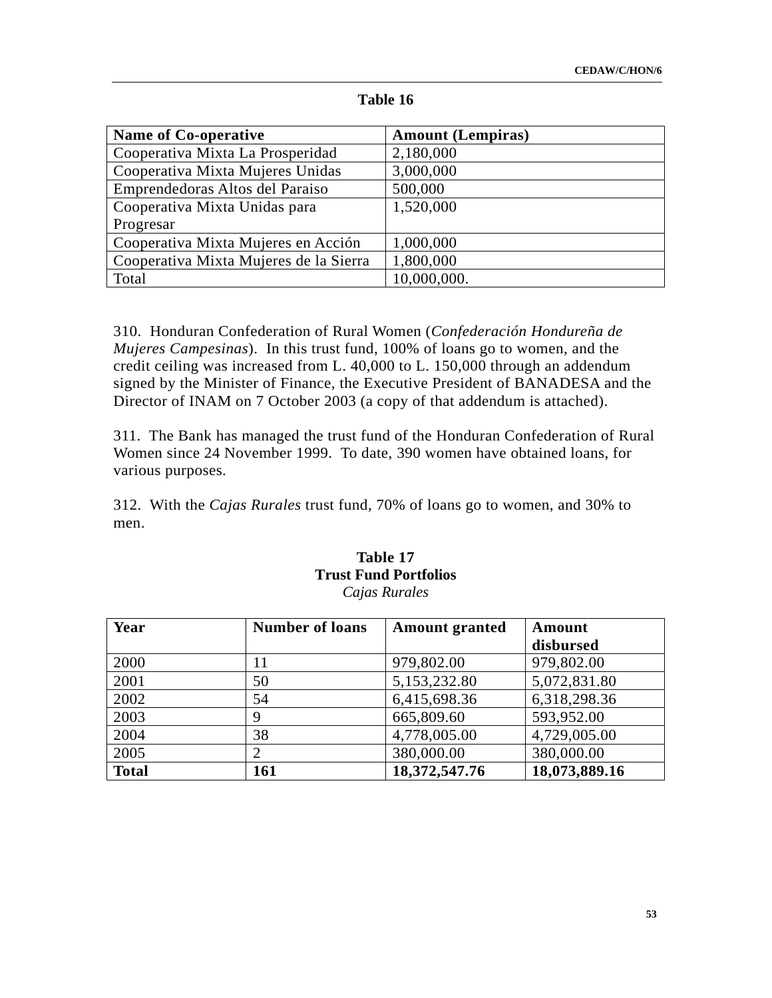| <b>Name of Co-operative</b>            | <b>Amount (Lempiras)</b> |
|----------------------------------------|--------------------------|
| Cooperativa Mixta La Prosperidad       | 2,180,000                |
| Cooperativa Mixta Mujeres Unidas       | 3,000,000                |
| Emprendedoras Altos del Paraiso        | 500,000                  |
| Cooperativa Mixta Unidas para          | 1,520,000                |
| Progresar                              |                          |
| Cooperativa Mixta Mujeres en Acción    | 1,000,000                |
| Cooperativa Mixta Mujeres de la Sierra | 1,800,000                |
| Total                                  | 10,000,000.              |

#### **Table 16**

310. Honduran Confederation of Rural Women (*Confederación Hondureña de Mujeres Campesinas*). In this trust fund, 100% of loans go to women, and the credit ceiling was increased from L. 40,000 to L. 150,000 through an addendum signed by the Minister of Finance, the Executive President of BANADESA and the Director of INAM on 7 October 2003 (a copy of that addendum is attached).

311. The Bank has managed the trust fund of the Honduran Confederation of Rural Women since 24 November 1999. To date, 390 women have obtained loans, for various purposes.

312. With the *Cajas Rurales* trust fund, 70% of loans go to women, and 30% to men.

### **Table 17 Trust Fund Portfolios**  *Cajas Rurales*

| Year         | <b>Number of loans</b> | <b>Amount granted</b> | Amount        |
|--------------|------------------------|-----------------------|---------------|
|              |                        |                       | disbursed     |
| 2000         | 11                     | 979,802.00            | 979,802.00    |
| 2001         | 50                     | 5,153,232.80          | 5,072,831.80  |
| 2002         | 54                     | 6,415,698.36          | 6,318,298.36  |
| 2003         | 9                      | 665,809.60            | 593,952.00    |
| 2004         | 38                     | 4,778,005.00          | 4,729,005.00  |
| 2005         |                        | 380,000.00            | 380,000.00    |
| <b>Total</b> | 161                    | 18,372,547.76         | 18,073,889.16 |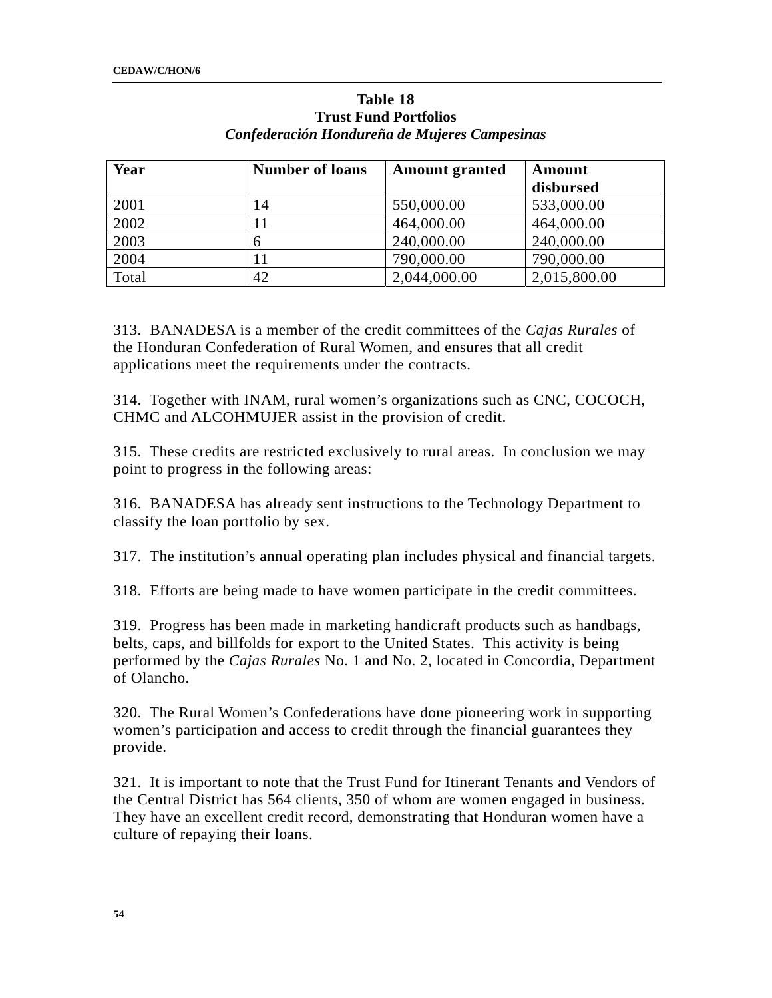| Year  | <b>Number of loans</b> | <b>Amount granted</b> | Amount       |
|-------|------------------------|-----------------------|--------------|
|       |                        |                       | disbursed    |
| 2001  | 14                     | 550,000.00            | 533,000.00   |
| 2002  |                        | 464,000.00            | 464,000.00   |
| 2003  | h                      | 240,000.00            | 240,000.00   |
| 2004  |                        | 790,000.00            | 790,000.00   |
| Total | 42                     | 2,044,000.00          | 2,015,800.00 |

### **Table 18 Trust Fund Portfolios**  *Confederación Hondureña de Mujeres Campesinas*

313. BANADESA is a member of the credit committees of the *Cajas Rurales* of the Honduran Confederation of Rural Women, and ensures that all credit applications meet the requirements under the contracts.

314. Together with INAM, rural women's organizations such as CNC, COCOCH, CHMC and ALCOHMUJER assist in the provision of credit.

315. These credits are restricted exclusively to rural areas. In conclusion we may point to progress in the following areas:

316. BANADESA has already sent instructions to the Technology Department to classify the loan portfolio by sex.

317. The institution's annual operating plan includes physical and financial targets.

318. Efforts are being made to have women participate in the credit committees.

319. Progress has been made in marketing handicraft products such as handbags, belts, caps, and billfolds for export to the United States. This activity is being performed by the *Cajas Rurales* No. 1 and No. 2, located in Concordia, Department of Olancho.

320. The Rural Women's Confederations have done pioneering work in supporting women's participation and access to credit through the financial guarantees they provide.

321. It is important to note that the Trust Fund for Itinerant Tenants and Vendors of the Central District has 564 clients, 350 of whom are women engaged in business. They have an excellent credit record, demonstrating that Honduran women have a culture of repaying their loans.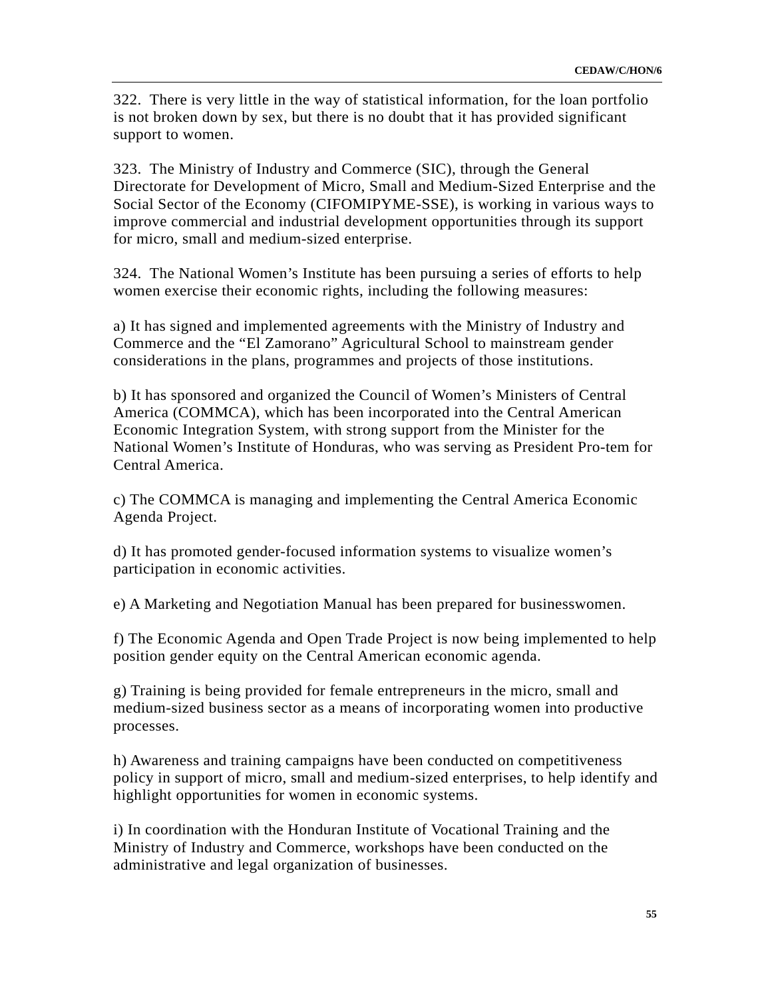322. There is very little in the way of statistical information, for the loan portfolio is not broken down by sex, but there is no doubt that it has provided significant support to women.

323. The Ministry of Industry and Commerce (SIC), through the General Directorate for Development of Micro, Small and Medium-Sized Enterprise and the Social Sector of the Economy (CIFOMIPYME-SSE), is working in various ways to improve commercial and industrial development opportunities through its support for micro, small and medium-sized enterprise.

324. The National Women's Institute has been pursuing a series of efforts to help women exercise their economic rights, including the following measures:

a) It has signed and implemented agreements with the Ministry of Industry and Commerce and the "El Zamorano" Agricultural School to mainstream gender considerations in the plans, programmes and projects of those institutions.

b) It has sponsored and organized the Council of Women's Ministers of Central America (COMMCA), which has been incorporated into the Central American Economic Integration System, with strong support from the Minister for the National Women's Institute of Honduras, who was serving as President Pro-tem for Central America.

c) The COMMCA is managing and implementing the Central America Economic Agenda Project.

d) It has promoted gender-focused information systems to visualize women's participation in economic activities.

e) A Marketing and Negotiation Manual has been prepared for businesswomen.

f) The Economic Agenda and Open Trade Project is now being implemented to help position gender equity on the Central American economic agenda.

g) Training is being provided for female entrepreneurs in the micro, small and medium-sized business sector as a means of incorporating women into productive processes.

h) Awareness and training campaigns have been conducted on competitiveness policy in support of micro, small and medium-sized enterprises, to help identify and highlight opportunities for women in economic systems.

i) In coordination with the Honduran Institute of Vocational Training and the Ministry of Industry and Commerce, workshops have been conducted on the administrative and legal organization of businesses.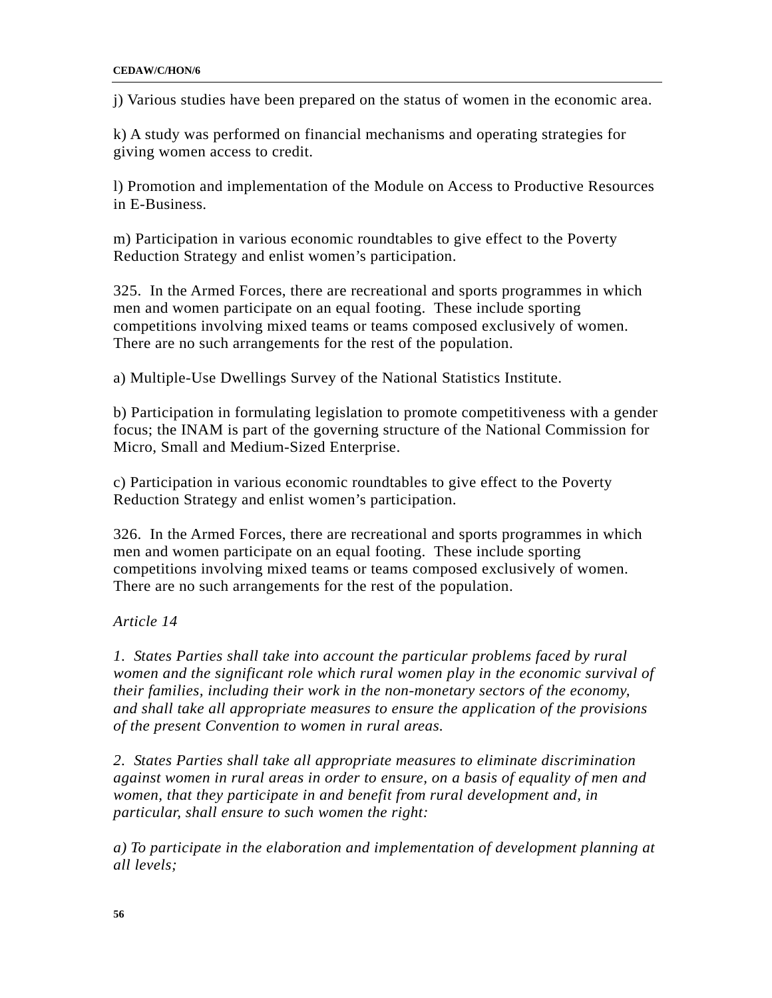j) Various studies have been prepared on the status of women in the economic area.

k) A study was performed on financial mechanisms and operating strategies for giving women access to credit.

l) Promotion and implementation of the Module on Access to Productive Resources in E-Business.

m) Participation in various economic roundtables to give effect to the Poverty Reduction Strategy and enlist women's participation.

325. In the Armed Forces, there are recreational and sports programmes in which men and women participate on an equal footing. These include sporting competitions involving mixed teams or teams composed exclusively of women. There are no such arrangements for the rest of the population.

a) Multiple-Use Dwellings Survey of the National Statistics Institute.

b) Participation in formulating legislation to promote competitiveness with a gender focus; the INAM is part of the governing structure of the National Commission for Micro, Small and Medium-Sized Enterprise.

c) Participation in various economic roundtables to give effect to the Poverty Reduction Strategy and enlist women's participation.

326. In the Armed Forces, there are recreational and sports programmes in which men and women participate on an equal footing. These include sporting competitions involving mixed teams or teams composed exclusively of women. There are no such arrangements for the rest of the population.

*Article 14* 

*1. States Parties shall take into account the particular problems faced by rural*  women and the significant role which rural women play in the economic survival of *their families, including their work in the non-monetary sectors of the economy, and shall take all appropriate measures to ensure the application of the provisions of the present Convention to women in rural areas.* 

*2. States Parties shall take all appropriate measures to eliminate discrimination against women in rural areas in order to ensure, on a basis of equality of men and women, that they participate in and benefit from rural development and, in particular, shall ensure to such women the right:* 

*a) To participate in the elaboration and implementation of development planning at all levels;*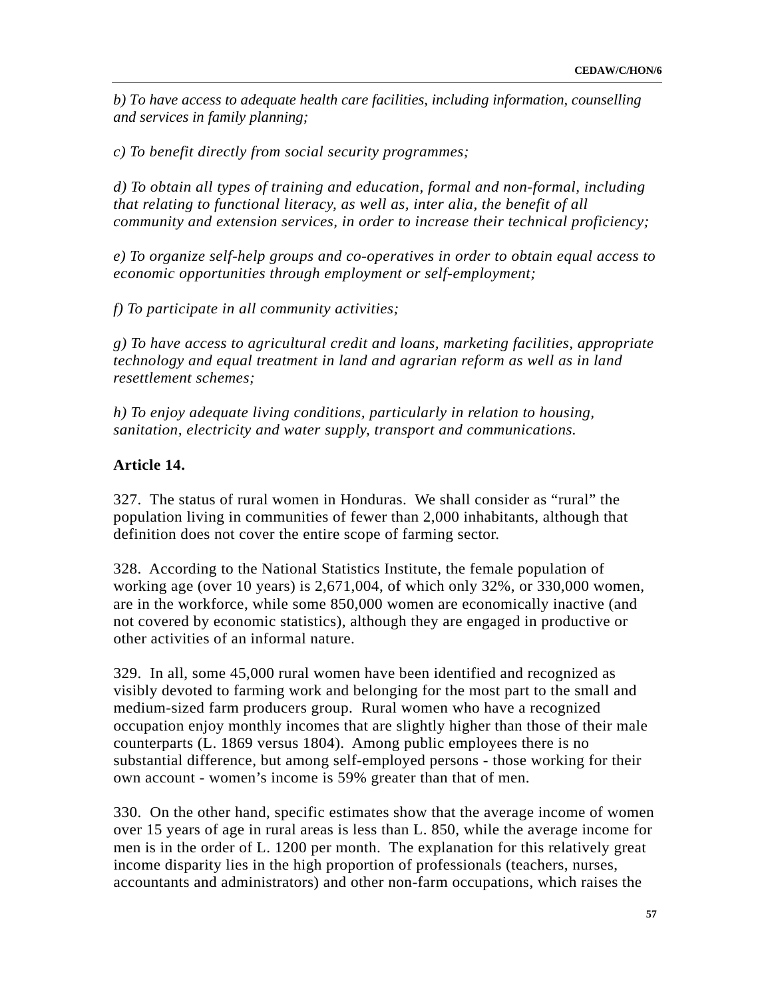*b) To have access to adequate health care facilities, including information, counselling and services in family planning;* 

*c) To benefit directly from social security programmes;* 

*d) To obtain all types of training and education, formal and non-formal, including that relating to functional literacy, as well as, inter alia, the benefit of all community and extension services, in order to increase their technical proficiency;* 

*e) To organize self-help groups and co-operatives in order to obtain equal access to economic opportunities through employment or self-employment;* 

*f) To participate in all community activities;* 

*g) To have access to agricultural credit and loans, marketing facilities, appropriate technology and equal treatment in land and agrarian reform as well as in land resettlement schemes;* 

*h) To enjoy adequate living conditions, particularly in relation to housing, sanitation, electricity and water supply, transport and communications.* 

### **Article 14.**

327. The status of rural women in Honduras. We shall consider as "rural" the population living in communities of fewer than 2,000 inhabitants, although that definition does not cover the entire scope of farming sector.

328. According to the National Statistics Institute, the female population of working age (over 10 years) is  $2,671,004$ , of which only  $32\%$ , or  $330,000$  women, are in the workforce, while some 850,000 women are economically inactive (and not covered by economic statistics), although they are engaged in productive or other activities of an informal nature.

329. In all, some 45,000 rural women have been identified and recognized as visibly devoted to farming work and belonging for the most part to the small and medium-sized farm producers group. Rural women who have a recognized occupation enjoy monthly incomes that are slightly higher than those of their male counterparts (L. 1869 versus 1804). Among public employees there is no substantial difference, but among self-employed persons - those working for their own account - women's income is 59% greater than that of men.

330. On the other hand, specific estimates show that the average income of women over 15 years of age in rural areas is less than L. 850, while the average income for men is in the order of L. 1200 per month. The explanation for this relatively great income disparity lies in the high proportion of professionals (teachers, nurses, accountants and administrators) and other non-farm occupations, which raises the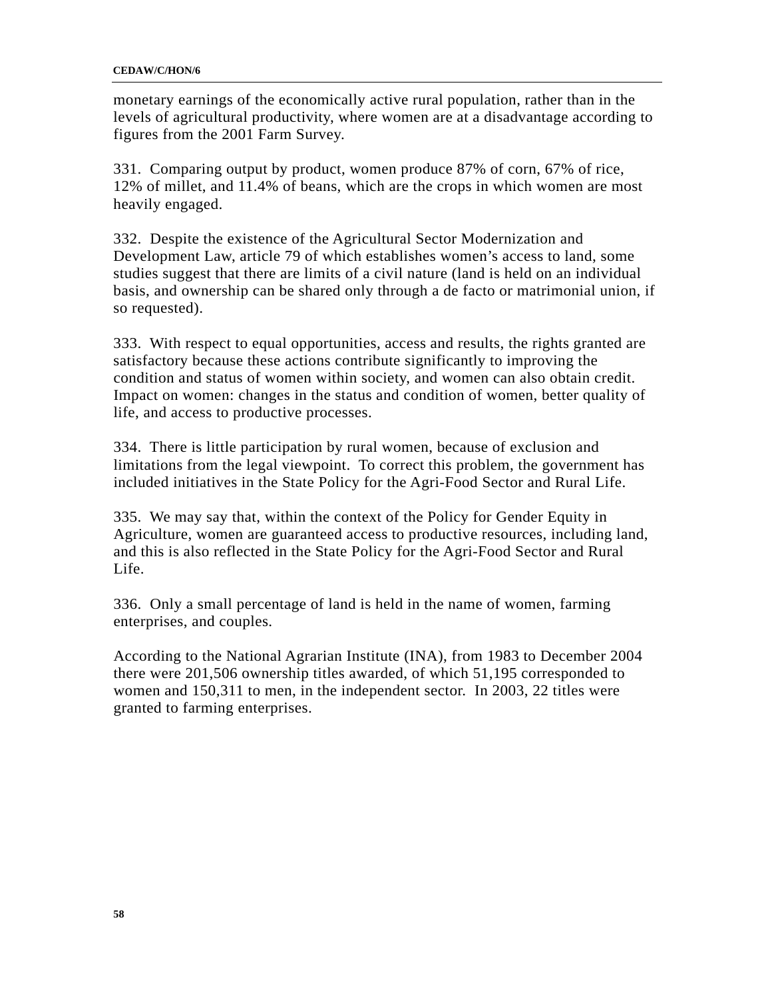monetary earnings of the economically active rural population, rather than in the levels of agricultural productivity, where women are at a disadvantage according to figures from the 2001 Farm Survey.

331. Comparing output by product, women produce 87% of corn, 67% of rice, 12% of millet, and 11.4% of beans, which are the crops in which women are most heavily engaged.

332. Despite the existence of the Agricultural Sector Modernization and Development Law, article 79 of which establishes women's access to land, some studies suggest that there are limits of a civil nature (land is held on an individual basis, and ownership can be shared only through a de facto or matrimonial union, if so requested).

333. With respect to equal opportunities, access and results, the rights granted are satisfactory because these actions contribute significantly to improving the condition and status of women within society, and women can also obtain credit. Impact on women: changes in the status and condition of women, better quality of life, and access to productive processes.

334. There is little participation by rural women, because of exclusion and limitations from the legal viewpoint. To correct this problem, the government has included initiatives in the State Policy for the Agri-Food Sector and Rural Life.

335. We may say that, within the context of the Policy for Gender Equity in Agriculture, women are guaranteed access to productive resources, including land, and this is also reflected in the State Policy for the Agri-Food Sector and Rural Life.

336. Only a small percentage of land is held in the name of women, farming enterprises, and couples.

According to the National Agrarian Institute (INA), from 1983 to December 2004 there were 201,506 ownership titles awarded, of which 51,195 corresponded to women and 150,311 to men, in the independent sector. In 2003, 22 titles were granted to farming enterprises.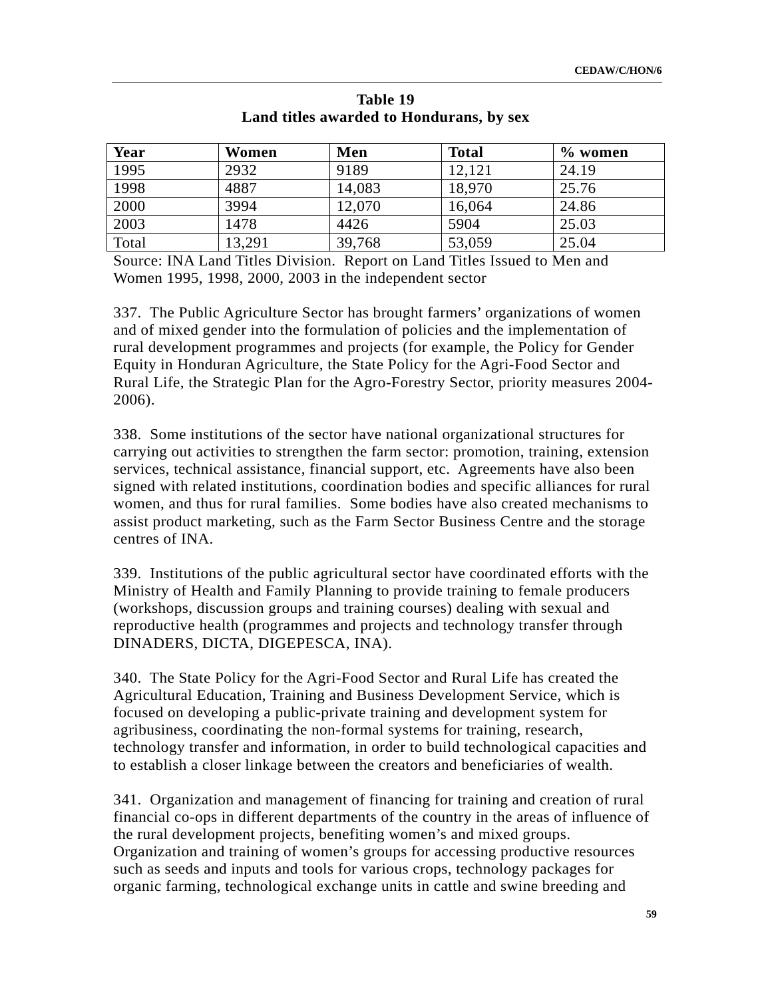| Year  | Women  | Men    | <b>Total</b> | $\%$ women |
|-------|--------|--------|--------------|------------|
| 1995  | 2932   | 9189   | 12,121       | 24.19      |
| 1998  | 4887   | 14,083 | 18,970       | 25.76      |
| 2000  | 3994   | 12,070 | 16,064       | 24.86      |
| 2003  | 1478   | 4426   | 5904         | 25.03      |
| Total | 13,291 | 39,768 | 53,059       | 25.04      |

**Table 19 Land titles awarded to Hondurans, by sex** 

Source: INA Land Titles Division. Report on Land Titles Issued to Men and Women 1995, 1998, 2000, 2003 in the independent sector

337. The Public Agriculture Sector has brought farmers' organizations of women and of mixed gender into the formulation of policies and the implementation of rural development programmes and projects (for example, the Policy for Gender Equity in Honduran Agriculture, the State Policy for the Agri-Food Sector and Rural Life, the Strategic Plan for the Agro-Forestry Sector, priority measures 2004- 2006).

338. Some institutions of the sector have national organizational structures for carrying out activities to strengthen the farm sector: promotion, training, extension services, technical assistance, financial support, etc. Agreements have also been signed with related institutions, coordination bodies and specific alliances for rural women, and thus for rural families. Some bodies have also created mechanisms to assist product marketing, such as the Farm Sector Business Centre and the storage centres of INA.

339. Institutions of the public agricultural sector have coordinated efforts with the Ministry of Health and Family Planning to provide training to female producers (workshops, discussion groups and training courses) dealing with sexual and reproductive health (programmes and projects and technology transfer through DINADERS, DICTA, DIGEPESCA, INA).

340. The State Policy for the Agri-Food Sector and Rural Life has created the Agricultural Education, Training and Business Development Service, which is focused on developing a public-private training and development system for agribusiness, coordinating the non-formal systems for training, research, technology transfer and information, in order to build technological capacities and to establish a closer linkage between the creators and beneficiaries of wealth.

341. Organization and management of financing for training and creation of rural financial co-ops in different departments of the country in the areas of influence of the rural development projects, benefiting women's and mixed groups. Organization and training of women's groups for accessing productive resources such as seeds and inputs and tools for various crops, technology packages for organic farming, technological exchange units in cattle and swine breeding and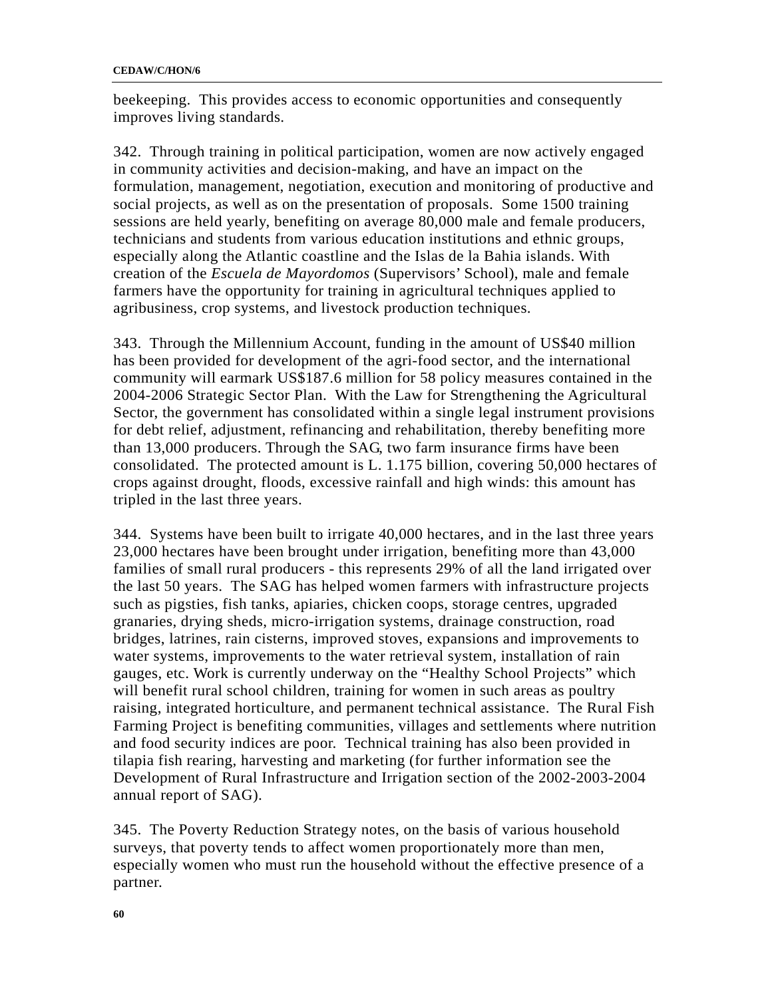beekeeping. This provides access to economic opportunities and consequently improves living standards.

342. Through training in political participation, women are now actively engaged in community activities and decision-making, and have an impact on the formulation, management, negotiation, execution and monitoring of productive and social projects, as well as on the presentation of proposals. Some 1500 training sessions are held yearly, benefiting on average 80,000 male and female producers, technicians and students from various education institutions and ethnic groups, especially along the Atlantic coastline and the Islas de la Bahia islands. With creation of the *Escuela de Mayordomos* (Supervisors' School), male and female farmers have the opportunity for training in agricultural techniques applied to agribusiness, crop systems, and livestock production techniques.

343. Through the Millennium Account, funding in the amount of US\$40 million has been provided for development of the agri-food sector, and the international community will earmark US\$187.6 million for 58 policy measures contained in the 2004-2006 Strategic Sector Plan. With the Law for Strengthening the Agricultural Sector, the government has consolidated within a single legal instrument provisions for debt relief, adjustment, refinancing and rehabilitation, thereby benefiting more than 13,000 producers. Through the SAG, two farm insurance firms have been consolidated. The protected amount is L. 1.175 billion, covering 50,000 hectares of crops against drought, floods, excessive rainfall and high winds: this amount has tripled in the last three years.

344. Systems have been built to irrigate 40,000 hectares, and in the last three years 23,000 hectares have been brought under irrigation, benefiting more than 43,000 families of small rural producers - this represents 29% of all the land irrigated over the last 50 years. The SAG has helped women farmers with infrastructure projects such as pigsties, fish tanks, apiaries, chicken coops, storage centres, upgraded granaries, drying sheds, micro-irrigation systems, drainage construction, road bridges, latrines, rain cisterns, improved stoves, expansions and improvements to water systems, improvements to the water retrieval system, installation of rain gauges, etc. Work is currently underway on the "Healthy School Projects" which will benefit rural school children, training for women in such areas as poultry raising, integrated horticulture, and permanent technical assistance. The Rural Fish Farming Project is benefiting communities, villages and settlements where nutrition and food security indices are poor. Technical training has also been provided in tilapia fish rearing, harvesting and marketing (for further information see the Development of Rural Infrastructure and Irrigation section of the 2002-2003-2004 annual report of SAG).

345. The Poverty Reduction Strategy notes, on the basis of various household surveys, that poverty tends to affect women proportionately more than men, especially women who must run the household without the effective presence of a partner.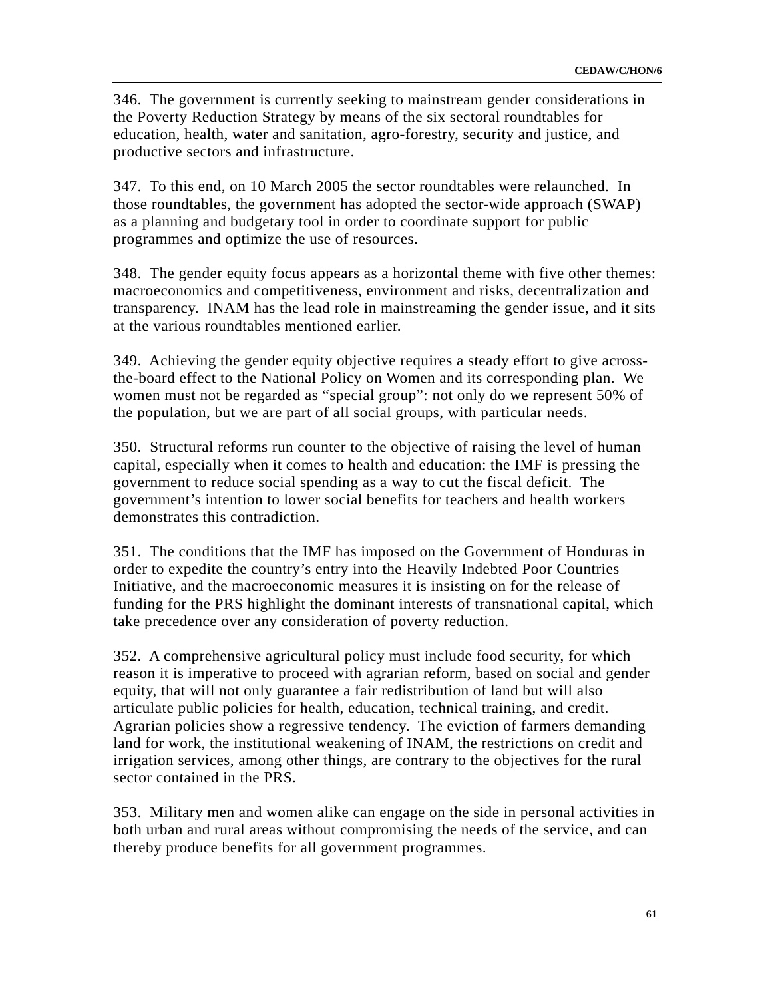346. The government is currently seeking to mainstream gender considerations in the Poverty Reduction Strategy by means of the six sectoral roundtables for education, health, water and sanitation, agro-forestry, security and justice, and productive sectors and infrastructure.

347. To this end, on 10 March 2005 the sector roundtables were relaunched. In those roundtables, the government has adopted the sector-wide approach (SWAP) as a planning and budgetary tool in order to coordinate support for public programmes and optimize the use of resources.

348. The gender equity focus appears as a horizontal theme with five other themes: macroeconomics and competitiveness, environment and risks, decentralization and transparency. INAM has the lead role in mainstreaming the gender issue, and it sits at the various roundtables mentioned earlier.

349. Achieving the gender equity objective requires a steady effort to give acrossthe-board effect to the National Policy on Women and its corresponding plan. We women must not be regarded as "special group": not only do we represent 50% of the population, but we are part of all social groups, with particular needs.

350. Structural reforms run counter to the objective of raising the level of human capital, especially when it comes to health and education: the IMF is pressing the government to reduce social spending as a way to cut the fiscal deficit. The government's intention to lower social benefits for teachers and health workers demonstrates this contradiction.

351. The conditions that the IMF has imposed on the Government of Honduras in order to expedite the country's entry into the Heavily Indebted Poor Countries Initiative, and the macroeconomic measures it is insisting on for the release of funding for the PRS highlight the dominant interests of transnational capital, which take precedence over any consideration of poverty reduction.

352. A comprehensive agricultural policy must include food security, for which reason it is imperative to proceed with agrarian reform, based on social and gender equity, that will not only guarantee a fair redistribution of land but will also articulate public policies for health, education, technical training, and credit. Agrarian policies show a regressive tendency. The eviction of farmers demanding land for work, the institutional weakening of INAM, the restrictions on credit and irrigation services, among other things, are contrary to the objectives for the rural sector contained in the PRS.

353. Military men and women alike can engage on the side in personal activities in both urban and rural areas without compromising the needs of the service, and can thereby produce benefits for all government programmes.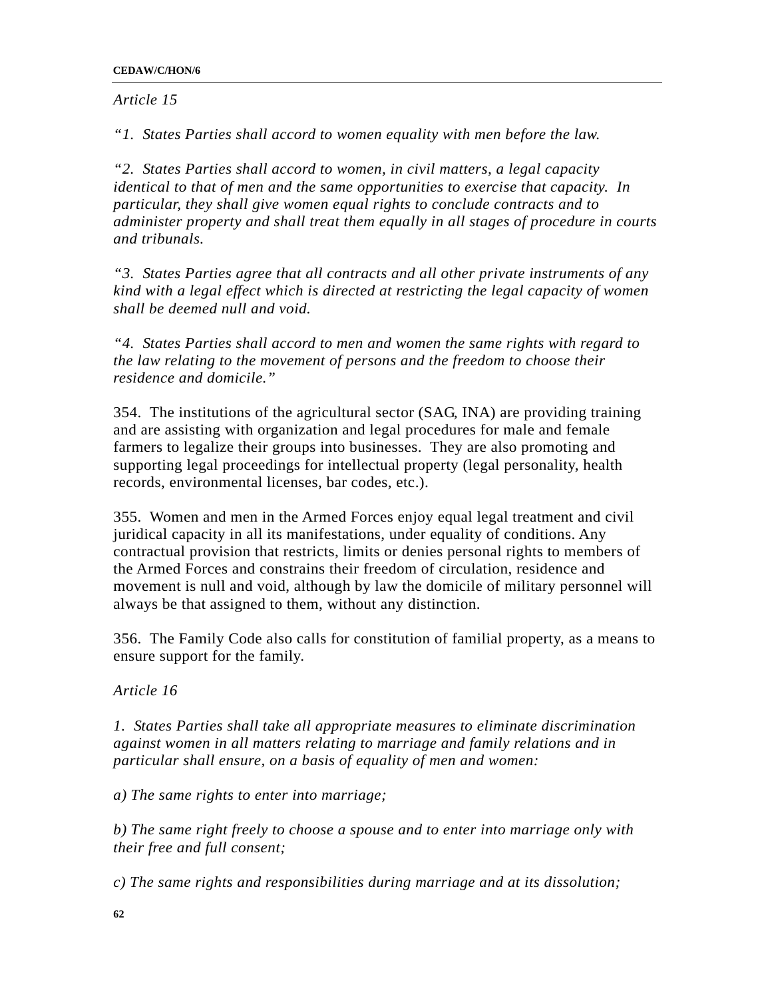*Article 15* 

*"1. States Parties shall accord to women equality with men before the law.* 

*"2. States Parties shall accord to women, in civil matters, a legal capacity identical to that of men and the same opportunities to exercise that capacity. In particular, they shall give women equal rights to conclude contracts and to administer property and shall treat them equally in all stages of procedure in courts and tribunals.* 

*"3. States Parties agree that all contracts and all other private instruments of any kind with a legal effect which is directed at restricting the legal capacity of women shall be deemed null and void.* 

*"4. States Parties shall accord to men and women the same rights with regard to the law relating to the movement of persons and the freedom to choose their residence and domicile."* 

354. The institutions of the agricultural sector (SAG, INA) are providing training and are assisting with organization and legal procedures for male and female farmers to legalize their groups into businesses. They are also promoting and supporting legal proceedings for intellectual property (legal personality, health records, environmental licenses, bar codes, etc.).

355. Women and men in the Armed Forces enjoy equal legal treatment and civil juridical capacity in all its manifestations, under equality of conditions. Any contractual provision that restricts, limits or denies personal rights to members of the Armed Forces and constrains their freedom of circulation, residence and movement is null and void, although by law the domicile of military personnel will always be that assigned to them, without any distinction.

356. The Family Code also calls for constitution of familial property, as a means to ensure support for the family.

*Article 16* 

*1. States Parties shall take all appropriate measures to eliminate discrimination against women in all matters relating to marriage and family relations and in particular shall ensure, on a basis of equality of men and women:* 

*a) The same rights to enter into marriage;* 

*b) The same right freely to choose a spouse and to enter into marriage only with their free and full consent;* 

*c) The same rights and responsibilities during marriage and at its dissolution;*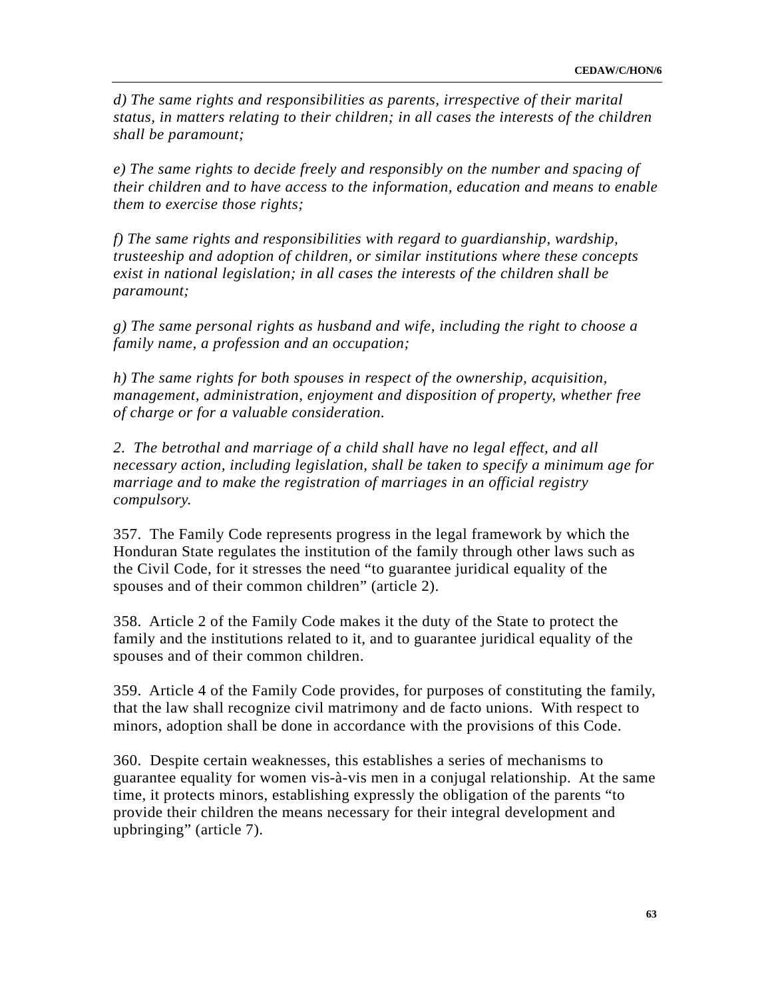*d) The same rights and responsibilities as parents, irrespective of their marital status, in matters relating to their children; in all cases the interests of the children shall be paramount;* 

*e) The same rights to decide freely and responsibly on the number and spacing of their children and to have access to the information, education and means to enable them to exercise those rights;* 

*f) The same rights and responsibilities with regard to guardianship, wardship, trusteeship and adoption of children, or similar institutions where these concepts exist in national legislation; in all cases the interests of the children shall be paramount;* 

*g) The same personal rights as husband and wife, including the right to choose a family name, a profession and an occupation;* 

*h) The same rights for both spouses in respect of the ownership, acquisition, management, administration, enjoyment and disposition of property, whether free of charge or for a valuable consideration.* 

*2. The betrothal and marriage of a child shall have no legal effect, and all necessary action, including legislation, shall be taken to specify a minimum age for marriage and to make the registration of marriages in an official registry compulsory.* 

357. The Family Code represents progress in the legal framework by which the Honduran State regulates the institution of the family through other laws such as the Civil Code, for it stresses the need "to guarantee juridical equality of the spouses and of their common children" (article 2).

358. Article 2 of the Family Code makes it the duty of the State to protect the family and the institutions related to it, and to guarantee juridical equality of the spouses and of their common children.

359. Article 4 of the Family Code provides, for purposes of constituting the family, that the law shall recognize civil matrimony and de facto unions. With respect to minors, adoption shall be done in accordance with the provisions of this Code.

360. Despite certain weaknesses, this establishes a series of mechanisms to guarantee equality for women vis-à-vis men in a conjugal relationship. At the same time, it protects minors, establishing expressly the obligation of the parents "to provide their children the means necessary for their integral development and upbringing" (article 7).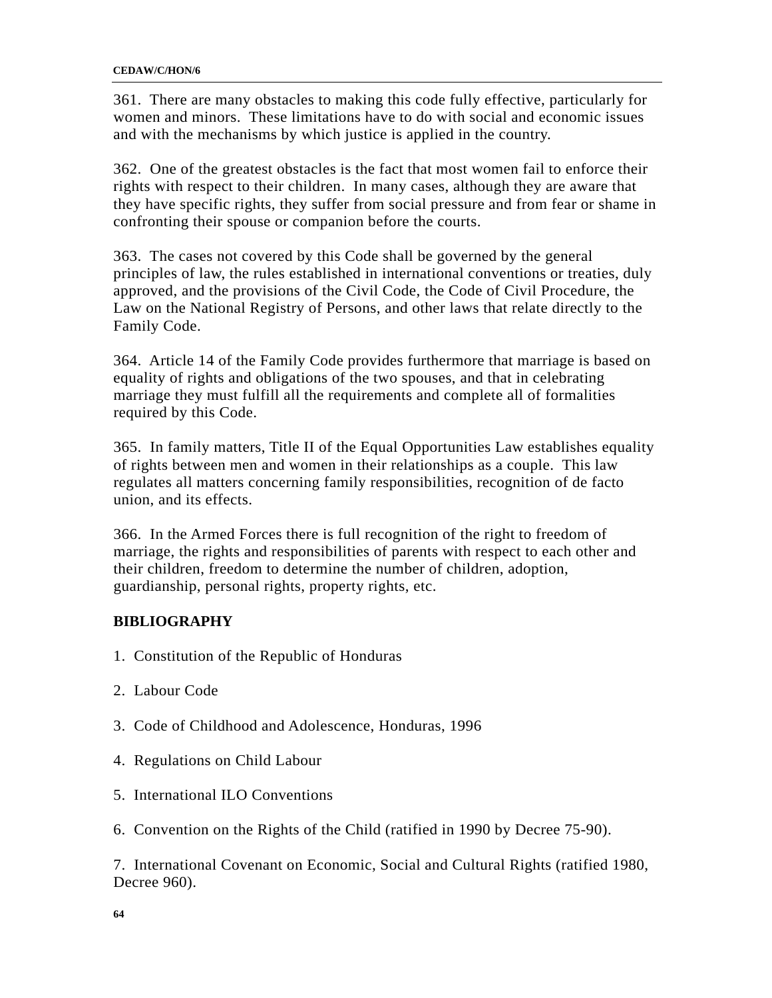361. There are many obstacles to making this code fully effective, particularly for women and minors. These limitations have to do with social and economic issues and with the mechanisms by which justice is applied in the country.

362. One of the greatest obstacles is the fact that most women fail to enforce their rights with respect to their children. In many cases, although they are aware that they have specific rights, they suffer from social pressure and from fear or shame in confronting their spouse or companion before the courts.

363. The cases not covered by this Code shall be governed by the general principles of law, the rules established in international conventions or treaties, duly approved, and the provisions of the Civil Code, the Code of Civil Procedure, the Law on the National Registry of Persons, and other laws that relate directly to the Family Code.

364. Article 14 of the Family Code provides furthermore that marriage is based on equality of rights and obligations of the two spouses, and that in celebrating marriage they must fulfill all the requirements and complete all of formalities required by this Code.

365. In family matters, Title II of the Equal Opportunities Law establishes equality of rights between men and women in their relationships as a couple. This law regulates all matters concerning family responsibilities, recognition of de facto union, and its effects.

366. In the Armed Forces there is full recognition of the right to freedom of marriage, the rights and responsibilities of parents with respect to each other and their children, freedom to determine the number of children, adoption, guardianship, personal rights, property rights, etc.

## **BIBLIOGRAPHY**

- 1. Constitution of the Republic of Honduras
- 2. Labour Code
- 3. Code of Childhood and Adolescence, Honduras, 1996
- 4. Regulations on Child Labour
- 5. International ILO Conventions
- 6. Convention on the Rights of the Child (ratified in 1990 by Decree 75-90).

7. International Covenant on Economic, Social and Cultural Rights (ratified 1980, Decree 960).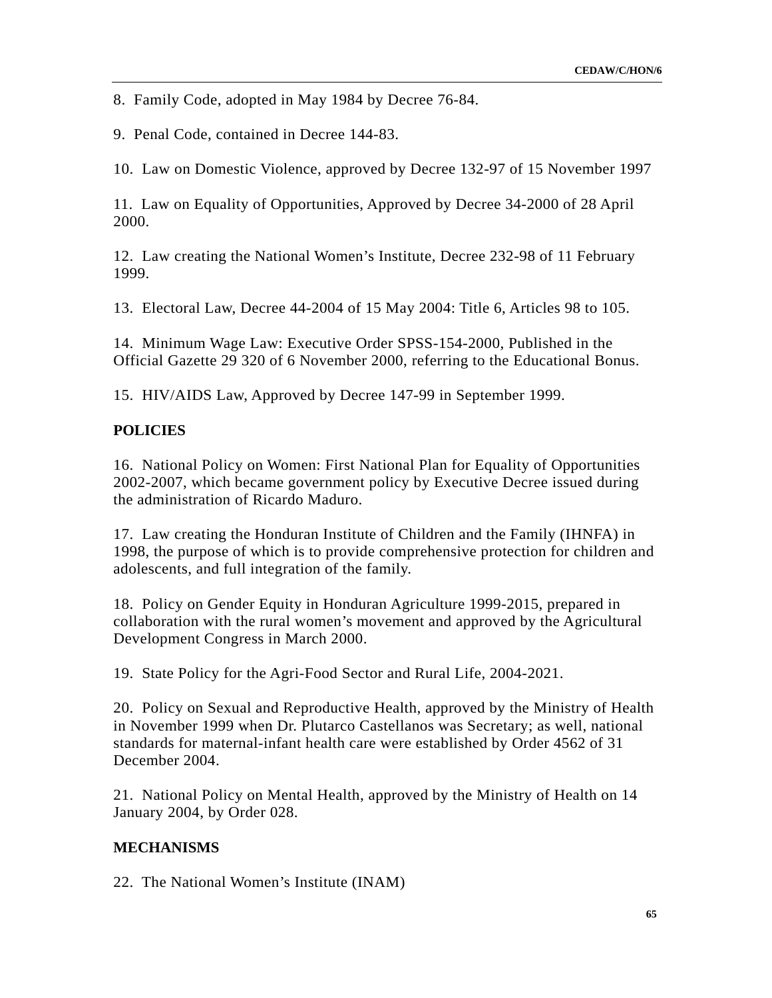8. Family Code, adopted in May 1984 by Decree 76-84.

9. Penal Code, contained in Decree 144-83.

10. Law on Domestic Violence, approved by Decree 132-97 of 15 November 1997

11. Law on Equality of Opportunities, Approved by Decree 34-2000 of 28 April 2000.

12. Law creating the National Women's Institute, Decree 232-98 of 11 February 1999.

13. Electoral Law, Decree 44-2004 of 15 May 2004: Title 6, Articles 98 to 105.

14. Minimum Wage Law: Executive Order SPSS-154-2000, Published in the Official Gazette 29 320 of 6 November 2000, referring to the Educational Bonus.

15. HIV/AIDS Law, Approved by Decree 147-99 in September 1999.

## **POLICIES**

16. National Policy on Women: First National Plan for Equality of Opportunities 2002-2007, which became government policy by Executive Decree issued during the administration of Ricardo Maduro.

17. Law creating the Honduran Institute of Children and the Family (IHNFA) in 1998, the purpose of which is to provide comprehensive protection for children and adolescents, and full integration of the family.

18. Policy on Gender Equity in Honduran Agriculture 1999-2015, prepared in collaboration with the rural women's movement and approved by the Agricultural Development Congress in March 2000.

19. State Policy for the Agri-Food Sector and Rural Life, 2004-2021.

20. Policy on Sexual and Reproductive Health, approved by the Ministry of Health in November 1999 when Dr. Plutarco Castellanos was Secretary; as well, national standards for maternal-infant health care were established by Order 4562 of 31 December 2004.

21. National Policy on Mental Health, approved by the Ministry of Health on 14 January 2004, by Order 028.

## **MECHANISMS**

22. The National Women's Institute (INAM)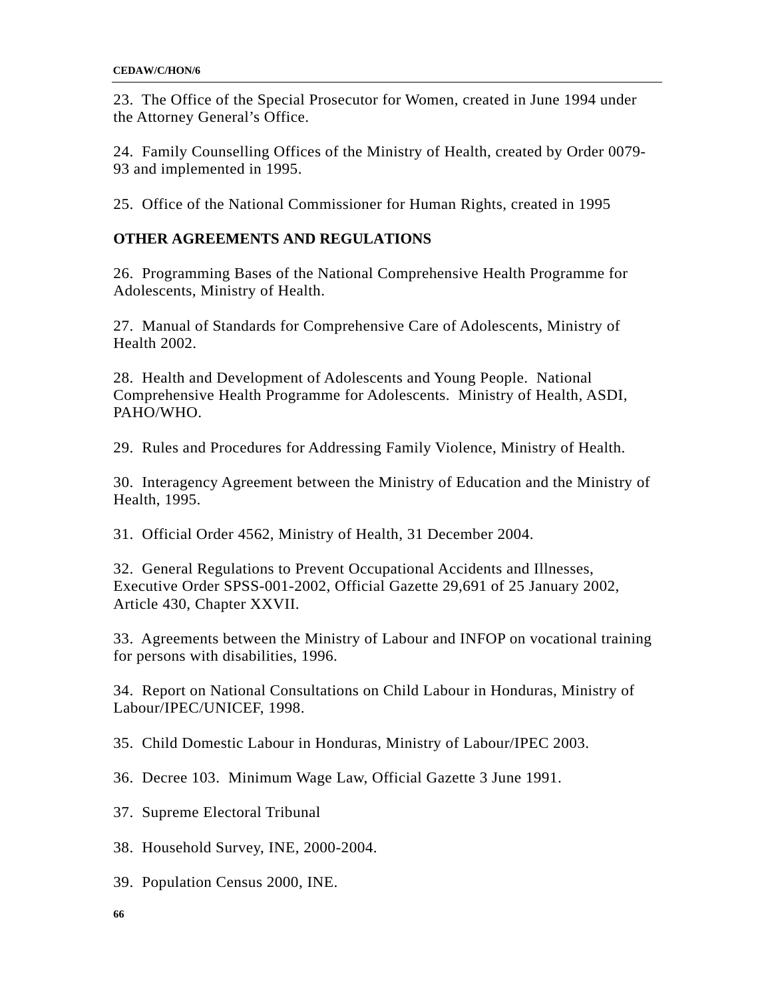23. The Office of the Special Prosecutor for Women, created in June 1994 under the Attorney General's Office.

24. Family Counselling Offices of the Ministry of Health, created by Order 0079- 93 and implemented in 1995.

25. Office of the National Commissioner for Human Rights, created in 1995

## **OTHER AGREEMENTS AND REGULATIONS**

26. Programming Bases of the National Comprehensive Health Programme for Adolescents, Ministry of Health.

27. Manual of Standards for Comprehensive Care of Adolescents, Ministry of Health 2002.

28. Health and Development of Adolescents and Young People. National Comprehensive Health Programme for Adolescents. Ministry of Health, ASDI, PAHO/WHO.

29. Rules and Procedures for Addressing Family Violence, Ministry of Health.

30. Interagency Agreement between the Ministry of Education and the Ministry of Health, 1995.

31. Official Order 4562, Ministry of Health, 31 December 2004.

32. General Regulations to Prevent Occupational Accidents and Illnesses, Executive Order SPSS-001-2002, Official Gazette 29,691 of 25 January 2002, Article 430, Chapter XXVII.

33. Agreements between the Ministry of Labour and INFOP on vocational training for persons with disabilities, 1996.

34. Report on National Consultations on Child Labour in Honduras, Ministry of Labour/IPEC/UNICEF, 1998.

35. Child Domestic Labour in Honduras, Ministry of Labour/IPEC 2003.

36. Decree 103. Minimum Wage Law, Official Gazette 3 June 1991.

37. Supreme Electoral Tribunal

38. Household Survey, INE, 2000-2004.

39. Population Census 2000, INE.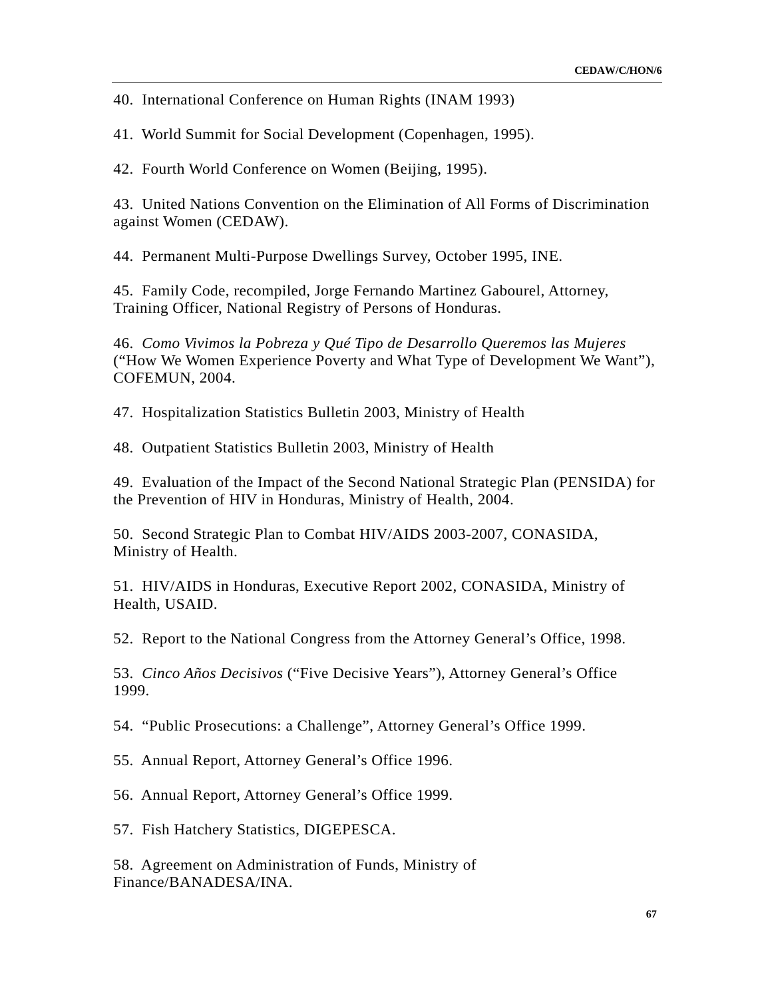40. International Conference on Human Rights (INAM 1993)

41. World Summit for Social Development (Copenhagen, 1995).

42. Fourth World Conference on Women (Beijing, 1995).

43. United Nations Convention on the Elimination of All Forms of Discrimination against Women (CEDAW).

44. Permanent Multi-Purpose Dwellings Survey, October 1995, INE.

45. Family Code, recompiled, Jorge Fernando Martinez Gabourel, Attorney, Training Officer, National Registry of Persons of Honduras.

46. *Como Vivimos la Pobreza y Qué Tipo de Desarrollo Queremos las Mujeres* ("How We Women Experience Poverty and What Type of Development We Want"), COFEMUN, 2004.

47. Hospitalization Statistics Bulletin 2003, Ministry of Health

48. Outpatient Statistics Bulletin 2003, Ministry of Health

49. Evaluation of the Impact of the Second National Strategic Plan (PENSIDA) for the Prevention of HIV in Honduras, Ministry of Health, 2004.

50. Second Strategic Plan to Combat HIV/AIDS 2003-2007, CONASIDA, Ministry of Health.

51. HIV/AIDS in Honduras, Executive Report 2002, CONASIDA, Ministry of Health, USAID.

52. Report to the National Congress from the Attorney General's Office, 1998.

53. *Cinco Años Decisivos* ("Five Decisive Years"), Attorney General's Office 1999.

54. "Public Prosecutions: a Challenge", Attorney General's Office 1999.

55. Annual Report, Attorney General's Office 1996.

56. Annual Report, Attorney General's Office 1999.

57. Fish Hatchery Statistics, DIGEPESCA.

58. Agreement on Administration of Funds, Ministry of Finance/BANADESA/INA.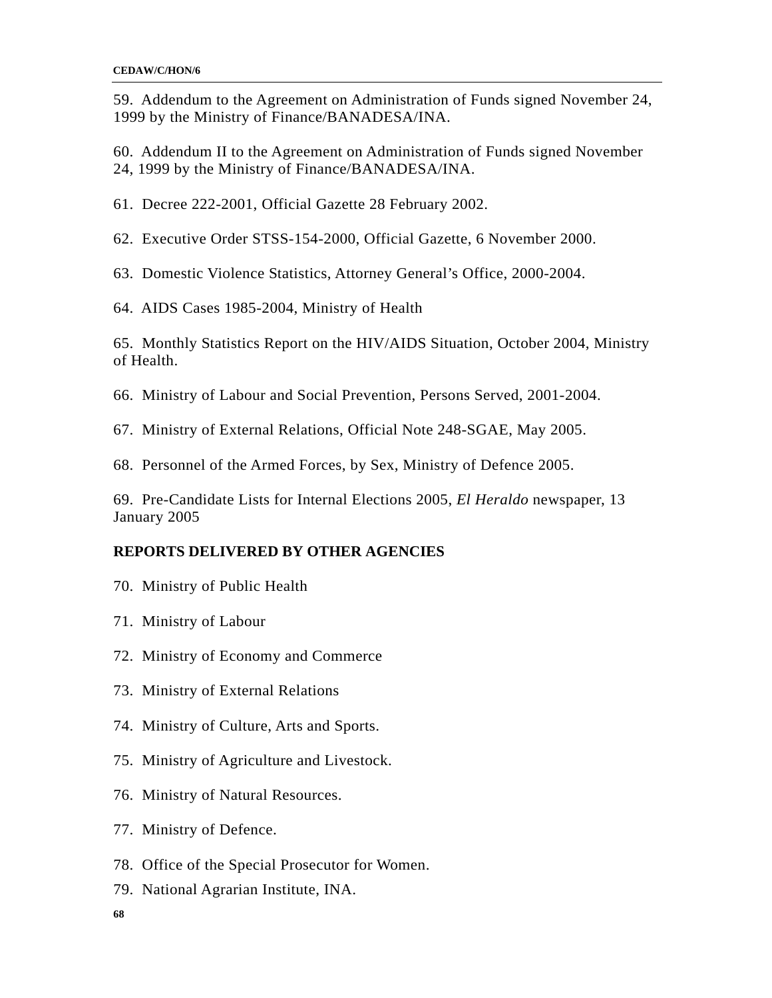59. Addendum to the Agreement on Administration of Funds signed November 24, 1999 by the Ministry of Finance/BANADESA/INA.

60. Addendum II to the Agreement on Administration of Funds signed November 24, 1999 by the Ministry of Finance/BANADESA/INA.

61. Decree 222-2001, Official Gazette 28 February 2002.

62. Executive Order STSS-154-2000, Official Gazette, 6 November 2000.

63. Domestic Violence Statistics, Attorney General's Office, 2000-2004.

64. AIDS Cases 1985-2004, Ministry of Health

65. Monthly Statistics Report on the HIV/AIDS Situation, October 2004, Ministry of Health.

66. Ministry of Labour and Social Prevention, Persons Served, 2001-2004.

67. Ministry of External Relations, Official Note 248-SGAE, May 2005.

68. Personnel of the Armed Forces, by Sex, Ministry of Defence 2005.

69. Pre-Candidate Lists for Internal Elections 2005, *El Heraldo* newspaper, 13 January 2005

## **REPORTS DELIVERED BY OTHER AGENCIES**

- 70. Ministry of Public Health
- 71. Ministry of Labour
- 72. Ministry of Economy and Commerce
- 73. Ministry of External Relations
- 74. Ministry of Culture, Arts and Sports.
- 75. Ministry of Agriculture and Livestock.
- 76. Ministry of Natural Resources.
- 77. Ministry of Defence.
- 78. Office of the Special Prosecutor for Women.
- 79. National Agrarian Institute, INA.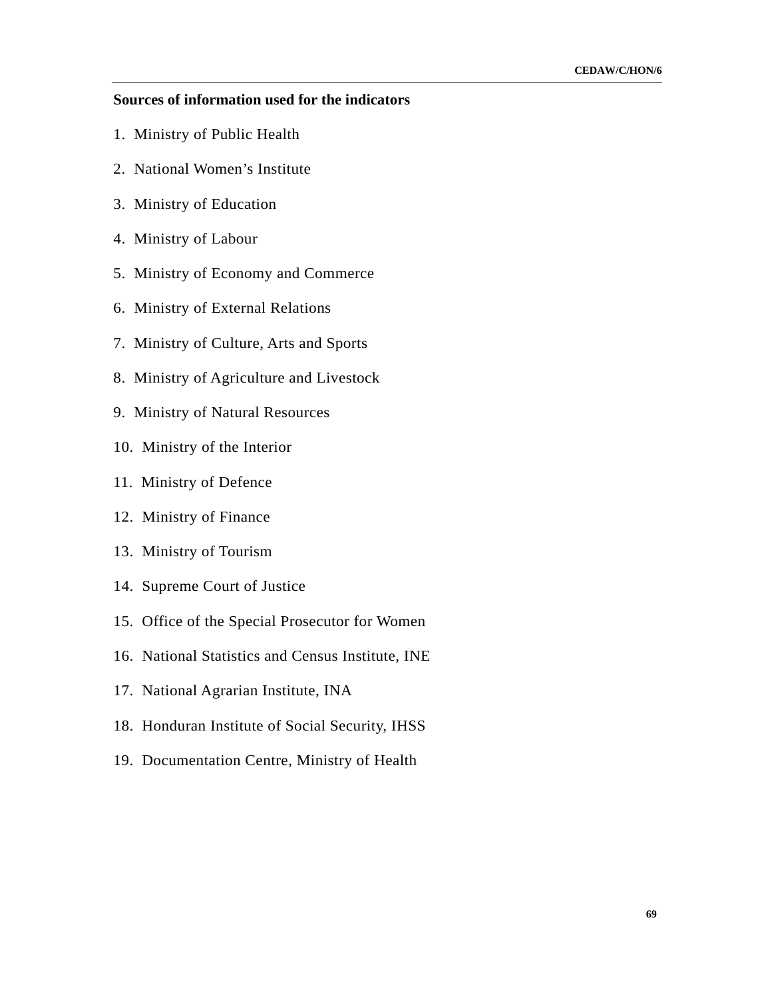### **Sources of information used for the indicators**

- 1. Ministry of Public Health
- 2. National Women's Institute
- 3. Ministry of Education
- 4. Ministry of Labour
- 5. Ministry of Economy and Commerce
- 6. Ministry of External Relations
- 7. Ministry of Culture, Arts and Sports
- 8. Ministry of Agriculture and Livestock
- 9. Ministry of Natural Resources
- 10. Ministry of the Interior
- 11. Ministry of Defence
- 12. Ministry of Finance
- 13. Ministry of Tourism
- 14. Supreme Court of Justice
- 15. Office of the Special Prosecutor for Women
- 16. National Statistics and Census Institute, INE
- 17. National Agrarian Institute, INA
- 18. Honduran Institute of Social Security, IHSS
- 19. Documentation Centre, Ministry of Health